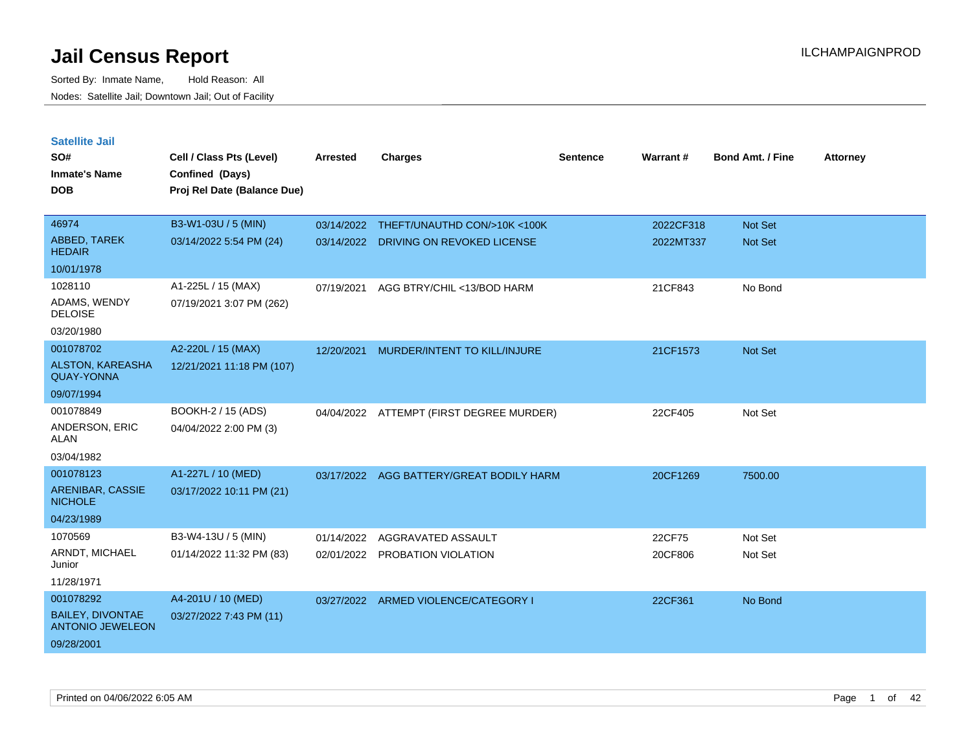| <b>Satellite Jail</b>                              |                             |                 |                                          |          |           |                         |                 |
|----------------------------------------------------|-----------------------------|-----------------|------------------------------------------|----------|-----------|-------------------------|-----------------|
| SO#                                                | Cell / Class Pts (Level)    | <b>Arrested</b> | <b>Charges</b>                           | Sentence | Warrant # | <b>Bond Amt. / Fine</b> | <b>Attorney</b> |
| Inmate's Name                                      | Confined (Days)             |                 |                                          |          |           |                         |                 |
| <b>DOB</b>                                         | Proj Rel Date (Balance Due) |                 |                                          |          |           |                         |                 |
|                                                    |                             |                 |                                          |          |           |                         |                 |
| 46974                                              | B3-W1-03U / 5 (MIN)         | 03/14/2022      | THEFT/UNAUTHD CON/>10K <100K             |          | 2022CF318 | <b>Not Set</b>          |                 |
| ABBED, TAREK<br><b>HEDAIR</b>                      | 03/14/2022 5:54 PM (24)     | 03/14/2022      | DRIVING ON REVOKED LICENSE               |          | 2022MT337 | Not Set                 |                 |
| 10/01/1978                                         |                             |                 |                                          |          |           |                         |                 |
| 1028110                                            | A1-225L / 15 (MAX)          | 07/19/2021      | AGG BTRY/CHIL <13/BOD HARM               |          | 21CF843   | No Bond                 |                 |
| ADAMS, WENDY<br><b>DELOISE</b>                     | 07/19/2021 3:07 PM (262)    |                 |                                          |          |           |                         |                 |
| 03/20/1980                                         |                             |                 |                                          |          |           |                         |                 |
| 001078702                                          | A2-220L / 15 (MAX)          | 12/20/2021      | MURDER/INTENT TO KILL/INJURE             |          | 21CF1573  | <b>Not Set</b>          |                 |
| <b>ALSTON, KAREASHA</b><br><b>QUAY-YONNA</b>       | 12/21/2021 11:18 PM (107)   |                 |                                          |          |           |                         |                 |
| 09/07/1994                                         |                             |                 |                                          |          |           |                         |                 |
| 001078849                                          | BOOKH-2 / 15 (ADS)          |                 | 04/04/2022 ATTEMPT (FIRST DEGREE MURDER) |          | 22CF405   | Not Set                 |                 |
| ANDERSON, ERIC<br>ALAN                             | 04/04/2022 2:00 PM (3)      |                 |                                          |          |           |                         |                 |
| 03/04/1982                                         |                             |                 |                                          |          |           |                         |                 |
| 001078123                                          | A1-227L / 10 (MED)          | 03/17/2022      | AGG BATTERY/GREAT BODILY HARM            |          | 20CF1269  | 7500.00                 |                 |
| <b>ARENIBAR, CASSIE</b><br><b>NICHOLE</b>          | 03/17/2022 10:11 PM (21)    |                 |                                          |          |           |                         |                 |
| 04/23/1989                                         |                             |                 |                                          |          |           |                         |                 |
| 1070569                                            | B3-W4-13U / 5 (MIN)         | 01/14/2022      | AGGRAVATED ASSAULT                       |          | 22CF75    | Not Set                 |                 |
| ARNDT, MICHAEL<br>Junior                           | 01/14/2022 11:32 PM (83)    |                 | 02/01/2022 PROBATION VIOLATION           |          | 20CF806   | Not Set                 |                 |
| 11/28/1971                                         |                             |                 |                                          |          |           |                         |                 |
| 001078292                                          | A4-201U / 10 (MED)          | 03/27/2022      | ARMED VIOLENCE/CATEGORY I                |          | 22CF361   | No Bond                 |                 |
| <b>BAILEY, DIVONTAE</b><br><b>ANTONIO JEWELEON</b> | 03/27/2022 7:43 PM (11)     |                 |                                          |          |           |                         |                 |
| 09/28/2001                                         |                             |                 |                                          |          |           |                         |                 |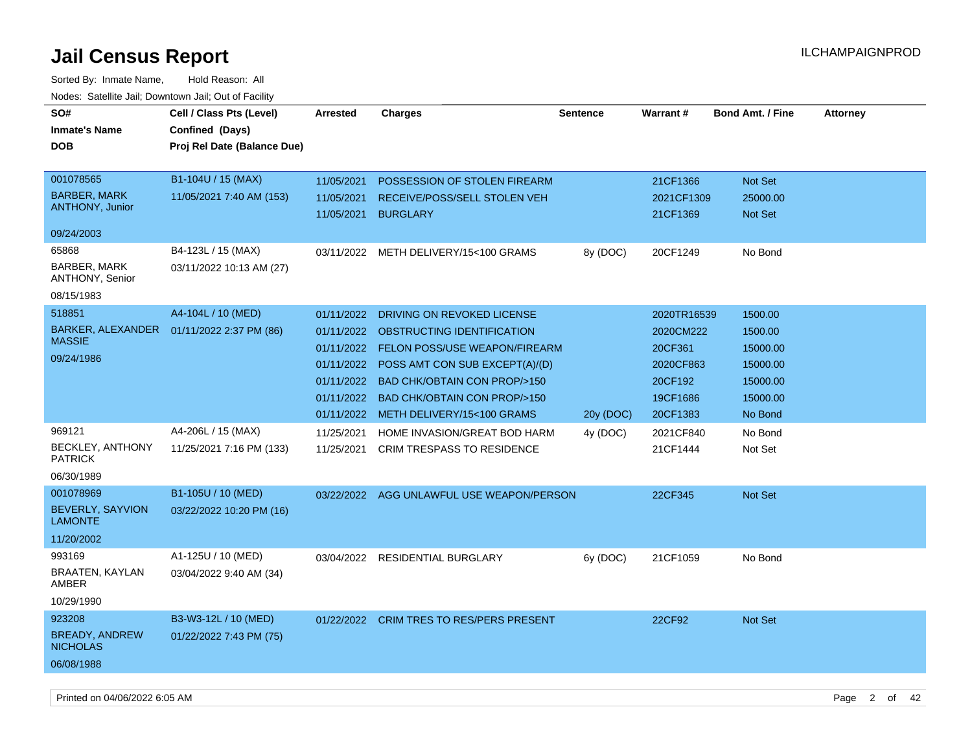| SO#<br><b>Inmate's Name</b><br><b>DOB</b>                                                          | Cell / Class Pts (Level)<br>Confined (Days)<br>Proj Rel Date (Balance Due)                       | <b>Arrested</b>                                                    | <b>Charges</b>                                                                                                                                                                                                                                                      | <b>Sentence</b> | Warrant#                                                                            | <b>Bond Amt. / Fine</b>                                                       | <b>Attorney</b> |
|----------------------------------------------------------------------------------------------------|--------------------------------------------------------------------------------------------------|--------------------------------------------------------------------|---------------------------------------------------------------------------------------------------------------------------------------------------------------------------------------------------------------------------------------------------------------------|-----------------|-------------------------------------------------------------------------------------|-------------------------------------------------------------------------------|-----------------|
| 001078565<br><b>BARBER, MARK</b><br><b>ANTHONY, Junior</b>                                         | B1-104U / 15 (MAX)<br>11/05/2021 7:40 AM (153)                                                   | 11/05/2021<br>11/05/2021<br>11/05/2021                             | POSSESSION OF STOLEN FIREARM<br>RECEIVE/POSS/SELL STOLEN VEH<br><b>BURGLARY</b>                                                                                                                                                                                     |                 | 21CF1366<br>2021CF1309<br>21CF1369                                                  | Not Set<br>25000.00<br>Not Set                                                |                 |
| 09/24/2003                                                                                         |                                                                                                  |                                                                    |                                                                                                                                                                                                                                                                     |                 |                                                                                     |                                                                               |                 |
| 65868<br>BARBER, MARK<br>ANTHONY, Senior<br>08/15/1983                                             | B4-123L / 15 (MAX)<br>03/11/2022 10:13 AM (27)                                                   |                                                                    | 03/11/2022 METH DELIVERY/15<100 GRAMS                                                                                                                                                                                                                               | 8y (DOC)        | 20CF1249                                                                            | No Bond                                                                       |                 |
| 518851<br><b>BARKER, ALEXANDER</b><br><b>MASSIE</b><br>09/24/1986                                  | A4-104L / 10 (MED)<br>01/11/2022 2:37 PM (86)                                                    | 01/11/2022<br>01/11/2022<br>01/11/2022<br>01/11/2022<br>01/11/2022 | DRIVING ON REVOKED LICENSE<br>OBSTRUCTING IDENTIFICATION<br>01/11/2022 FELON POSS/USE WEAPON/FIREARM<br>01/11/2022 POSS AMT CON SUB EXCEPT(A)/(D)<br><b>BAD CHK/OBTAIN CON PROP/&gt;150</b><br><b>BAD CHK/OBTAIN CON PROP/&gt;150</b><br>METH DELIVERY/15<100 GRAMS | 20y (DOC)       | 2020TR16539<br>2020CM222<br>20CF361<br>2020CF863<br>20CF192<br>19CF1686<br>20CF1383 | 1500.00<br>1500.00<br>15000.00<br>15000.00<br>15000.00<br>15000.00<br>No Bond |                 |
| 969121<br><b>BECKLEY, ANTHONY</b><br><b>PATRICK</b><br>06/30/1989<br>001078969<br>BEVERLY, SAYVION | A4-206L / 15 (MAX)<br>11/25/2021 7:16 PM (133)<br>B1-105U / 10 (MED)<br>03/22/2022 10:20 PM (16) | 11/25/2021<br>11/25/2021                                           | HOME INVASION/GREAT BOD HARM<br><b>CRIM TRESPASS TO RESIDENCE</b><br>03/22/2022 AGG UNLAWFUL USE WEAPON/PERSON                                                                                                                                                      | 4y (DOC)        | 2021CF840<br>21CF1444<br>22CF345                                                    | No Bond<br>Not Set<br>Not Set                                                 |                 |
| <b>LAMONTE</b><br>11/20/2002<br>993169<br>BRAATEN, KAYLAN<br>AMBER<br>10/29/1990                   | A1-125U / 10 (MED)<br>03/04/2022 9:40 AM (34)                                                    |                                                                    | 03/04/2022 RESIDENTIAL BURGLARY                                                                                                                                                                                                                                     | 6y (DOC)        | 21CF1059                                                                            | No Bond                                                                       |                 |
| 923208<br><b>BREADY, ANDREW</b><br><b>NICHOLAS</b><br>06/08/1988                                   | B3-W3-12L / 10 (MED)<br>01/22/2022 7:43 PM (75)                                                  |                                                                    | 01/22/2022 CRIM TRES TO RES/PERS PRESENT                                                                                                                                                                                                                            |                 | 22CF92                                                                              | <b>Not Set</b>                                                                |                 |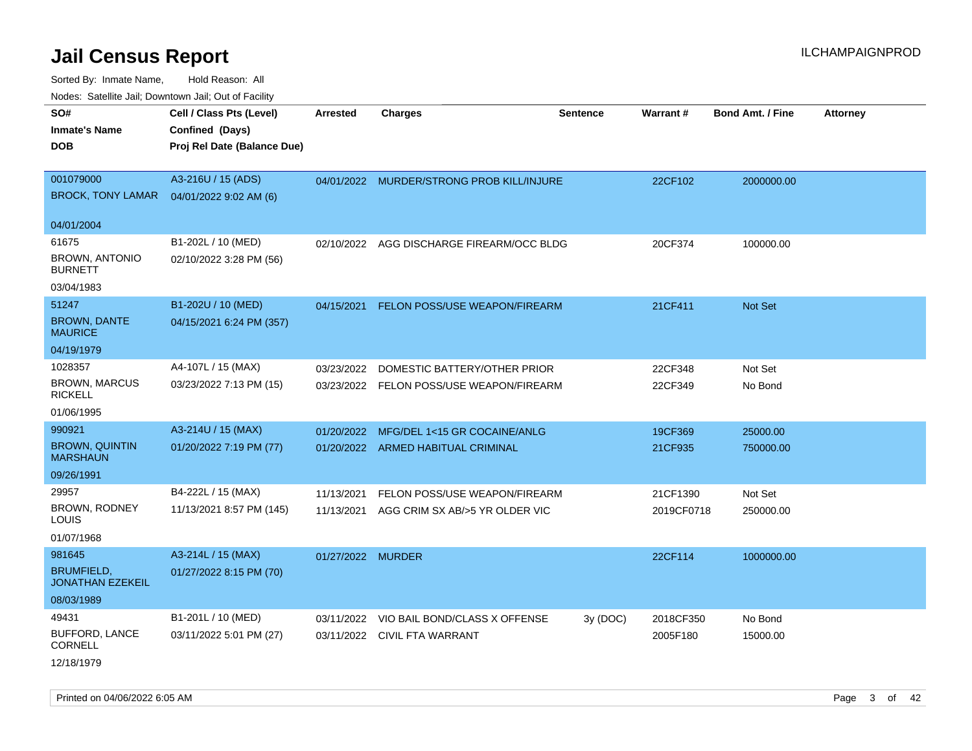| roaco. Calcinio dan, Domnomi dan, Cal or Fability |                             |                   |                                           |                 |            |                         |                 |
|---------------------------------------------------|-----------------------------|-------------------|-------------------------------------------|-----------------|------------|-------------------------|-----------------|
| SO#                                               | Cell / Class Pts (Level)    | <b>Arrested</b>   | <b>Charges</b>                            | <b>Sentence</b> | Warrant#   | <b>Bond Amt. / Fine</b> | <b>Attorney</b> |
| <b>Inmate's Name</b>                              | Confined (Days)             |                   |                                           |                 |            |                         |                 |
| <b>DOB</b>                                        | Proj Rel Date (Balance Due) |                   |                                           |                 |            |                         |                 |
|                                                   |                             |                   |                                           |                 |            |                         |                 |
| 001079000                                         | A3-216U / 15 (ADS)          |                   | 04/01/2022 MURDER/STRONG PROB KILL/INJURE |                 | 22CF102    | 2000000.00              |                 |
| <b>BROCK, TONY LAMAR</b>                          | 04/01/2022 9:02 AM (6)      |                   |                                           |                 |            |                         |                 |
|                                                   |                             |                   |                                           |                 |            |                         |                 |
| 04/01/2004                                        |                             |                   |                                           |                 |            |                         |                 |
| 61675                                             | B1-202L / 10 (MED)          |                   | 02/10/2022 AGG DISCHARGE FIREARM/OCC BLDG |                 | 20CF374    | 100000.00               |                 |
| BROWN, ANTONIO<br><b>BURNETT</b>                  | 02/10/2022 3:28 PM (56)     |                   |                                           |                 |            |                         |                 |
| 03/04/1983                                        |                             |                   |                                           |                 |            |                         |                 |
| 51247                                             | B1-202U / 10 (MED)          | 04/15/2021        | <b>FELON POSS/USE WEAPON/FIREARM</b>      |                 | 21CF411    | <b>Not Set</b>          |                 |
| <b>BROWN, DANTE</b><br><b>MAURICE</b>             | 04/15/2021 6:24 PM (357)    |                   |                                           |                 |            |                         |                 |
| 04/19/1979                                        |                             |                   |                                           |                 |            |                         |                 |
| 1028357                                           | A4-107L / 15 (MAX)          | 03/23/2022        | DOMESTIC BATTERY/OTHER PRIOR              |                 | 22CF348    | Not Set                 |                 |
| <b>BROWN, MARCUS</b><br><b>RICKELL</b>            | 03/23/2022 7:13 PM (15)     | 03/23/2022        | FELON POSS/USE WEAPON/FIREARM             |                 | 22CF349    | No Bond                 |                 |
| 01/06/1995                                        |                             |                   |                                           |                 |            |                         |                 |
| 990921                                            | A3-214U / 15 (MAX)          | 01/20/2022        | MFG/DEL 1<15 GR COCAINE/ANLG              |                 | 19CF369    | 25000.00                |                 |
| <b>BROWN, QUINTIN</b><br><b>MARSHAUN</b>          | 01/20/2022 7:19 PM (77)     |                   | 01/20/2022 ARMED HABITUAL CRIMINAL        |                 | 21CF935    | 750000.00               |                 |
| 09/26/1991                                        |                             |                   |                                           |                 |            |                         |                 |
| 29957                                             | B4-222L / 15 (MAX)          | 11/13/2021        | FELON POSS/USE WEAPON/FIREARM             |                 | 21CF1390   | Not Set                 |                 |
| <b>BROWN, RODNEY</b><br>LOUIS                     | 11/13/2021 8:57 PM (145)    | 11/13/2021        | AGG CRIM SX AB/>5 YR OLDER VIC            |                 | 2019CF0718 | 250000.00               |                 |
| 01/07/1968                                        |                             |                   |                                           |                 |            |                         |                 |
| 981645                                            | A3-214L / 15 (MAX)          | 01/27/2022 MURDER |                                           |                 | 22CF114    | 1000000.00              |                 |
| <b>BRUMFIELD,</b><br><b>JONATHAN EZEKEIL</b>      | 01/27/2022 8:15 PM (70)     |                   |                                           |                 |            |                         |                 |
| 08/03/1989                                        |                             |                   |                                           |                 |            |                         |                 |
| 49431                                             | B1-201L / 10 (MED)          | 03/11/2022        | VIO BAIL BOND/CLASS X OFFENSE             | 3y(DOC)         | 2018CF350  | No Bond                 |                 |
| <b>BUFFORD, LANCE</b><br><b>CORNELL</b>           | 03/11/2022 5:01 PM (27)     | 03/11/2022        | CIVIL FTA WARRANT                         |                 | 2005F180   | 15000.00                |                 |
| 12/18/1979                                        |                             |                   |                                           |                 |            |                         |                 |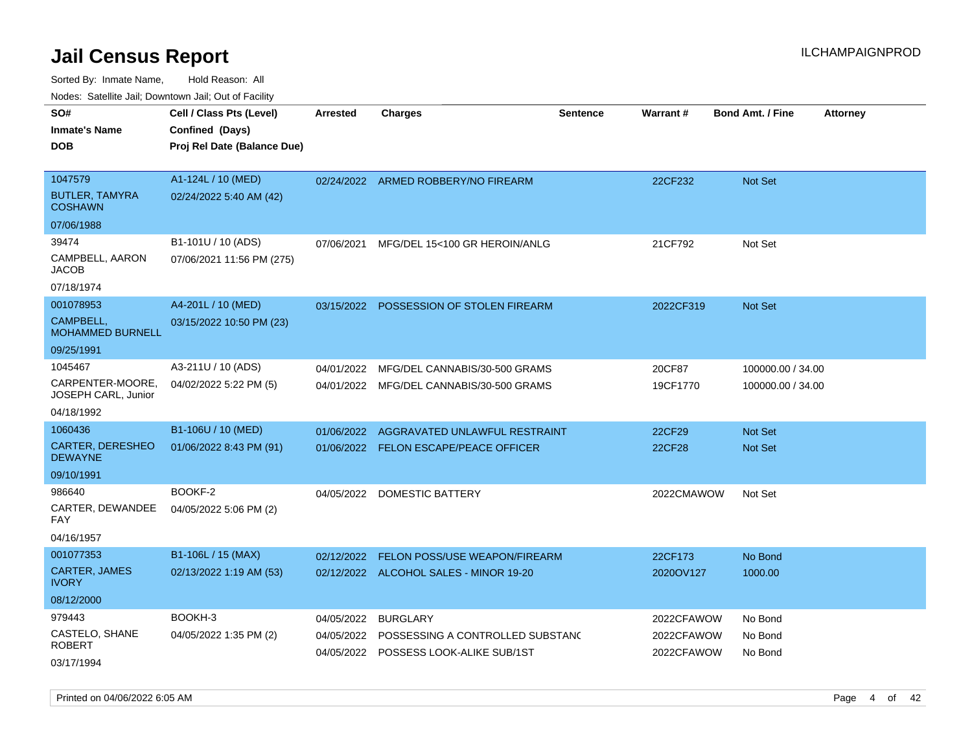Sorted By: Inmate Name, Hold Reason: All

Nodes: Satellite Jail; Downtown Jail; Out of Facility

| SO#                                     | Cell / Class Pts (Level)    | <b>Arrested</b> | <b>Charges</b>                           | <b>Sentence</b> | Warrant#   | <b>Bond Amt. / Fine</b> | <b>Attorney</b> |
|-----------------------------------------|-----------------------------|-----------------|------------------------------------------|-----------------|------------|-------------------------|-----------------|
| <b>Inmate's Name</b>                    | Confined (Days)             |                 |                                          |                 |            |                         |                 |
| <b>DOB</b>                              | Proj Rel Date (Balance Due) |                 |                                          |                 |            |                         |                 |
|                                         |                             |                 |                                          |                 |            |                         |                 |
| 1047579                                 | A1-124L / 10 (MED)          |                 | 02/24/2022 ARMED ROBBERY/NO FIREARM      |                 | 22CF232    | Not Set                 |                 |
| <b>BUTLER, TAMYRA</b><br><b>COSHAWN</b> | 02/24/2022 5:40 AM (42)     |                 |                                          |                 |            |                         |                 |
| 07/06/1988                              |                             |                 |                                          |                 |            |                         |                 |
| 39474                                   | B1-101U / 10 (ADS)          | 07/06/2021      | MFG/DEL 15<100 GR HEROIN/ANLG            |                 | 21CF792    | Not Set                 |                 |
| CAMPBELL, AARON<br>JACOB                | 07/06/2021 11:56 PM (275)   |                 |                                          |                 |            |                         |                 |
| 07/18/1974                              |                             |                 |                                          |                 |            |                         |                 |
| 001078953                               | A4-201L / 10 (MED)          | 03/15/2022      | POSSESSION OF STOLEN FIREARM             |                 | 2022CF319  | Not Set                 |                 |
| CAMPBELL,<br><b>MOHAMMED BURNELL</b>    | 03/15/2022 10:50 PM (23)    |                 |                                          |                 |            |                         |                 |
| 09/25/1991                              |                             |                 |                                          |                 |            |                         |                 |
| 1045467                                 | A3-211U / 10 (ADS)          | 04/01/2022      | MFG/DEL CANNABIS/30-500 GRAMS            |                 | 20CF87     | 100000.00 / 34.00       |                 |
| CARPENTER-MOORE,<br>JOSEPH CARL, Junior | 04/02/2022 5:22 PM (5)      |                 | 04/01/2022 MFG/DEL CANNABIS/30-500 GRAMS |                 | 19CF1770   | 100000.00 / 34.00       |                 |
| 04/18/1992                              |                             |                 |                                          |                 |            |                         |                 |
| 1060436                                 | B1-106U / 10 (MED)          | 01/06/2022      | AGGRAVATED UNLAWFUL RESTRAINT            |                 | 22CF29     | <b>Not Set</b>          |                 |
| CARTER, DERESHEO<br><b>DEWAYNE</b>      | 01/06/2022 8:43 PM (91)     |                 | 01/06/2022 FELON ESCAPE/PEACE OFFICER    |                 | 22CF28     | Not Set                 |                 |
| 09/10/1991                              |                             |                 |                                          |                 |            |                         |                 |
| 986640                                  | BOOKF-2                     |                 | 04/05/2022 DOMESTIC BATTERY              |                 | 2022CMAWOW | Not Set                 |                 |
| CARTER, DEWANDEE<br>FAY                 | 04/05/2022 5:06 PM (2)      |                 |                                          |                 |            |                         |                 |
| 04/16/1957                              |                             |                 |                                          |                 |            |                         |                 |
| 001077353                               | B1-106L / 15 (MAX)          | 02/12/2022      | FELON POSS/USE WEAPON/FIREARM            |                 | 22CF173    | No Bond                 |                 |
| <b>CARTER, JAMES</b><br><b>IVORY</b>    | 02/13/2022 1:19 AM (53)     |                 | 02/12/2022 ALCOHOL SALES - MINOR 19-20   |                 | 2020OV127  | 1000.00                 |                 |
| 08/12/2000                              |                             |                 |                                          |                 |            |                         |                 |
| 979443                                  | BOOKH-3                     | 04/05/2022      | <b>BURGLARY</b>                          |                 | 2022CFAWOW | No Bond                 |                 |
| CASTELO, SHANE                          | 04/05/2022 1:35 PM (2)      | 04/05/2022      | POSSESSING A CONTROLLED SUBSTANC         |                 | 2022CFAWOW | No Bond                 |                 |
| <b>ROBERT</b>                           |                             |                 | 04/05/2022 POSSESS LOOK-ALIKE SUB/1ST    |                 | 2022CFAWOW | No Bond                 |                 |
| 03/17/1994                              |                             |                 |                                          |                 |            |                         |                 |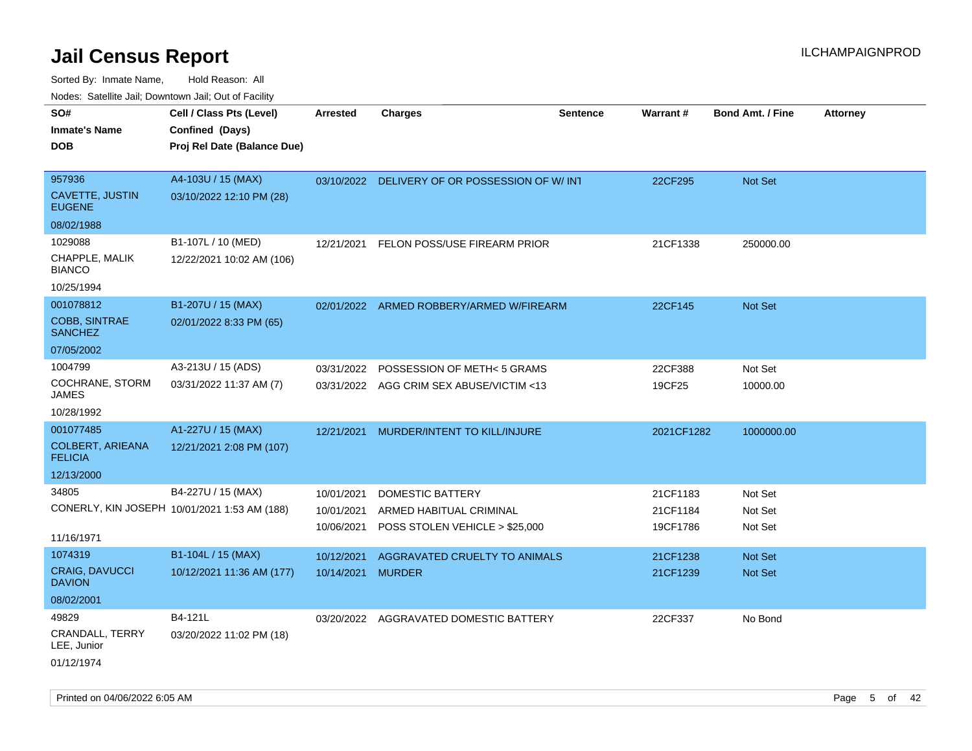| rougs. Calcing Jan, Downtown Jan, Out of Facinty                       |                                                                            |                                        |                                                                               |                 |                                  |                               |                 |
|------------------------------------------------------------------------|----------------------------------------------------------------------------|----------------------------------------|-------------------------------------------------------------------------------|-----------------|----------------------------------|-------------------------------|-----------------|
| SO#<br><b>Inmate's Name</b><br><b>DOB</b>                              | Cell / Class Pts (Level)<br>Confined (Days)<br>Proj Rel Date (Balance Due) | <b>Arrested</b>                        | <b>Charges</b>                                                                | <b>Sentence</b> | <b>Warrant#</b>                  | <b>Bond Amt. / Fine</b>       | <b>Attorney</b> |
| 957936<br>CAVETTE, JUSTIN<br><b>EUGENE</b>                             | A4-103U / 15 (MAX)<br>03/10/2022 12:10 PM (28)                             |                                        | 03/10/2022 DELIVERY OF OR POSSESSION OF W/ INT                                |                 | 22CF295                          | Not Set                       |                 |
| 08/02/1988<br>1029088<br>CHAPPLE, MALIK<br><b>BIANCO</b><br>10/25/1994 | B1-107L / 10 (MED)<br>12/22/2021 10:02 AM (106)                            | 12/21/2021                             | FELON POSS/USE FIREARM PRIOR                                                  |                 | 21CF1338                         | 250000.00                     |                 |
| 001078812<br><b>COBB, SINTRAE</b><br><b>SANCHEZ</b><br>07/05/2002      | B1-207U / 15 (MAX)<br>02/01/2022 8:33 PM (65)                              |                                        | 02/01/2022 ARMED ROBBERY/ARMED W/FIREARM                                      |                 | 22CF145                          | <b>Not Set</b>                |                 |
| 1004799<br>COCHRANE, STORM<br>JAMES<br>10/28/1992                      | A3-213U / 15 (ADS)<br>03/31/2022 11:37 AM (7)                              | 03/31/2022                             | POSSESSION OF METH< 5 GRAMS<br>03/31/2022 AGG CRIM SEX ABUSE/VICTIM <13       |                 | 22CF388<br>19CF25                | Not Set<br>10000.00           |                 |
| 001077485<br><b>COLBERT, ARIEANA</b><br><b>FELICIA</b><br>12/13/2000   | A1-227U / 15 (MAX)<br>12/21/2021 2:08 PM (107)                             | 12/21/2021                             | MURDER/INTENT TO KILL/INJURE                                                  |                 | 2021CF1282                       | 1000000.00                    |                 |
| 34805<br>11/16/1971                                                    | B4-227U / 15 (MAX)<br>CONERLY, KIN JOSEPH 10/01/2021 1:53 AM (188)         | 10/01/2021<br>10/01/2021<br>10/06/2021 | DOMESTIC BATTERY<br>ARMED HABITUAL CRIMINAL<br>POSS STOLEN VEHICLE > \$25,000 |                 | 21CF1183<br>21CF1184<br>19CF1786 | Not Set<br>Not Set<br>Not Set |                 |
| 1074319<br>CRAIG, DAVUCCI<br><b>DAVION</b><br>08/02/2001               | B1-104L / 15 (MAX)<br>10/12/2021 11:36 AM (177)                            | 10/12/2021<br>10/14/2021               | AGGRAVATED CRUELTY TO ANIMALS<br><b>MURDER</b>                                |                 | 21CF1238<br>21CF1239             | <b>Not Set</b><br>Not Set     |                 |
| 49829<br><b>CRANDALL, TERRY</b><br>LEE, Junior<br>01/12/1974           | B4-121L<br>03/20/2022 11:02 PM (18)                                        |                                        | 03/20/2022 AGGRAVATED DOMESTIC BATTERY                                        |                 | 22CF337                          | No Bond                       |                 |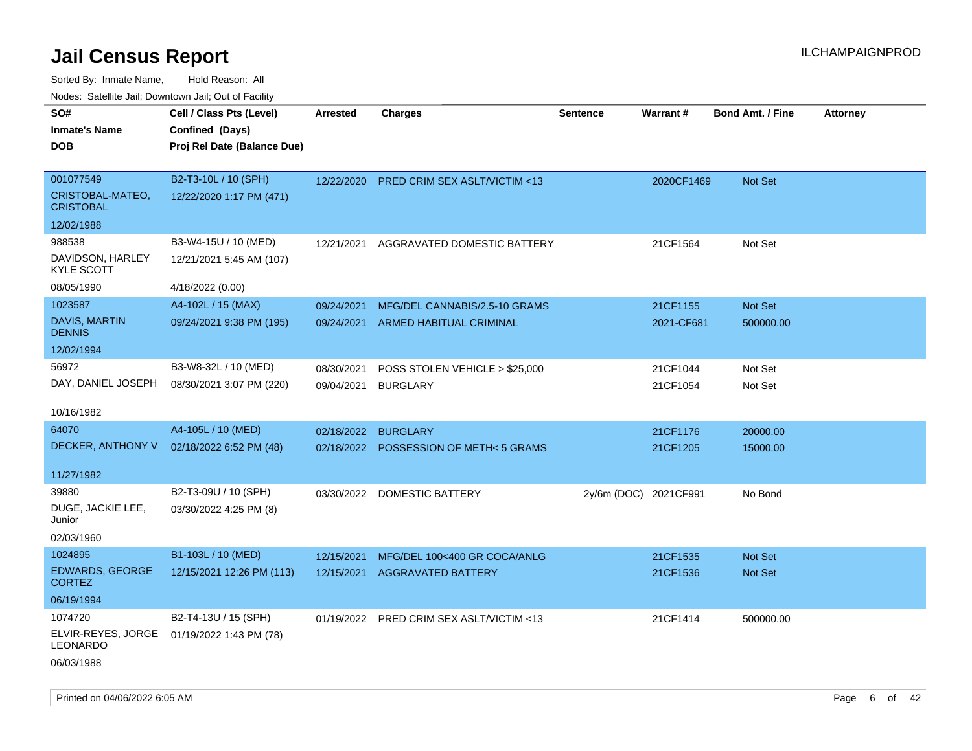| ivuutos. Saltiilit Jall, Duwilluwii Jall, Oul of Facility |                             |            |                                          |                       |            |                         |                 |
|-----------------------------------------------------------|-----------------------------|------------|------------------------------------------|-----------------------|------------|-------------------------|-----------------|
| SO#                                                       | Cell / Class Pts (Level)    | Arrested   | <b>Charges</b>                           | <b>Sentence</b>       | Warrant#   | <b>Bond Amt. / Fine</b> | <b>Attorney</b> |
| <b>Inmate's Name</b>                                      | Confined (Days)             |            |                                          |                       |            |                         |                 |
| <b>DOB</b>                                                | Proj Rel Date (Balance Due) |            |                                          |                       |            |                         |                 |
|                                                           |                             |            |                                          |                       |            |                         |                 |
| 001077549                                                 | B2-T3-10L / 10 (SPH)        | 12/22/2020 | PRED CRIM SEX ASLT/VICTIM <13            |                       | 2020CF1469 | Not Set                 |                 |
| CRISTOBAL-MATEO,<br><b>CRISTOBAL</b>                      | 12/22/2020 1:17 PM (471)    |            |                                          |                       |            |                         |                 |
| 12/02/1988                                                |                             |            |                                          |                       |            |                         |                 |
| 988538                                                    | B3-W4-15U / 10 (MED)        | 12/21/2021 | AGGRAVATED DOMESTIC BATTERY              |                       | 21CF1564   | Not Set                 |                 |
| DAVIDSON, HARLEY<br><b>KYLE SCOTT</b>                     | 12/21/2021 5:45 AM (107)    |            |                                          |                       |            |                         |                 |
| 08/05/1990                                                | 4/18/2022 (0.00)            |            |                                          |                       |            |                         |                 |
| 1023587                                                   | A4-102L / 15 (MAX)          | 09/24/2021 | MFG/DEL CANNABIS/2.5-10 GRAMS            |                       | 21CF1155   | Not Set                 |                 |
| DAVIS, MARTIN<br><b>DENNIS</b>                            | 09/24/2021 9:38 PM (195)    | 09/24/2021 | ARMED HABITUAL CRIMINAL                  |                       | 2021-CF681 | 500000.00               |                 |
| 12/02/1994                                                |                             |            |                                          |                       |            |                         |                 |
| 56972                                                     | B3-W8-32L / 10 (MED)        | 08/30/2021 | POSS STOLEN VEHICLE > \$25,000           |                       | 21CF1044   | Not Set                 |                 |
| DAY, DANIEL JOSEPH                                        | 08/30/2021 3:07 PM (220)    | 09/04/2021 | <b>BURGLARY</b>                          |                       | 21CF1054   | Not Set                 |                 |
|                                                           |                             |            |                                          |                       |            |                         |                 |
| 10/16/1982                                                |                             |            |                                          |                       |            |                         |                 |
| 64070                                                     | A4-105L / 10 (MED)          | 02/18/2022 | <b>BURGLARY</b>                          |                       | 21CF1176   | 20000.00                |                 |
| DECKER, ANTHONY V                                         | 02/18/2022 6:52 PM (48)     | 02/18/2022 | POSSESSION OF METH<5 GRAMS               |                       | 21CF1205   | 15000.00                |                 |
|                                                           |                             |            |                                          |                       |            |                         |                 |
| 11/27/1982                                                |                             |            |                                          |                       |            |                         |                 |
| 39880                                                     | B2-T3-09U / 10 (SPH)        | 03/30/2022 | <b>DOMESTIC BATTERY</b>                  | 2y/6m (DOC) 2021CF991 |            | No Bond                 |                 |
| DUGE, JACKIE LEE,<br>Junior                               | 03/30/2022 4:25 PM (8)      |            |                                          |                       |            |                         |                 |
| 02/03/1960                                                |                             |            |                                          |                       |            |                         |                 |
| 1024895                                                   | B1-103L / 10 (MED)          | 12/15/2021 | MFG/DEL 100<400 GR COCA/ANLG             |                       | 21CF1535   | Not Set                 |                 |
| EDWARDS, GEORGE                                           | 12/15/2021 12:26 PM (113)   | 12/15/2021 | <b>AGGRAVATED BATTERY</b>                |                       | 21CF1536   | Not Set                 |                 |
| <b>CORTEZ</b>                                             |                             |            |                                          |                       |            |                         |                 |
| 06/19/1994                                                |                             |            |                                          |                       |            |                         |                 |
| 1074720                                                   | B2-T4-13U / 15 (SPH)        |            | 01/19/2022 PRED CRIM SEX ASLT/VICTIM <13 |                       | 21CF1414   | 500000.00               |                 |
| ELVIR-REYES, JORGE<br>LEONARDO                            | 01/19/2022 1:43 PM (78)     |            |                                          |                       |            |                         |                 |
| 06/03/1988                                                |                             |            |                                          |                       |            |                         |                 |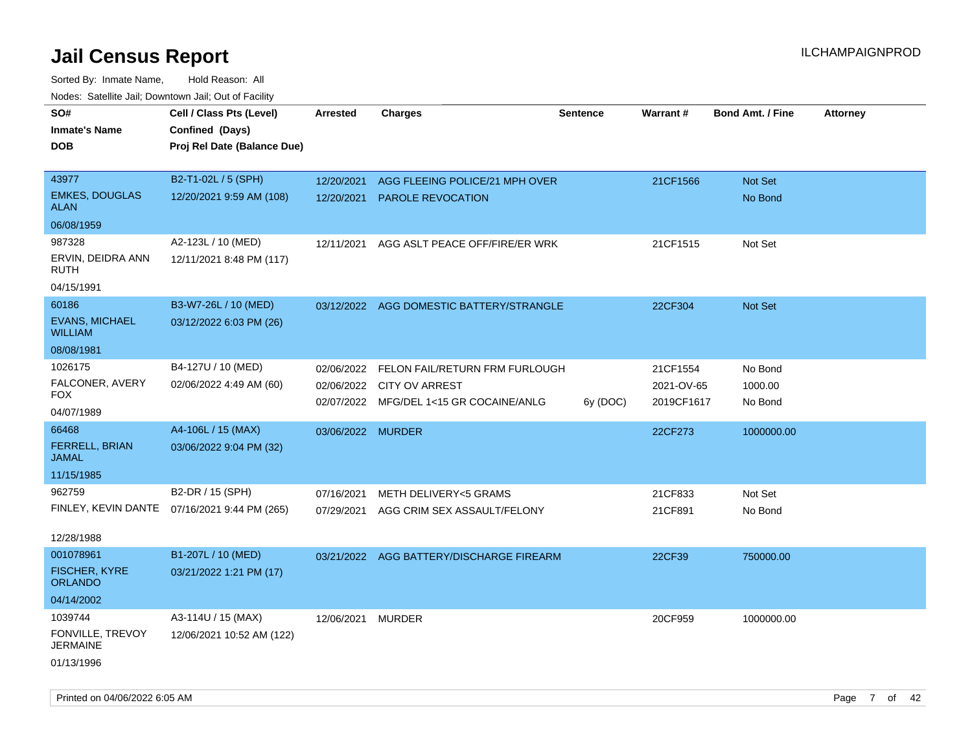| SO#                                     | Cell / Class Pts (Level)                     | <b>Arrested</b>   | <b>Charges</b>                           | <b>Sentence</b> | Warrant#   | <b>Bond Amt. / Fine</b> | <b>Attorney</b> |
|-----------------------------------------|----------------------------------------------|-------------------|------------------------------------------|-----------------|------------|-------------------------|-----------------|
| <b>Inmate's Name</b>                    | Confined (Days)                              |                   |                                          |                 |            |                         |                 |
| <b>DOB</b>                              | Proj Rel Date (Balance Due)                  |                   |                                          |                 |            |                         |                 |
|                                         |                                              |                   |                                          |                 |            |                         |                 |
| 43977                                   | B2-T1-02L / 5 (SPH)                          | 12/20/2021        | AGG FLEEING POLICE/21 MPH OVER           |                 | 21CF1566   | Not Set                 |                 |
| <b>EMKES, DOUGLAS</b><br><b>ALAN</b>    | 12/20/2021 9:59 AM (108)                     | 12/20/2021        | <b>PAROLE REVOCATION</b>                 |                 |            | No Bond                 |                 |
| 06/08/1959                              |                                              |                   |                                          |                 |            |                         |                 |
| 987328                                  | A2-123L / 10 (MED)                           | 12/11/2021        | AGG ASLT PEACE OFF/FIRE/ER WRK           |                 | 21CF1515   | Not Set                 |                 |
| ERVIN, DEIDRA ANN<br>RUTH               | 12/11/2021 8:48 PM (117)                     |                   |                                          |                 |            |                         |                 |
| 04/15/1991                              |                                              |                   |                                          |                 |            |                         |                 |
| 60186                                   | B3-W7-26L / 10 (MED)                         |                   | 03/12/2022 AGG DOMESTIC BATTERY/STRANGLE |                 | 22CF304    | Not Set                 |                 |
| <b>EVANS, MICHAEL</b><br><b>WILLIAM</b> | 03/12/2022 6:03 PM (26)                      |                   |                                          |                 |            |                         |                 |
| 08/08/1981                              |                                              |                   |                                          |                 |            |                         |                 |
| 1026175                                 | B4-127U / 10 (MED)                           | 02/06/2022        | FELON FAIL/RETURN FRM FURLOUGH           |                 | 21CF1554   | No Bond                 |                 |
| FALCONER, AVERY                         | 02/06/2022 4:49 AM (60)                      | 02/06/2022        | <b>CITY OV ARREST</b>                    |                 | 2021-OV-65 | 1000.00                 |                 |
| FOX                                     |                                              |                   | 02/07/2022 MFG/DEL 1<15 GR COCAINE/ANLG  | 6y (DOC)        | 2019CF1617 | No Bond                 |                 |
| 04/07/1989                              |                                              |                   |                                          |                 |            |                         |                 |
| 66468                                   | A4-106L / 15 (MAX)                           | 03/06/2022 MURDER |                                          |                 | 22CF273    | 1000000.00              |                 |
| <b>FERRELL, BRIAN</b><br><b>JAMAL</b>   | 03/06/2022 9:04 PM (32)                      |                   |                                          |                 |            |                         |                 |
| 11/15/1985                              |                                              |                   |                                          |                 |            |                         |                 |
| 962759                                  | B2-DR / 15 (SPH)                             | 07/16/2021        | <b>METH DELIVERY&lt;5 GRAMS</b>          |                 | 21CF833    | Not Set                 |                 |
|                                         | FINLEY, KEVIN DANTE 07/16/2021 9:44 PM (265) | 07/29/2021        | AGG CRIM SEX ASSAULT/FELONY              |                 | 21CF891    | No Bond                 |                 |
| 12/28/1988                              |                                              |                   |                                          |                 |            |                         |                 |
| 001078961                               | B1-207L / 10 (MED)                           |                   | 03/21/2022 AGG BATTERY/DISCHARGE FIREARM |                 | 22CF39     | 750000.00               |                 |
| <b>FISCHER, KYRE</b><br><b>ORLANDO</b>  | 03/21/2022 1:21 PM (17)                      |                   |                                          |                 |            |                         |                 |
| 04/14/2002                              |                                              |                   |                                          |                 |            |                         |                 |
| 1039744                                 | A3-114U / 15 (MAX)                           | 12/06/2021        | <b>MURDER</b>                            |                 | 20CF959    | 1000000.00              |                 |
| FONVILLE, TREVOY<br><b>JERMAINE</b>     | 12/06/2021 10:52 AM (122)                    |                   |                                          |                 |            |                         |                 |
| 01/13/1996                              |                                              |                   |                                          |                 |            |                         |                 |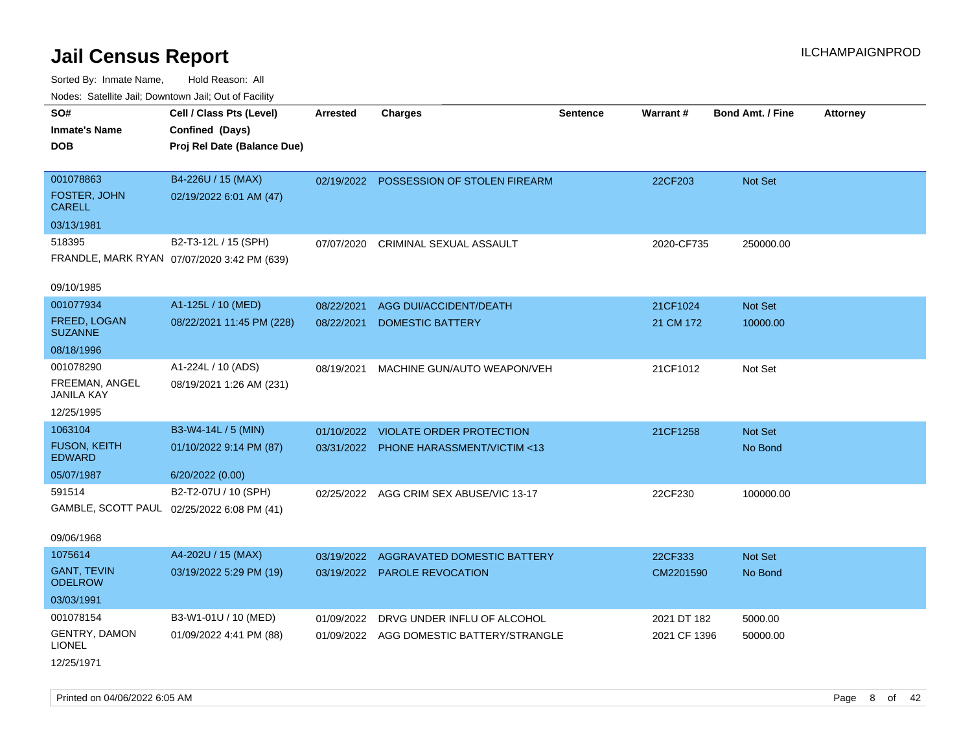| roacs. Catellite Jall, Downtown Jall, Out of Facility |                                             |                 |                                          |                 |              |                         |                 |
|-------------------------------------------------------|---------------------------------------------|-----------------|------------------------------------------|-----------------|--------------|-------------------------|-----------------|
| SO#<br><b>Inmate's Name</b>                           | Cell / Class Pts (Level)<br>Confined (Days) | <b>Arrested</b> | <b>Charges</b>                           | <b>Sentence</b> | Warrant#     | <b>Bond Amt. / Fine</b> | <b>Attorney</b> |
| <b>DOB</b>                                            | Proj Rel Date (Balance Due)                 |                 |                                          |                 |              |                         |                 |
| 001078863                                             | B4-226U / 15 (MAX)                          |                 | 02/19/2022 POSSESSION OF STOLEN FIREARM  |                 | 22CF203      | Not Set                 |                 |
| FOSTER, JOHN<br><b>CARELL</b>                         | 02/19/2022 6:01 AM (47)                     |                 |                                          |                 |              |                         |                 |
| 03/13/1981                                            |                                             |                 |                                          |                 |              |                         |                 |
| 518395                                                | B2-T3-12L / 15 (SPH)                        | 07/07/2020      | CRIMINAL SEXUAL ASSAULT                  |                 | 2020-CF735   | 250000.00               |                 |
|                                                       | FRANDLE, MARK RYAN 07/07/2020 3:42 PM (639) |                 |                                          |                 |              |                         |                 |
| 09/10/1985                                            |                                             |                 |                                          |                 |              |                         |                 |
| 001077934                                             | A1-125L / 10 (MED)                          | 08/22/2021      | AGG DUI/ACCIDENT/DEATH                   |                 | 21CF1024     | Not Set                 |                 |
| <b>FREED, LOGAN</b><br><b>SUZANNE</b>                 | 08/22/2021 11:45 PM (228)                   | 08/22/2021      | <b>DOMESTIC BATTERY</b>                  |                 | 21 CM 172    | 10000.00                |                 |
| 08/18/1996                                            |                                             |                 |                                          |                 |              |                         |                 |
| 001078290                                             | A1-224L / 10 (ADS)                          | 08/19/2021      | MACHINE GUN/AUTO WEAPON/VEH              |                 | 21CF1012     | Not Set                 |                 |
| FREEMAN, ANGEL<br>JANILA KAY                          | 08/19/2021 1:26 AM (231)                    |                 |                                          |                 |              |                         |                 |
| 12/25/1995                                            |                                             |                 |                                          |                 |              |                         |                 |
| 1063104                                               | B3-W4-14L / 5 (MIN)                         | 01/10/2022      | <b>VIOLATE ORDER PROTECTION</b>          |                 | 21CF1258     | Not Set                 |                 |
| <b>FUSON, KEITH</b><br><b>EDWARD</b>                  | 01/10/2022 9:14 PM (87)                     |                 | 03/31/2022 PHONE HARASSMENT/VICTIM <13   |                 |              | No Bond                 |                 |
| 05/07/1987                                            | 6/20/2022 (0.00)                            |                 |                                          |                 |              |                         |                 |
| 591514                                                | B2-T2-07U / 10 (SPH)                        |                 | 02/25/2022 AGG CRIM SEX ABUSE/VIC 13-17  |                 | 22CF230      | 100000.00               |                 |
|                                                       | GAMBLE, SCOTT PAUL 02/25/2022 6:08 PM (41)  |                 |                                          |                 |              |                         |                 |
| 09/06/1968                                            |                                             |                 |                                          |                 |              |                         |                 |
| 1075614                                               | A4-202U / 15 (MAX)                          | 03/19/2022      | AGGRAVATED DOMESTIC BATTERY              |                 | 22CF333      | Not Set                 |                 |
| <b>GANT, TEVIN</b><br><b>ODELROW</b>                  | 03/19/2022 5:29 PM (19)                     |                 | 03/19/2022 PAROLE REVOCATION             |                 | CM2201590    | No Bond                 |                 |
| 03/03/1991                                            |                                             |                 |                                          |                 |              |                         |                 |
| 001078154                                             | B3-W1-01U / 10 (MED)                        | 01/09/2022      | DRVG UNDER INFLU OF ALCOHOL              |                 | 2021 DT 182  | 5000.00                 |                 |
| <b>GENTRY, DAMON</b><br><b>LIONEL</b>                 | 01/09/2022 4:41 PM (88)                     |                 | 01/09/2022 AGG DOMESTIC BATTERY/STRANGLE |                 | 2021 CF 1396 | 50000.00                |                 |
| 12/25/1971                                            |                                             |                 |                                          |                 |              |                         |                 |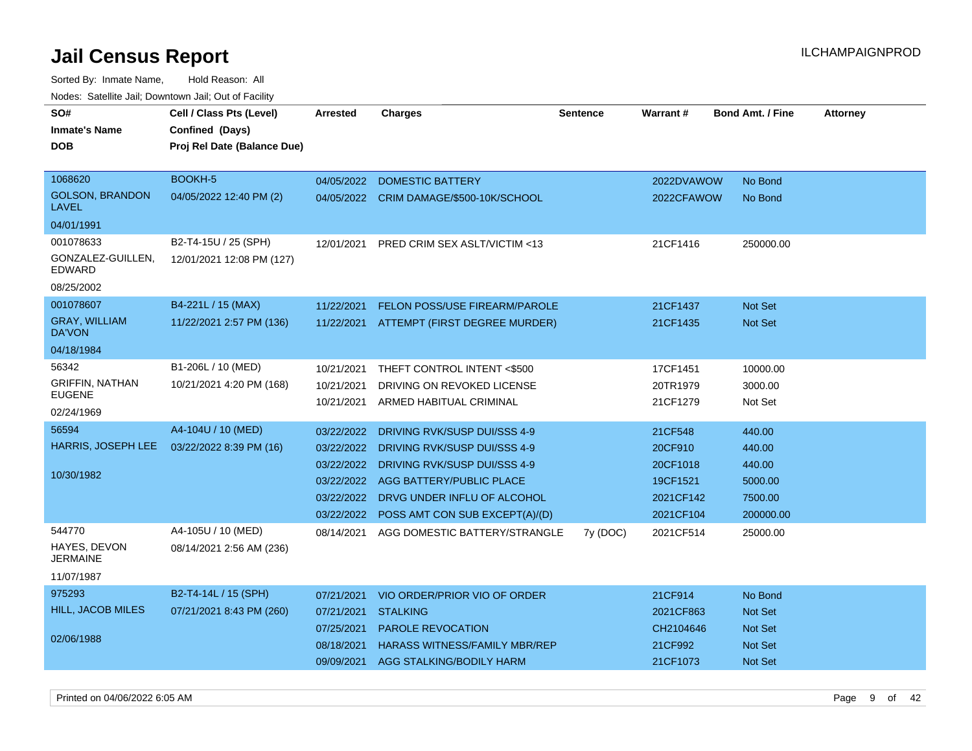| <u>Houce.</u> Catellite ball, Downtown ball, Out of Fabilit |                             |            |                                           |                 |            |                  |                 |
|-------------------------------------------------------------|-----------------------------|------------|-------------------------------------------|-----------------|------------|------------------|-----------------|
| SO#                                                         | Cell / Class Pts (Level)    | Arrested   | <b>Charges</b>                            | <b>Sentence</b> | Warrant#   | Bond Amt. / Fine | <b>Attorney</b> |
| <b>Inmate's Name</b>                                        | Confined (Days)             |            |                                           |                 |            |                  |                 |
| <b>DOB</b>                                                  | Proj Rel Date (Balance Due) |            |                                           |                 |            |                  |                 |
|                                                             |                             |            |                                           |                 |            |                  |                 |
| 1068620                                                     | BOOKH-5                     | 04/05/2022 | <b>DOMESTIC BATTERY</b>                   |                 | 2022DVAWOW | No Bond          |                 |
| <b>GOLSON, BRANDON</b><br>LAVEL                             | 04/05/2022 12:40 PM (2)     |            | 04/05/2022 CRIM DAMAGE/\$500-10K/SCHOOL   |                 | 2022CFAWOW | No Bond          |                 |
| 04/01/1991                                                  |                             |            |                                           |                 |            |                  |                 |
| 001078633                                                   | B2-T4-15U / 25 (SPH)        | 12/01/2021 | PRED CRIM SEX ASLT/VICTIM <13             |                 | 21CF1416   | 250000.00        |                 |
| GONZALEZ-GUILLEN.<br>EDWARD                                 | 12/01/2021 12:08 PM (127)   |            |                                           |                 |            |                  |                 |
| 08/25/2002                                                  |                             |            |                                           |                 |            |                  |                 |
| 001078607                                                   | B4-221L / 15 (MAX)          | 11/22/2021 | FELON POSS/USE FIREARM/PAROLE             |                 | 21CF1437   | Not Set          |                 |
| <b>GRAY, WILLIAM</b><br><b>DA'VON</b>                       | 11/22/2021 2:57 PM (136)    | 11/22/2021 | ATTEMPT (FIRST DEGREE MURDER)             |                 | 21CF1435   | Not Set          |                 |
| 04/18/1984                                                  |                             |            |                                           |                 |            |                  |                 |
| 56342                                                       | B1-206L / 10 (MED)          | 10/21/2021 | THEFT CONTROL INTENT <\$500               |                 | 17CF1451   | 10000.00         |                 |
| GRIFFIN, NATHAN                                             | 10/21/2021 4:20 PM (168)    | 10/21/2021 | DRIVING ON REVOKED LICENSE                |                 | 20TR1979   | 3000.00          |                 |
| <b>EUGENE</b>                                               |                             | 10/21/2021 | ARMED HABITUAL CRIMINAL                   |                 | 21CF1279   | Not Set          |                 |
| 02/24/1969                                                  |                             |            |                                           |                 |            |                  |                 |
| 56594                                                       | A4-104U / 10 (MED)          | 03/22/2022 | DRIVING RVK/SUSP DUI/SSS 4-9              |                 | 21CF548    | 440.00           |                 |
| HARRIS, JOSEPH LEE                                          | 03/22/2022 8:39 PM (16)     | 03/22/2022 | DRIVING RVK/SUSP DUI/SSS 4-9              |                 | 20CF910    | 440.00           |                 |
|                                                             |                             | 03/22/2022 | DRIVING RVK/SUSP DUI/SSS 4-9              |                 | 20CF1018   | 440.00           |                 |
| 10/30/1982                                                  |                             | 03/22/2022 | AGG BATTERY/PUBLIC PLACE                  |                 | 19CF1521   | 5000.00          |                 |
|                                                             |                             |            | 03/22/2022 DRVG UNDER INFLU OF ALCOHOL    |                 | 2021CF142  | 7500.00          |                 |
|                                                             |                             |            | 03/22/2022 POSS AMT CON SUB EXCEPT(A)/(D) |                 | 2021CF104  | 200000.00        |                 |
| 544770                                                      | A4-105U / 10 (MED)          | 08/14/2021 | AGG DOMESTIC BATTERY/STRANGLE             | 7y (DOC)        | 2021CF514  | 25000.00         |                 |
| HAYES, DEVON<br>JERMAINE                                    | 08/14/2021 2:56 AM (236)    |            |                                           |                 |            |                  |                 |
| 11/07/1987                                                  |                             |            |                                           |                 |            |                  |                 |
| 975293                                                      | B2-T4-14L / 15 (SPH)        | 07/21/2021 | VIO ORDER/PRIOR VIO OF ORDER              |                 | 21CF914    | No Bond          |                 |
| HILL, JACOB MILES                                           | 07/21/2021 8:43 PM (260)    | 07/21/2021 | <b>STALKING</b>                           |                 | 2021CF863  | Not Set          |                 |
|                                                             |                             | 07/25/2021 | <b>PAROLE REVOCATION</b>                  |                 | CH2104646  | Not Set          |                 |
| 02/06/1988                                                  |                             | 08/18/2021 | <b>HARASS WITNESS/FAMILY MBR/REP</b>      |                 | 21CF992    | Not Set          |                 |
|                                                             |                             | 09/09/2021 | AGG STALKING/BODILY HARM                  |                 | 21CF1073   | Not Set          |                 |
|                                                             |                             |            |                                           |                 |            |                  |                 |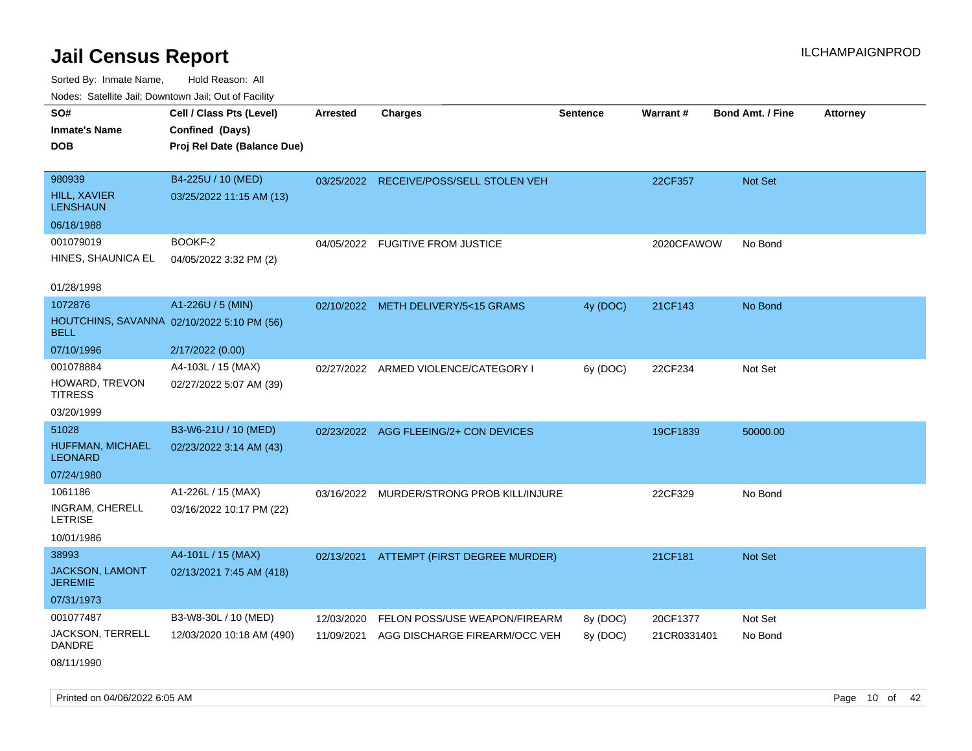| Noues. Sateme Jan, Downtown Jan, Out or Facility |                                            |            |                                           |          |             |                         |                 |
|--------------------------------------------------|--------------------------------------------|------------|-------------------------------------------|----------|-------------|-------------------------|-----------------|
| SO#                                              | Cell / Class Pts (Level)                   | Arrested   | <b>Charges</b>                            | Sentence | Warrant#    | <b>Bond Amt. / Fine</b> | <b>Attorney</b> |
| <b>Inmate's Name</b>                             | Confined (Days)                            |            |                                           |          |             |                         |                 |
| <b>DOB</b>                                       | Proj Rel Date (Balance Due)                |            |                                           |          |             |                         |                 |
|                                                  |                                            |            |                                           |          |             |                         |                 |
| 980939                                           | B4-225U / 10 (MED)                         |            | 03/25/2022 RECEIVE/POSS/SELL STOLEN VEH   |          | 22CF357     | Not Set                 |                 |
| <b>HILL, XAVIER</b><br><b>LENSHAUN</b>           | 03/25/2022 11:15 AM (13)                   |            |                                           |          |             |                         |                 |
| 06/18/1988                                       |                                            |            |                                           |          |             |                         |                 |
| 001079019                                        | BOOKF-2                                    | 04/05/2022 | <b>FUGITIVE FROM JUSTICE</b>              |          | 2020CFAWOW  | No Bond                 |                 |
| HINES, SHAUNICA EL                               | 04/05/2022 3:32 PM (2)                     |            |                                           |          |             |                         |                 |
| 01/28/1998                                       |                                            |            |                                           |          |             |                         |                 |
| 1072876                                          | A1-226U / 5 (MIN)                          |            | 02/10/2022 METH DELIVERY/5<15 GRAMS       | 4y (DOC) | 21CF143     | No Bond                 |                 |
| <b>BELL</b>                                      | HOUTCHINS, SAVANNA 02/10/2022 5:10 PM (56) |            |                                           |          |             |                         |                 |
| 07/10/1996                                       | 2/17/2022 (0.00)                           |            |                                           |          |             |                         |                 |
| 001078884                                        | A4-103L / 15 (MAX)                         |            | 02/27/2022 ARMED VIOLENCE/CATEGORY I      | 6y (DOC) | 22CF234     | Not Set                 |                 |
| HOWARD, TREVON<br><b>TITRESS</b>                 | 02/27/2022 5:07 AM (39)                    |            |                                           |          |             |                         |                 |
| 03/20/1999                                       |                                            |            |                                           |          |             |                         |                 |
| 51028                                            | B3-W6-21U / 10 (MED)                       |            | 02/23/2022 AGG FLEEING/2+ CON DEVICES     |          | 19CF1839    | 50000.00                |                 |
| HUFFMAN, MICHAEL<br><b>LEONARD</b>               | 02/23/2022 3:14 AM (43)                    |            |                                           |          |             |                         |                 |
| 07/24/1980                                       |                                            |            |                                           |          |             |                         |                 |
| 1061186                                          | A1-226L / 15 (MAX)                         |            | 03/16/2022 MURDER/STRONG PROB KILL/INJURE |          | 22CF329     | No Bond                 |                 |
| INGRAM, CHERELL<br><b>LETRISE</b>                | 03/16/2022 10:17 PM (22)                   |            |                                           |          |             |                         |                 |
| 10/01/1986                                       |                                            |            |                                           |          |             |                         |                 |
| 38993                                            | A4-101L / 15 (MAX)                         |            | 02/13/2021 ATTEMPT (FIRST DEGREE MURDER)  |          | 21CF181     | Not Set                 |                 |
| <b>JACKSON, LAMONT</b><br><b>JEREMIE</b>         | 02/13/2021 7:45 AM (418)                   |            |                                           |          |             |                         |                 |
| 07/31/1973                                       |                                            |            |                                           |          |             |                         |                 |
| 001077487                                        | B3-W8-30L / 10 (MED)                       | 12/03/2020 | FELON POSS/USE WEAPON/FIREARM             | 8y (DOC) | 20CF1377    | Not Set                 |                 |
| JACKSON, TERRELL<br><b>DANDRE</b>                | 12/03/2020 10:18 AM (490)                  | 11/09/2021 | AGG DISCHARGE FIREARM/OCC VEH             | 8y (DOC) | 21CR0331401 | No Bond                 |                 |
| 08/11/1990                                       |                                            |            |                                           |          |             |                         |                 |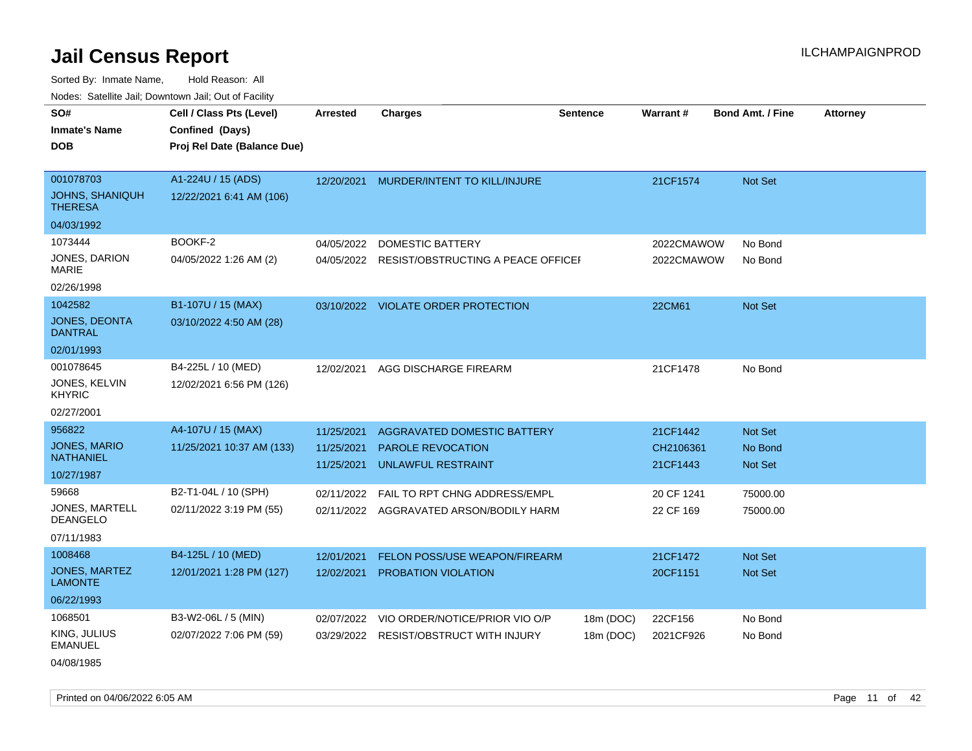Sorted By: Inmate Name, Hold Reason: All Nodes: Satellite Jail; Downtown Jail; Out of Facility

| SO#<br>Cell / Class Pts (Level)<br><b>Charges</b><br>Warrant#<br><b>Bond Amt. / Fine</b><br><b>Arrested</b><br><b>Sentence</b><br><b>Attorney</b><br>Confined (Days)<br><b>Inmate's Name</b><br><b>DOB</b><br>Proj Rel Date (Balance Due)<br>A1-224U / 15 (ADS)<br>001078703<br>12/20/2021<br>MURDER/INTENT TO KILL/INJURE<br>21CF1574<br><b>Not Set</b><br><b>JOHNS, SHANIQUH</b><br>12/22/2021 6:41 AM (106)<br><b>THERESA</b><br>04/03/1992<br>BOOKF-2<br>04/05/2022<br><b>DOMESTIC BATTERY</b><br>2022CMAWOW<br>No Bond<br>04/05/2022 1:26 AM (2)<br>04/05/2022 RESIST/OBSTRUCTING A PEACE OFFICEF<br>2022CMAWOW<br>No Bond<br>B1-107U / 15 (MAX)<br>03/10/2022 VIOLATE ORDER PROTECTION<br>22CM61<br>Not Set<br>03/10/2022 4:50 AM (28)<br>B4-225L / 10 (MED)<br>AGG DISCHARGE FIREARM<br>21CF1478<br>No Bond<br>12/02/2021<br>12/02/2021 6:56 PM (126)<br>A4-107U / 15 (MAX)<br>11/25/2021<br>AGGRAVATED DOMESTIC BATTERY<br>21CF1442<br><b>Not Set</b><br>11/25/2021 10:37 AM (133)<br>11/25/2021<br><b>PAROLE REVOCATION</b><br>CH2106361<br>No Bond<br><b>UNLAWFUL RESTRAINT</b><br>21CF1443<br>11/25/2021<br><b>Not Set</b><br>B2-T1-04L / 10 (SPH)<br>02/11/2022<br>FAIL TO RPT CHNG ADDRESS/EMPL<br>20 CF 1241<br>75000.00<br>02/11/2022 3:19 PM (55)<br>22 CF 169<br>02/11/2022 AGGRAVATED ARSON/BODILY HARM<br>75000.00<br>B4-125L / 10 (MED)<br>12/01/2021<br><b>FELON POSS/USE WEAPON/FIREARM</b><br>21CF1472<br>Not Set<br>12/01/2021 1:28 PM (127)<br>12/02/2021<br><b>PROBATION VIOLATION</b><br>20CF1151<br><b>Not Set</b><br>B3-W2-06L / 5 (MIN)<br>02/07/2022<br>VIO ORDER/NOTICE/PRIOR VIO O/P<br>22CF156<br>18m (DOC)<br>No Bond<br>02/07/2022 7:06 PM (59)<br>03/29/2022 RESIST/OBSTRUCT WITH INJURY<br>18m (DOC)<br>2021CF926<br>No Bond | roaco. Catolino cali, Domntonn cali, Out of Facility |  |  |  |  |
|--------------------------------------------------------------------------------------------------------------------------------------------------------------------------------------------------------------------------------------------------------------------------------------------------------------------------------------------------------------------------------------------------------------------------------------------------------------------------------------------------------------------------------------------------------------------------------------------------------------------------------------------------------------------------------------------------------------------------------------------------------------------------------------------------------------------------------------------------------------------------------------------------------------------------------------------------------------------------------------------------------------------------------------------------------------------------------------------------------------------------------------------------------------------------------------------------------------------------------------------------------------------------------------------------------------------------------------------------------------------------------------------------------------------------------------------------------------------------------------------------------------------------------------------------------------------------------------------------------------------------------------------------------------------------------------------------------------------------------------------------------------------|------------------------------------------------------|--|--|--|--|
|                                                                                                                                                                                                                                                                                                                                                                                                                                                                                                                                                                                                                                                                                                                                                                                                                                                                                                                                                                                                                                                                                                                                                                                                                                                                                                                                                                                                                                                                                                                                                                                                                                                                                                                                                                    |                                                      |  |  |  |  |
|                                                                                                                                                                                                                                                                                                                                                                                                                                                                                                                                                                                                                                                                                                                                                                                                                                                                                                                                                                                                                                                                                                                                                                                                                                                                                                                                                                                                                                                                                                                                                                                                                                                                                                                                                                    |                                                      |  |  |  |  |
| 1073444<br>JONES, DARION<br>MARIE<br>02/26/1998<br>1042582<br><b>JONES, DEONTA</b><br><b>DANTRAL</b><br>02/01/1993<br>001078645<br>JONES, KELVIN<br><b>KHYRIC</b><br>02/27/2001<br>956822<br><b>JONES, MARIO</b><br><b>NATHANIEL</b><br>10/27/1987<br>59668<br>JONES, MARTELL<br><b>DEANGELO</b><br>07/11/1983<br>1008468<br><b>JONES, MARTEZ</b><br><b>LAMONTE</b><br>06/22/1993<br>1068501<br>KING, JULIUS<br><b>EMANUEL</b>                                                                                                                                                                                                                                                                                                                                                                                                                                                                                                                                                                                                                                                                                                                                                                                                                                                                                                                                                                                                                                                                                                                                                                                                                                                                                                                                     |                                                      |  |  |  |  |
|                                                                                                                                                                                                                                                                                                                                                                                                                                                                                                                                                                                                                                                                                                                                                                                                                                                                                                                                                                                                                                                                                                                                                                                                                                                                                                                                                                                                                                                                                                                                                                                                                                                                                                                                                                    |                                                      |  |  |  |  |
|                                                                                                                                                                                                                                                                                                                                                                                                                                                                                                                                                                                                                                                                                                                                                                                                                                                                                                                                                                                                                                                                                                                                                                                                                                                                                                                                                                                                                                                                                                                                                                                                                                                                                                                                                                    |                                                      |  |  |  |  |
|                                                                                                                                                                                                                                                                                                                                                                                                                                                                                                                                                                                                                                                                                                                                                                                                                                                                                                                                                                                                                                                                                                                                                                                                                                                                                                                                                                                                                                                                                                                                                                                                                                                                                                                                                                    |                                                      |  |  |  |  |
|                                                                                                                                                                                                                                                                                                                                                                                                                                                                                                                                                                                                                                                                                                                                                                                                                                                                                                                                                                                                                                                                                                                                                                                                                                                                                                                                                                                                                                                                                                                                                                                                                                                                                                                                                                    |                                                      |  |  |  |  |
|                                                                                                                                                                                                                                                                                                                                                                                                                                                                                                                                                                                                                                                                                                                                                                                                                                                                                                                                                                                                                                                                                                                                                                                                                                                                                                                                                                                                                                                                                                                                                                                                                                                                                                                                                                    |                                                      |  |  |  |  |
|                                                                                                                                                                                                                                                                                                                                                                                                                                                                                                                                                                                                                                                                                                                                                                                                                                                                                                                                                                                                                                                                                                                                                                                                                                                                                                                                                                                                                                                                                                                                                                                                                                                                                                                                                                    |                                                      |  |  |  |  |
|                                                                                                                                                                                                                                                                                                                                                                                                                                                                                                                                                                                                                                                                                                                                                                                                                                                                                                                                                                                                                                                                                                                                                                                                                                                                                                                                                                                                                                                                                                                                                                                                                                                                                                                                                                    |                                                      |  |  |  |  |
|                                                                                                                                                                                                                                                                                                                                                                                                                                                                                                                                                                                                                                                                                                                                                                                                                                                                                                                                                                                                                                                                                                                                                                                                                                                                                                                                                                                                                                                                                                                                                                                                                                                                                                                                                                    |                                                      |  |  |  |  |
|                                                                                                                                                                                                                                                                                                                                                                                                                                                                                                                                                                                                                                                                                                                                                                                                                                                                                                                                                                                                                                                                                                                                                                                                                                                                                                                                                                                                                                                                                                                                                                                                                                                                                                                                                                    |                                                      |  |  |  |  |
|                                                                                                                                                                                                                                                                                                                                                                                                                                                                                                                                                                                                                                                                                                                                                                                                                                                                                                                                                                                                                                                                                                                                                                                                                                                                                                                                                                                                                                                                                                                                                                                                                                                                                                                                                                    |                                                      |  |  |  |  |
|                                                                                                                                                                                                                                                                                                                                                                                                                                                                                                                                                                                                                                                                                                                                                                                                                                                                                                                                                                                                                                                                                                                                                                                                                                                                                                                                                                                                                                                                                                                                                                                                                                                                                                                                                                    |                                                      |  |  |  |  |
|                                                                                                                                                                                                                                                                                                                                                                                                                                                                                                                                                                                                                                                                                                                                                                                                                                                                                                                                                                                                                                                                                                                                                                                                                                                                                                                                                                                                                                                                                                                                                                                                                                                                                                                                                                    |                                                      |  |  |  |  |
|                                                                                                                                                                                                                                                                                                                                                                                                                                                                                                                                                                                                                                                                                                                                                                                                                                                                                                                                                                                                                                                                                                                                                                                                                                                                                                                                                                                                                                                                                                                                                                                                                                                                                                                                                                    |                                                      |  |  |  |  |
|                                                                                                                                                                                                                                                                                                                                                                                                                                                                                                                                                                                                                                                                                                                                                                                                                                                                                                                                                                                                                                                                                                                                                                                                                                                                                                                                                                                                                                                                                                                                                                                                                                                                                                                                                                    |                                                      |  |  |  |  |
|                                                                                                                                                                                                                                                                                                                                                                                                                                                                                                                                                                                                                                                                                                                                                                                                                                                                                                                                                                                                                                                                                                                                                                                                                                                                                                                                                                                                                                                                                                                                                                                                                                                                                                                                                                    |                                                      |  |  |  |  |
|                                                                                                                                                                                                                                                                                                                                                                                                                                                                                                                                                                                                                                                                                                                                                                                                                                                                                                                                                                                                                                                                                                                                                                                                                                                                                                                                                                                                                                                                                                                                                                                                                                                                                                                                                                    |                                                      |  |  |  |  |
|                                                                                                                                                                                                                                                                                                                                                                                                                                                                                                                                                                                                                                                                                                                                                                                                                                                                                                                                                                                                                                                                                                                                                                                                                                                                                                                                                                                                                                                                                                                                                                                                                                                                                                                                                                    |                                                      |  |  |  |  |
|                                                                                                                                                                                                                                                                                                                                                                                                                                                                                                                                                                                                                                                                                                                                                                                                                                                                                                                                                                                                                                                                                                                                                                                                                                                                                                                                                                                                                                                                                                                                                                                                                                                                                                                                                                    |                                                      |  |  |  |  |
|                                                                                                                                                                                                                                                                                                                                                                                                                                                                                                                                                                                                                                                                                                                                                                                                                                                                                                                                                                                                                                                                                                                                                                                                                                                                                                                                                                                                                                                                                                                                                                                                                                                                                                                                                                    |                                                      |  |  |  |  |
|                                                                                                                                                                                                                                                                                                                                                                                                                                                                                                                                                                                                                                                                                                                                                                                                                                                                                                                                                                                                                                                                                                                                                                                                                                                                                                                                                                                                                                                                                                                                                                                                                                                                                                                                                                    |                                                      |  |  |  |  |
|                                                                                                                                                                                                                                                                                                                                                                                                                                                                                                                                                                                                                                                                                                                                                                                                                                                                                                                                                                                                                                                                                                                                                                                                                                                                                                                                                                                                                                                                                                                                                                                                                                                                                                                                                                    |                                                      |  |  |  |  |

04/08/1985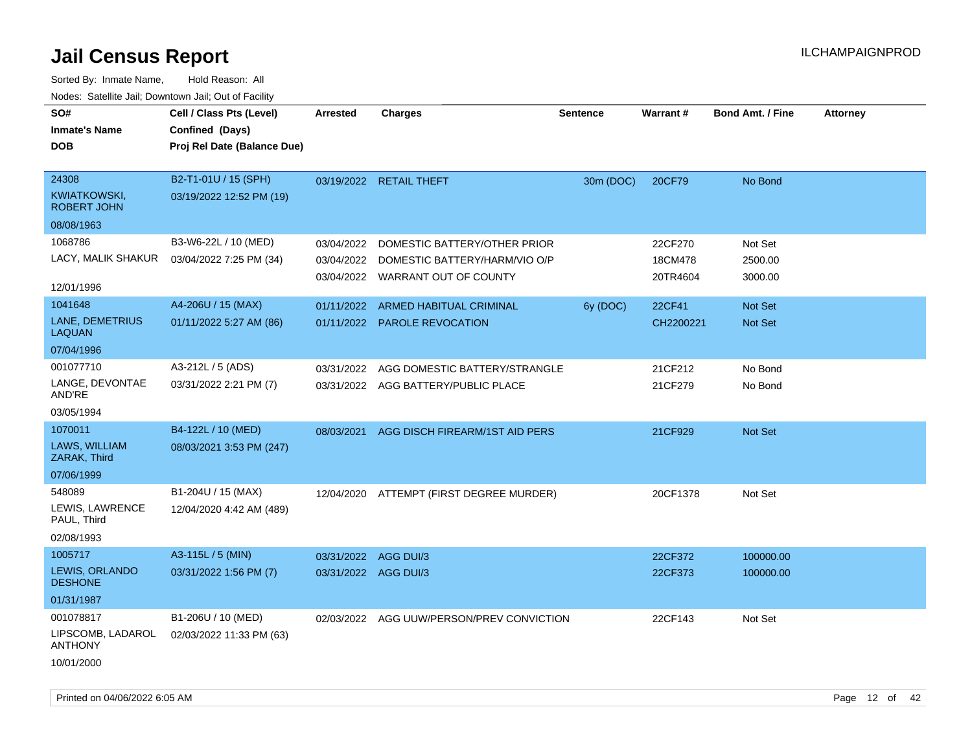| SO#<br><b>Inmate's Name</b><br><b>DOB</b>                      | Cell / Class Pts (Level)<br>Confined (Days)<br>Proj Rel Date (Balance Due) | <b>Arrested</b>                              | <b>Charges</b>                                                                                    | <b>Sentence</b> | <b>Warrant#</b>                | <b>Bond Amt. / Fine</b>       | <b>Attorney</b> |
|----------------------------------------------------------------|----------------------------------------------------------------------------|----------------------------------------------|---------------------------------------------------------------------------------------------------|-----------------|--------------------------------|-------------------------------|-----------------|
| 24308<br>KWIATKOWSKI,<br><b>ROBERT JOHN</b><br>08/08/1963      | B2-T1-01U / 15 (SPH)<br>03/19/2022 12:52 PM (19)                           |                                              | 03/19/2022 RETAIL THEFT                                                                           | 30m (DOC)       | 20CF79                         | No Bond                       |                 |
| 1068786<br>LACY, MALIK SHAKUR<br>12/01/1996                    | B3-W6-22L / 10 (MED)<br>03/04/2022 7:25 PM (34)                            | 03/04/2022<br>03/04/2022                     | DOMESTIC BATTERY/OTHER PRIOR<br>DOMESTIC BATTERY/HARM/VIO O/P<br>03/04/2022 WARRANT OUT OF COUNTY |                 | 22CF270<br>18CM478<br>20TR4604 | Not Set<br>2500.00<br>3000.00 |                 |
| 1041648<br>LANE, DEMETRIUS<br><b>LAQUAN</b><br>07/04/1996      | A4-206U / 15 (MAX)<br>01/11/2022 5:27 AM (86)                              | 01/11/2022                                   | ARMED HABITUAL CRIMINAL<br>01/11/2022 PAROLE REVOCATION                                           | 6y (DOC)        | 22CF41<br>CH2200221            | Not Set<br><b>Not Set</b>     |                 |
| 001077710<br>LANGE, DEVONTAE<br>AND'RE<br>03/05/1994           | A3-212L / 5 (ADS)<br>03/31/2022 2:21 PM (7)                                | 03/31/2022                                   | AGG DOMESTIC BATTERY/STRANGLE<br>03/31/2022 AGG BATTERY/PUBLIC PLACE                              |                 | 21CF212<br>21CF279             | No Bond<br>No Bond            |                 |
| 1070011<br>LAWS, WILLIAM<br>ZARAK, Third<br>07/06/1999         | B4-122L / 10 (MED)<br>08/03/2021 3:53 PM (247)                             | 08/03/2021                                   | AGG DISCH FIREARM/1ST AID PERS                                                                    |                 | 21CF929                        | <b>Not Set</b>                |                 |
| 548089<br>LEWIS, LAWRENCE<br>PAUL, Third<br>02/08/1993         | B1-204U / 15 (MAX)<br>12/04/2020 4:42 AM (489)                             |                                              | 12/04/2020 ATTEMPT (FIRST DEGREE MURDER)                                                          |                 | 20CF1378                       | Not Set                       |                 |
| 1005717<br>LEWIS, ORLANDO<br><b>DESHONE</b><br>01/31/1987      | A3-115L / 5 (MIN)<br>03/31/2022 1:56 PM (7)                                | 03/31/2022 AGG DUI/3<br>03/31/2022 AGG DUI/3 |                                                                                                   |                 | 22CF372<br>22CF373             | 100000.00<br>100000.00        |                 |
| 001078817<br>LIPSCOMB, LADAROL<br><b>ANTHONY</b><br>10/01/2000 | B1-206U / 10 (MED)<br>02/03/2022 11:33 PM (63)                             |                                              | 02/03/2022 AGG UUW/PERSON/PREV CONVICTION                                                         |                 | 22CF143                        | Not Set                       |                 |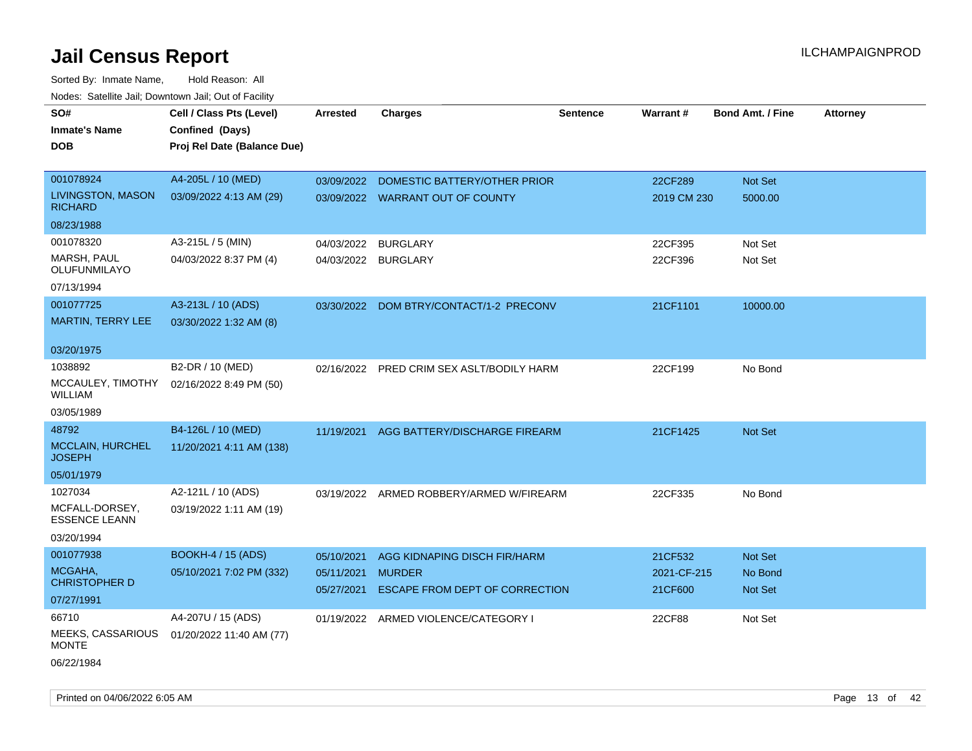| SO#                                        | Cell / Class Pts (Level)    | <b>Arrested</b>          | <b>Charges</b>                                  | <b>Sentence</b> | <b>Warrant#</b>        | <b>Bond Amt. / Fine</b>   | <b>Attorney</b> |
|--------------------------------------------|-----------------------------|--------------------------|-------------------------------------------------|-----------------|------------------------|---------------------------|-----------------|
| <b>Inmate's Name</b>                       | Confined (Days)             |                          |                                                 |                 |                        |                           |                 |
| <b>DOB</b>                                 | Proj Rel Date (Balance Due) |                          |                                                 |                 |                        |                           |                 |
|                                            |                             |                          |                                                 |                 |                        |                           |                 |
| 001078924                                  | A4-205L / 10 (MED)          | 03/09/2022               | DOMESTIC BATTERY/OTHER PRIOR                    |                 | 22CF289                | Not Set                   |                 |
| <b>LIVINGSTON, MASON</b><br><b>RICHARD</b> | 03/09/2022 4:13 AM (29)     |                          | 03/09/2022 WARRANT OUT OF COUNTY                |                 | 2019 CM 230            | 5000.00                   |                 |
| 08/23/1988                                 |                             |                          |                                                 |                 |                        |                           |                 |
| 001078320                                  | A3-215L / 5 (MIN)           | 04/03/2022               | <b>BURGLARY</b>                                 |                 | 22CF395                | Not Set                   |                 |
| <b>MARSH, PAUL</b><br>OLUFUNMILAYO         | 04/03/2022 8:37 PM (4)      | 04/03/2022 BURGLARY      |                                                 |                 | 22CF396                | Not Set                   |                 |
| 07/13/1994                                 |                             |                          |                                                 |                 |                        |                           |                 |
| 001077725                                  | A3-213L / 10 (ADS)          |                          | 03/30/2022 DOM BTRY/CONTACT/1-2 PRECONV         |                 | 21CF1101               | 10000.00                  |                 |
| MARTIN, TERRY LEE                          | 03/30/2022 1:32 AM (8)      |                          |                                                 |                 |                        |                           |                 |
| 03/20/1975                                 |                             |                          |                                                 |                 |                        |                           |                 |
| 1038892                                    | B2-DR / 10 (MED)            |                          | 02/16/2022 PRED CRIM SEX ASLT/BODILY HARM       |                 | 22CF199                | No Bond                   |                 |
| MCCAULEY, TIMOTHY<br>WILLIAM               | 02/16/2022 8:49 PM (50)     |                          |                                                 |                 |                        |                           |                 |
| 03/05/1989                                 |                             |                          |                                                 |                 |                        |                           |                 |
| 48792                                      | B4-126L / 10 (MED)          | 11/19/2021               | AGG BATTERY/DISCHARGE FIREARM                   |                 | 21CF1425               | Not Set                   |                 |
| MCCLAIN, HURCHEL<br><b>JOSEPH</b>          | 11/20/2021 4:11 AM (138)    |                          |                                                 |                 |                        |                           |                 |
| 05/01/1979                                 |                             |                          |                                                 |                 |                        |                           |                 |
| 1027034                                    | A2-121L / 10 (ADS)          |                          | 03/19/2022 ARMED ROBBERY/ARMED W/FIREARM        |                 | 22CF335                | No Bond                   |                 |
| MCFALL-DORSEY,<br><b>ESSENCE LEANN</b>     | 03/19/2022 1:11 AM (19)     |                          |                                                 |                 |                        |                           |                 |
| 03/20/1994                                 |                             |                          |                                                 |                 |                        |                           |                 |
| 001077938                                  | <b>BOOKH-4 / 15 (ADS)</b>   | 05/10/2021               | AGG KIDNAPING DISCH FIR/HARM                    |                 | 21CF532                | <b>Not Set</b>            |                 |
| MCGAHA,<br><b>CHRISTOPHER D</b>            | 05/10/2021 7:02 PM (332)    | 05/11/2021<br>05/27/2021 | <b>MURDER</b><br>ESCAPE FROM DEPT OF CORRECTION |                 | 2021-CF-215<br>21CF600 | No Bond<br><b>Not Set</b> |                 |
| 07/27/1991                                 |                             |                          |                                                 |                 |                        |                           |                 |
| 66710                                      | A4-207U / 15 (ADS)          |                          | 01/19/2022 ARMED VIOLENCE/CATEGORY I            |                 | 22CF88                 | Not Set                   |                 |
| MEEKS, CASSARIOUS<br><b>MONTE</b>          | 01/20/2022 11:40 AM (77)    |                          |                                                 |                 |                        |                           |                 |
| 06/22/1984                                 |                             |                          |                                                 |                 |                        |                           |                 |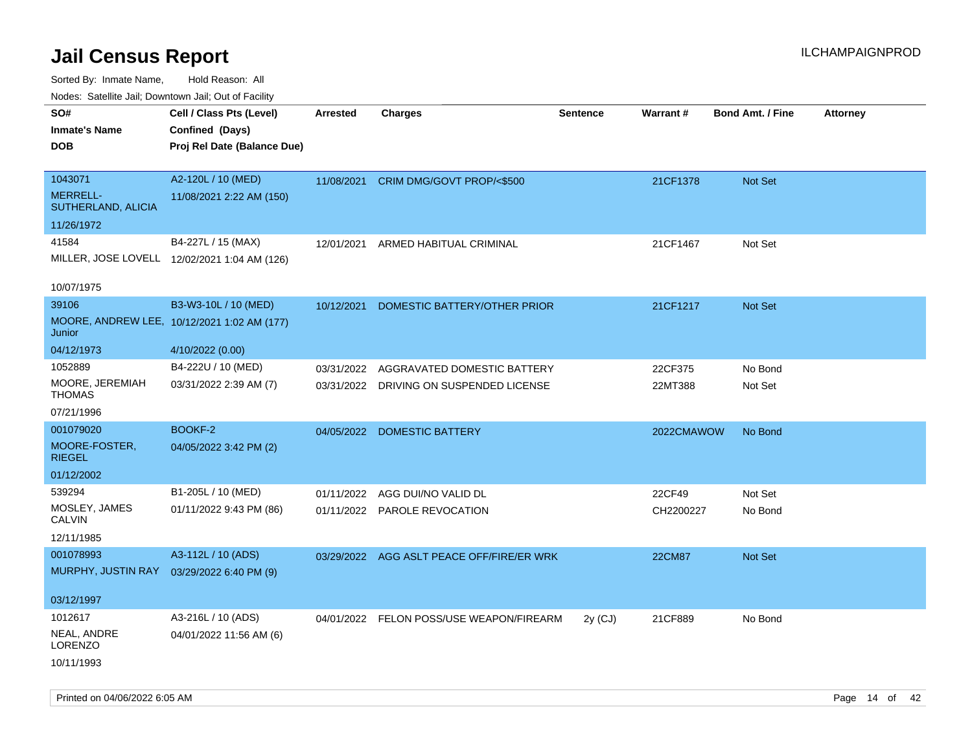Sorted By: Inmate Name, Hold Reason: All

|                                       | Nodes: Satellite Jail; Downtown Jail; Out of Facility |                 |                                           |                 |               |                         |                 |
|---------------------------------------|-------------------------------------------------------|-----------------|-------------------------------------------|-----------------|---------------|-------------------------|-----------------|
| SO#                                   | Cell / Class Pts (Level)                              | <b>Arrested</b> | <b>Charges</b>                            | <b>Sentence</b> | Warrant#      | <b>Bond Amt. / Fine</b> | <b>Attorney</b> |
| <b>Inmate's Name</b>                  | Confined (Days)                                       |                 |                                           |                 |               |                         |                 |
| <b>DOB</b>                            | Proj Rel Date (Balance Due)                           |                 |                                           |                 |               |                         |                 |
|                                       |                                                       |                 |                                           |                 |               |                         |                 |
| 1043071                               | A2-120L / 10 (MED)                                    | 11/08/2021      | CRIM DMG/GOVT PROP/<\$500                 |                 | 21CF1378      | Not Set                 |                 |
| <b>MERRELL-</b><br>SUTHERLAND, ALICIA | 11/08/2021 2:22 AM (150)                              |                 |                                           |                 |               |                         |                 |
| 11/26/1972                            |                                                       |                 |                                           |                 |               |                         |                 |
| 41584                                 | B4-227L / 15 (MAX)                                    | 12/01/2021      | ARMED HABITUAL CRIMINAL                   |                 | 21CF1467      | Not Set                 |                 |
|                                       | MILLER, JOSE LOVELL 12/02/2021 1:04 AM (126)          |                 |                                           |                 |               |                         |                 |
| 10/07/1975                            |                                                       |                 |                                           |                 |               |                         |                 |
| 39106                                 | B3-W3-10L / 10 (MED)                                  | 10/12/2021      | DOMESTIC BATTERY/OTHER PRIOR              |                 | 21CF1217      | Not Set                 |                 |
|                                       | MOORE, ANDREW LEE, 10/12/2021 1:02 AM (177)           |                 |                                           |                 |               |                         |                 |
| Junior                                |                                                       |                 |                                           |                 |               |                         |                 |
| 04/12/1973                            | 4/10/2022 (0.00)                                      |                 |                                           |                 |               |                         |                 |
| 1052889                               | B4-222U / 10 (MED)                                    | 03/31/2022      | AGGRAVATED DOMESTIC BATTERY               |                 | 22CF375       | No Bond                 |                 |
| MOORE, JEREMIAH<br><b>THOMAS</b>      | 03/31/2022 2:39 AM (7)                                |                 | 03/31/2022 DRIVING ON SUSPENDED LICENSE   |                 | 22MT388       | Not Set                 |                 |
| 07/21/1996                            |                                                       |                 |                                           |                 |               |                         |                 |
| 001079020                             | BOOKF-2                                               |                 | 04/05/2022 DOMESTIC BATTERY               |                 | 2022CMAWOW    | No Bond                 |                 |
| MOORE-FOSTER,<br><b>RIEGEL</b>        | 04/05/2022 3:42 PM (2)                                |                 |                                           |                 |               |                         |                 |
| 01/12/2002                            |                                                       |                 |                                           |                 |               |                         |                 |
| 539294                                | B1-205L / 10 (MED)                                    | 01/11/2022      | AGG DUI/NO VALID DL                       |                 | 22CF49        | Not Set                 |                 |
| MOSLEY, JAMES                         | 01/11/2022 9:43 PM (86)                               |                 | 01/11/2022 PAROLE REVOCATION              |                 | CH2200227     | No Bond                 |                 |
| <b>CALVIN</b>                         |                                                       |                 |                                           |                 |               |                         |                 |
| 12/11/1985                            |                                                       |                 |                                           |                 |               |                         |                 |
| 001078993                             | A3-112L / 10 (ADS)                                    |                 | 03/29/2022 AGG ASLT PEACE OFF/FIRE/ER WRK |                 | <b>22CM87</b> | Not Set                 |                 |
| MURPHY, JUSTIN RAY                    | 03/29/2022 6:40 PM (9)                                |                 |                                           |                 |               |                         |                 |
| 03/12/1997                            |                                                       |                 |                                           |                 |               |                         |                 |
| 1012617                               | A3-216L / 10 (ADS)                                    |                 | 04/01/2022 FELON POSS/USE WEAPON/FIREARM  | $2y$ (CJ)       | 21CF889       | No Bond                 |                 |
| NEAL, ANDRE<br><b>LORENZO</b>         | 04/01/2022 11:56 AM (6)                               |                 |                                           |                 |               |                         |                 |
| 10/11/1993                            |                                                       |                 |                                           |                 |               |                         |                 |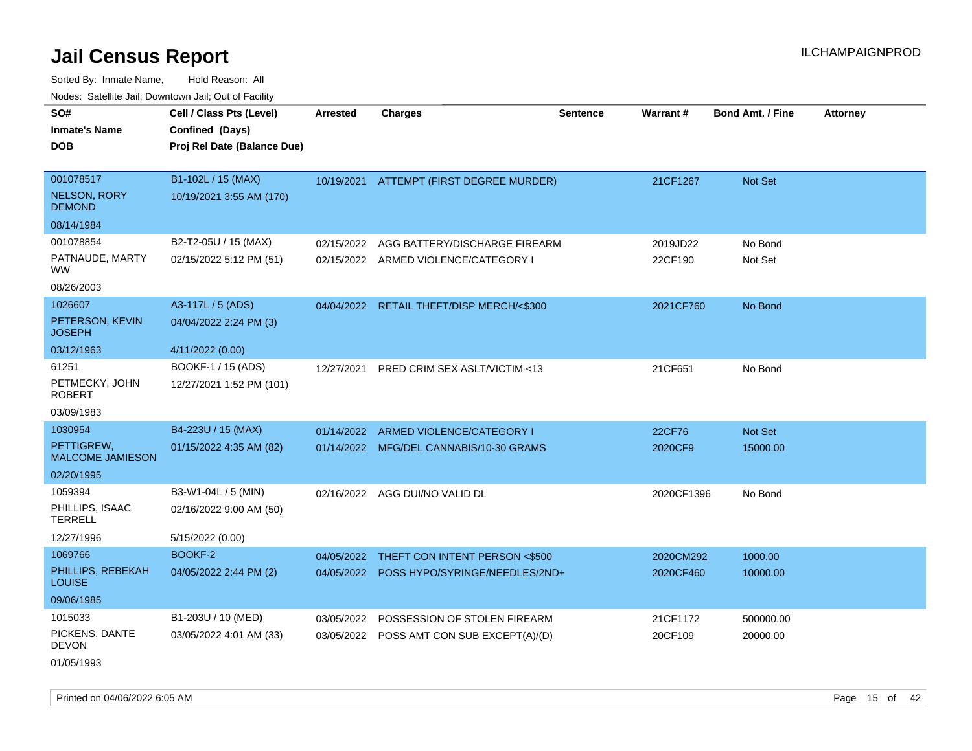Sorted By: Inmate Name, Hold Reason: All Nodes: Satellite Jail; Downtown Jail; Out of Facility

| SO#                                   | Cell / Class Pts (Level)    | <b>Arrested</b> | <b>Charges</b>                            | <b>Sentence</b> | Warrant#   | <b>Bond Amt. / Fine</b> | <b>Attorney</b> |
|---------------------------------------|-----------------------------|-----------------|-------------------------------------------|-----------------|------------|-------------------------|-----------------|
| <b>Inmate's Name</b>                  | Confined (Days)             |                 |                                           |                 |            |                         |                 |
| <b>DOB</b>                            | Proj Rel Date (Balance Due) |                 |                                           |                 |            |                         |                 |
|                                       |                             |                 |                                           |                 |            |                         |                 |
| 001078517                             | B1-102L / 15 (MAX)          |                 | 10/19/2021 ATTEMPT (FIRST DEGREE MURDER)  |                 | 21CF1267   | Not Set                 |                 |
| <b>NELSON, RORY</b><br><b>DEMOND</b>  | 10/19/2021 3:55 AM (170)    |                 |                                           |                 |            |                         |                 |
| 08/14/1984                            |                             |                 |                                           |                 |            |                         |                 |
| 001078854                             | B2-T2-05U / 15 (MAX)        | 02/15/2022      | AGG BATTERY/DISCHARGE FIREARM             |                 | 2019JD22   | No Bond                 |                 |
| PATNAUDE, MARTY<br><b>WW</b>          | 02/15/2022 5:12 PM (51)     |                 | 02/15/2022 ARMED VIOLENCE/CATEGORY I      |                 | 22CF190    | Not Set                 |                 |
| 08/26/2003                            |                             |                 |                                           |                 |            |                         |                 |
| 1026607                               | A3-117L / 5 (ADS)           |                 | 04/04/2022 RETAIL THEFT/DISP MERCH/<\$300 |                 | 2021CF760  | No Bond                 |                 |
| PETERSON, KEVIN<br><b>JOSEPH</b>      | 04/04/2022 2:24 PM (3)      |                 |                                           |                 |            |                         |                 |
| 03/12/1963                            | 4/11/2022 (0.00)            |                 |                                           |                 |            |                         |                 |
| 61251                                 | BOOKF-1 / 15 (ADS)          | 12/27/2021      | PRED CRIM SEX ASLT/VICTIM <13             |                 | 21CF651    | No Bond                 |                 |
| PETMECKY, JOHN<br><b>ROBERT</b>       | 12/27/2021 1:52 PM (101)    |                 |                                           |                 |            |                         |                 |
| 03/09/1983                            |                             |                 |                                           |                 |            |                         |                 |
| 1030954                               | B4-223U / 15 (MAX)          | 01/14/2022      | ARMED VIOLENCE/CATEGORY I                 |                 | 22CF76     | Not Set                 |                 |
| PETTIGREW,<br><b>MALCOME JAMIESON</b> | 01/15/2022 4:35 AM (82)     |                 | 01/14/2022 MFG/DEL CANNABIS/10-30 GRAMS   |                 | 2020CF9    | 15000.00                |                 |
| 02/20/1995                            |                             |                 |                                           |                 |            |                         |                 |
| 1059394                               | B3-W1-04L / 5 (MIN)         |                 | 02/16/2022 AGG DUI/NO VALID DL            |                 | 2020CF1396 | No Bond                 |                 |
| PHILLIPS, ISAAC<br><b>TERRELL</b>     | 02/16/2022 9:00 AM (50)     |                 |                                           |                 |            |                         |                 |
| 12/27/1996                            | 5/15/2022 (0.00)            |                 |                                           |                 |            |                         |                 |
| 1069766                               | BOOKF-2                     | 04/05/2022      | THEFT CON INTENT PERSON <\$500            |                 | 2020CM292  | 1000.00                 |                 |
| PHILLIPS, REBEKAH<br><b>LOUISE</b>    | 04/05/2022 2:44 PM (2)      |                 | 04/05/2022 POSS HYPO/SYRINGE/NEEDLES/2ND+ |                 | 2020CF460  | 10000.00                |                 |
| 09/06/1985                            |                             |                 |                                           |                 |            |                         |                 |
| 1015033                               | B1-203U / 10 (MED)          | 03/05/2022      | POSSESSION OF STOLEN FIREARM              |                 | 21CF1172   | 500000.00               |                 |
| PICKENS, DANTE<br><b>DEVON</b>        | 03/05/2022 4:01 AM (33)     |                 | 03/05/2022 POSS AMT CON SUB EXCEPT(A)/(D) |                 | 20CF109    | 20000.00                |                 |
| 01/05/1993                            |                             |                 |                                           |                 |            |                         |                 |

Printed on 04/06/2022 6:05 AM Page 15 of 42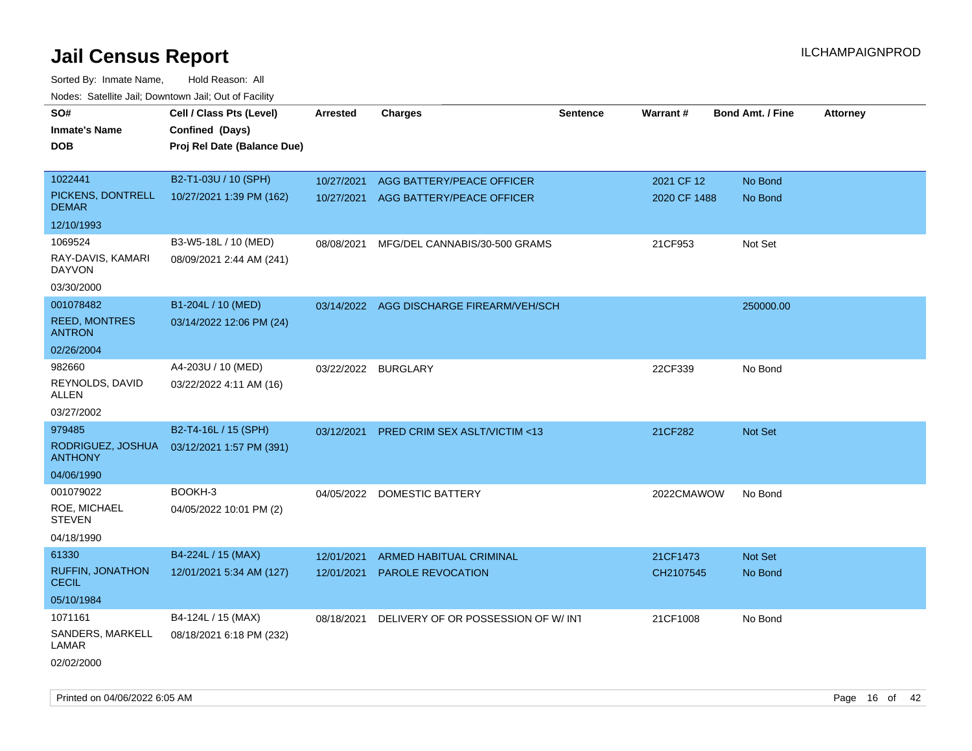| roaco. Catolino cali, Downtown cali, Out of Facility |                             |                     |                                          |                 |              |                         |                 |
|------------------------------------------------------|-----------------------------|---------------------|------------------------------------------|-----------------|--------------|-------------------------|-----------------|
| SO#                                                  | Cell / Class Pts (Level)    | <b>Arrested</b>     | <b>Charges</b>                           | <b>Sentence</b> | Warrant#     | <b>Bond Amt. / Fine</b> | <b>Attorney</b> |
| <b>Inmate's Name</b>                                 | Confined (Days)             |                     |                                          |                 |              |                         |                 |
| <b>DOB</b>                                           | Proj Rel Date (Balance Due) |                     |                                          |                 |              |                         |                 |
|                                                      |                             |                     |                                          |                 |              |                         |                 |
| 1022441                                              | B2-T1-03U / 10 (SPH)        | 10/27/2021          | AGG BATTERY/PEACE OFFICER                |                 | 2021 CF 12   | No Bond                 |                 |
| PICKENS, DONTRELL<br><b>DEMAR</b>                    | 10/27/2021 1:39 PM (162)    | 10/27/2021          | AGG BATTERY/PEACE OFFICER                |                 | 2020 CF 1488 | No Bond                 |                 |
| 12/10/1993                                           |                             |                     |                                          |                 |              |                         |                 |
| 1069524                                              | B3-W5-18L / 10 (MED)        | 08/08/2021          | MFG/DEL CANNABIS/30-500 GRAMS            |                 | 21CF953      | Not Set                 |                 |
| RAY-DAVIS, KAMARI<br>DAYVON                          | 08/09/2021 2:44 AM (241)    |                     |                                          |                 |              |                         |                 |
| 03/30/2000                                           |                             |                     |                                          |                 |              |                         |                 |
| 001078482                                            | B1-204L / 10 (MED)          |                     | 03/14/2022 AGG DISCHARGE FIREARM/VEH/SCH |                 |              | 250000.00               |                 |
| <b>REED, MONTRES</b><br><b>ANTRON</b>                | 03/14/2022 12:06 PM (24)    |                     |                                          |                 |              |                         |                 |
| 02/26/2004                                           |                             |                     |                                          |                 |              |                         |                 |
| 982660                                               | A4-203U / 10 (MED)          | 03/22/2022 BURGLARY |                                          |                 | 22CF339      | No Bond                 |                 |
| REYNOLDS, DAVID<br>ALLEN                             | 03/22/2022 4:11 AM (16)     |                     |                                          |                 |              |                         |                 |
| 03/27/2002                                           |                             |                     |                                          |                 |              |                         |                 |
| 979485                                               | B2-T4-16L / 15 (SPH)        | 03/12/2021          | <b>PRED CRIM SEX ASLT/VICTIM &lt;13</b>  |                 | 21CF282      | <b>Not Set</b>          |                 |
| RODRIGUEZ, JOSHUA<br><b>ANTHONY</b>                  | 03/12/2021 1:57 PM (391)    |                     |                                          |                 |              |                         |                 |
| 04/06/1990                                           |                             |                     |                                          |                 |              |                         |                 |
| 001079022                                            | BOOKH-3                     | 04/05/2022          | <b>DOMESTIC BATTERY</b>                  |                 | 2022CMAWOW   | No Bond                 |                 |
| ROE, MICHAEL<br><b>STEVEN</b>                        | 04/05/2022 10:01 PM (2)     |                     |                                          |                 |              |                         |                 |
| 04/18/1990                                           |                             |                     |                                          |                 |              |                         |                 |
| 61330                                                | B4-224L / 15 (MAX)          | 12/01/2021          | ARMED HABITUAL CRIMINAL                  |                 | 21CF1473     | <b>Not Set</b>          |                 |
| RUFFIN, JONATHON<br><b>CECIL</b>                     | 12/01/2021 5:34 AM (127)    | 12/01/2021          | PAROLE REVOCATION                        |                 | CH2107545    | No Bond                 |                 |
| 05/10/1984                                           |                             |                     |                                          |                 |              |                         |                 |
| 1071161                                              | B4-124L / 15 (MAX)          | 08/18/2021          | DELIVERY OF OR POSSESSION OF W/INT       |                 | 21CF1008     | No Bond                 |                 |
| SANDERS, MARKELL<br>LAMAR                            | 08/18/2021 6:18 PM (232)    |                     |                                          |                 |              |                         |                 |
| 02/02/2000                                           |                             |                     |                                          |                 |              |                         |                 |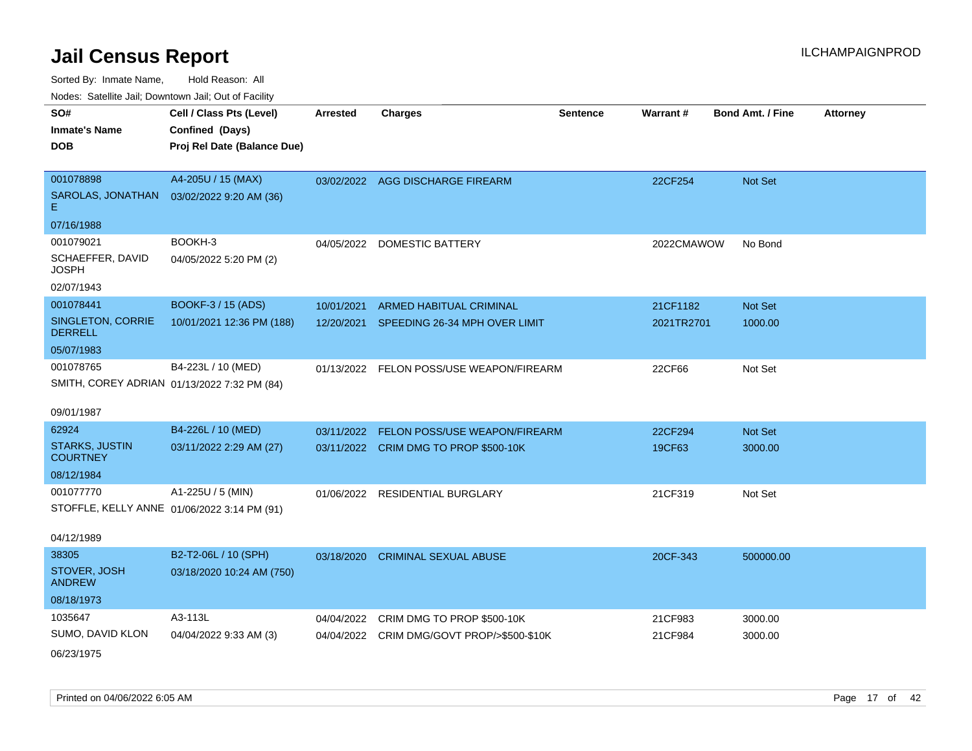| inodes: Satellite Jail, Downtown Jail, Out of Facility |                             |                 |                                            |                 |            |                         |                 |
|--------------------------------------------------------|-----------------------------|-----------------|--------------------------------------------|-----------------|------------|-------------------------|-----------------|
| SO#                                                    | Cell / Class Pts (Level)    | <b>Arrested</b> | <b>Charges</b>                             | <b>Sentence</b> | Warrant#   | <b>Bond Amt. / Fine</b> | <b>Attorney</b> |
| <b>Inmate's Name</b>                                   | Confined (Days)             |                 |                                            |                 |            |                         |                 |
| DOB                                                    | Proj Rel Date (Balance Due) |                 |                                            |                 |            |                         |                 |
|                                                        |                             |                 |                                            |                 |            |                         |                 |
| 001078898                                              | A4-205U / 15 (MAX)          |                 | 03/02/2022 AGG DISCHARGE FIREARM           |                 | 22CF254    | <b>Not Set</b>          |                 |
| SAROLAS, JONATHAN<br>E.                                | 03/02/2022 9:20 AM (36)     |                 |                                            |                 |            |                         |                 |
| 07/16/1988                                             |                             |                 |                                            |                 |            |                         |                 |
| 001079021                                              | BOOKH-3                     |                 | 04/05/2022 DOMESTIC BATTERY                |                 | 2022CMAWOW | No Bond                 |                 |
| SCHAEFFER, DAVID<br>JOSPH                              | 04/05/2022 5:20 PM (2)      |                 |                                            |                 |            |                         |                 |
| 02/07/1943                                             |                             |                 |                                            |                 |            |                         |                 |
| 001078441                                              | <b>BOOKF-3 / 15 (ADS)</b>   | 10/01/2021      | ARMED HABITUAL CRIMINAL                    |                 | 21CF1182   | Not Set                 |                 |
| SINGLETON, CORRIE<br><b>DERRELL</b>                    | 10/01/2021 12:36 PM (188)   | 12/20/2021      | SPEEDING 26-34 MPH OVER LIMIT              |                 | 2021TR2701 | 1000.00                 |                 |
| 05/07/1983                                             |                             |                 |                                            |                 |            |                         |                 |
| 001078765                                              | B4-223L / 10 (MED)          |                 | 01/13/2022 FELON POSS/USE WEAPON/FIREARM   |                 | 22CF66     | Not Set                 |                 |
| SMITH, COREY ADRIAN 01/13/2022 7:32 PM (84)            |                             |                 |                                            |                 |            |                         |                 |
|                                                        |                             |                 |                                            |                 |            |                         |                 |
| 09/01/1987                                             |                             |                 |                                            |                 |            |                         |                 |
| 62924                                                  | B4-226L / 10 (MED)          | 03/11/2022      | FELON POSS/USE WEAPON/FIREARM              |                 | 22CF294    | Not Set                 |                 |
| <b>STARKS, JUSTIN</b><br><b>COURTNEY</b>               | 03/11/2022 2:29 AM (27)     |                 | 03/11/2022 CRIM DMG TO PROP \$500-10K      |                 | 19CF63     | 3000.00                 |                 |
| 08/12/1984                                             |                             |                 |                                            |                 |            |                         |                 |
| 001077770                                              | A1-225U / 5 (MIN)           | 01/06/2022      | <b>RESIDENTIAL BURGLARY</b>                |                 | 21CF319    | Not Set                 |                 |
| STOFFLE, KELLY ANNE 01/06/2022 3:14 PM (91)            |                             |                 |                                            |                 |            |                         |                 |
|                                                        |                             |                 |                                            |                 |            |                         |                 |
| 04/12/1989                                             |                             |                 |                                            |                 |            |                         |                 |
| 38305                                                  | B2-T2-06L / 10 (SPH)        | 03/18/2020      | <b>CRIMINAL SEXUAL ABUSE</b>               |                 | 20CF-343   | 500000.00               |                 |
| STOVER, JOSH<br><b>ANDREW</b>                          | 03/18/2020 10:24 AM (750)   |                 |                                            |                 |            |                         |                 |
| 08/18/1973                                             |                             |                 |                                            |                 |            |                         |                 |
| 1035647                                                | A3-113L                     | 04/04/2022      | CRIM DMG TO PROP \$500-10K                 |                 | 21CF983    | 3000.00                 |                 |
| SUMO, DAVID KLON                                       | 04/04/2022 9:33 AM (3)      |                 | 04/04/2022 CRIM DMG/GOVT PROP/>\$500-\$10K |                 | 21CF984    | 3000.00                 |                 |
| 06/23/1975                                             |                             |                 |                                            |                 |            |                         |                 |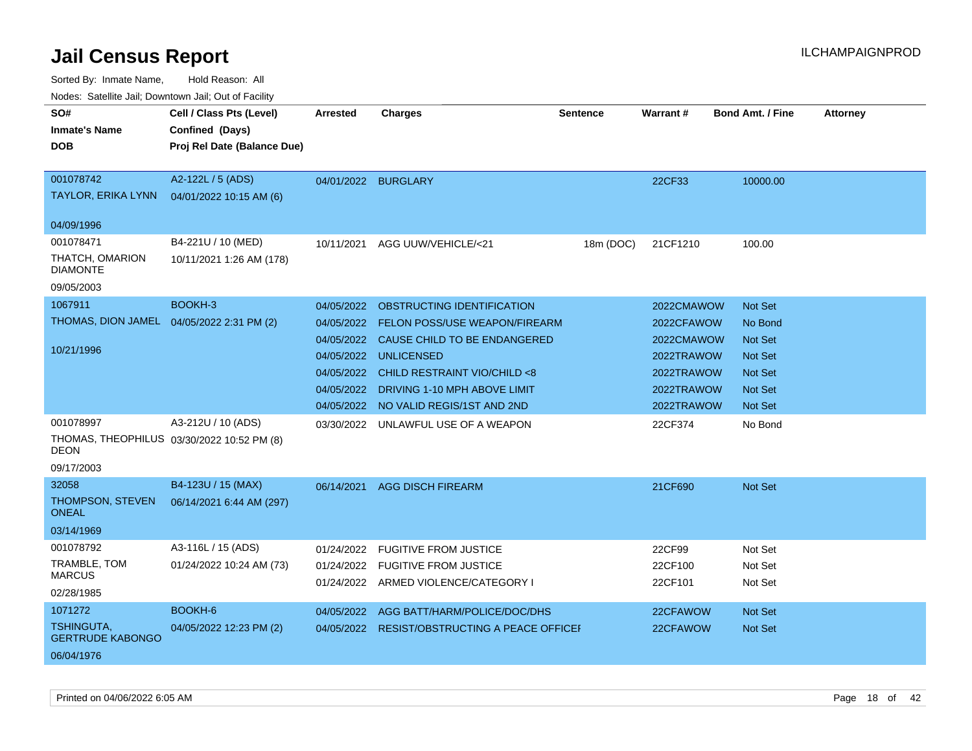| ivodes. Satellite Jali, Downtown Jali, Out of Facility |                                            |                     |                                               |                 |                 |                         |                 |
|--------------------------------------------------------|--------------------------------------------|---------------------|-----------------------------------------------|-----------------|-----------------|-------------------------|-----------------|
| SO#                                                    | Cell / Class Pts (Level)                   | <b>Arrested</b>     | <b>Charges</b>                                | <b>Sentence</b> | <b>Warrant#</b> | <b>Bond Amt. / Fine</b> | <b>Attorney</b> |
| <b>Inmate's Name</b>                                   | Confined (Days)                            |                     |                                               |                 |                 |                         |                 |
| <b>DOB</b>                                             | Proj Rel Date (Balance Due)                |                     |                                               |                 |                 |                         |                 |
|                                                        |                                            |                     |                                               |                 |                 |                         |                 |
| 001078742                                              | A2-122L / 5 (ADS)                          | 04/01/2022 BURGLARY |                                               |                 | 22CF33          | 10000.00                |                 |
| TAYLOR, ERIKA LYNN                                     | 04/01/2022 10:15 AM (6)                    |                     |                                               |                 |                 |                         |                 |
|                                                        |                                            |                     |                                               |                 |                 |                         |                 |
| 04/09/1996                                             |                                            |                     |                                               |                 |                 |                         |                 |
| 001078471                                              | B4-221U / 10 (MED)                         | 10/11/2021          | AGG UUW/VEHICLE/<21                           | 18m (DOC)       | 21CF1210        | 100.00                  |                 |
| THATCH, OMARION<br><b>DIAMONTE</b>                     | 10/11/2021 1:26 AM (178)                   |                     |                                               |                 |                 |                         |                 |
| 09/05/2003                                             |                                            |                     |                                               |                 |                 |                         |                 |
| 1067911                                                | BOOKH-3                                    | 04/05/2022          | OBSTRUCTING IDENTIFICATION                    |                 | 2022CMAWOW      | <b>Not Set</b>          |                 |
| THOMAS, DION JAMEL 04/05/2022 2:31 PM (2)              |                                            | 04/05/2022          | FELON POSS/USE WEAPON/FIREARM                 |                 | 2022CFAWOW      | No Bond                 |                 |
|                                                        |                                            | 04/05/2022          | CAUSE CHILD TO BE ENDANGERED                  |                 | 2022CMAWOW      | Not Set                 |                 |
| 10/21/1996                                             |                                            | 04/05/2022          | <b>UNLICENSED</b>                             |                 | 2022TRAWOW      | <b>Not Set</b>          |                 |
|                                                        |                                            | 04/05/2022          | CHILD RESTRAINT VIO/CHILD <8                  |                 | 2022TRAWOW      | <b>Not Set</b>          |                 |
|                                                        |                                            | 04/05/2022          | DRIVING 1-10 MPH ABOVE LIMIT                  |                 | 2022TRAWOW      | <b>Not Set</b>          |                 |
|                                                        |                                            |                     | 04/05/2022 NO VALID REGIS/1ST AND 2ND         |                 | 2022TRAWOW      | Not Set                 |                 |
| 001078997                                              | A3-212U / 10 (ADS)                         | 03/30/2022          | UNLAWFUL USE OF A WEAPON                      |                 | 22CF374         | No Bond                 |                 |
| <b>DEON</b>                                            | THOMAS, THEOPHILUS 03/30/2022 10:52 PM (8) |                     |                                               |                 |                 |                         |                 |
| 09/17/2003                                             |                                            |                     |                                               |                 |                 |                         |                 |
| 32058                                                  | B4-123U / 15 (MAX)                         | 06/14/2021          | <b>AGG DISCH FIREARM</b>                      |                 | 21CF690         | <b>Not Set</b>          |                 |
| <b>THOMPSON, STEVEN</b><br>ONEAL                       | 06/14/2021 6:44 AM (297)                   |                     |                                               |                 |                 |                         |                 |
| 03/14/1969                                             |                                            |                     |                                               |                 |                 |                         |                 |
| 001078792                                              | A3-116L / 15 (ADS)                         | 01/24/2022          | <b>FUGITIVE FROM JUSTICE</b>                  |                 | 22CF99          | Not Set                 |                 |
| TRAMBLE, TOM                                           | 01/24/2022 10:24 AM (73)                   | 01/24/2022          | <b>FUGITIVE FROM JUSTICE</b>                  |                 | 22CF100         | Not Set                 |                 |
| <b>MARCUS</b>                                          |                                            |                     | 01/24/2022 ARMED VIOLENCE/CATEGORY I          |                 | 22CF101         | Not Set                 |                 |
| 02/28/1985                                             |                                            |                     |                                               |                 |                 |                         |                 |
| 1071272                                                | BOOKH-6                                    | 04/05/2022          | AGG BATT/HARM/POLICE/DOC/DHS                  |                 | 22CFAWOW        | <b>Not Set</b>          |                 |
| TSHINGUTA,<br><b>GERTRUDE KABONGO</b>                  | 04/05/2022 12:23 PM (2)                    |                     | 04/05/2022 RESIST/OBSTRUCTING A PEACE OFFICEH |                 | 22CFAWOW        | Not Set                 |                 |
| 06/04/1976                                             |                                            |                     |                                               |                 |                 |                         |                 |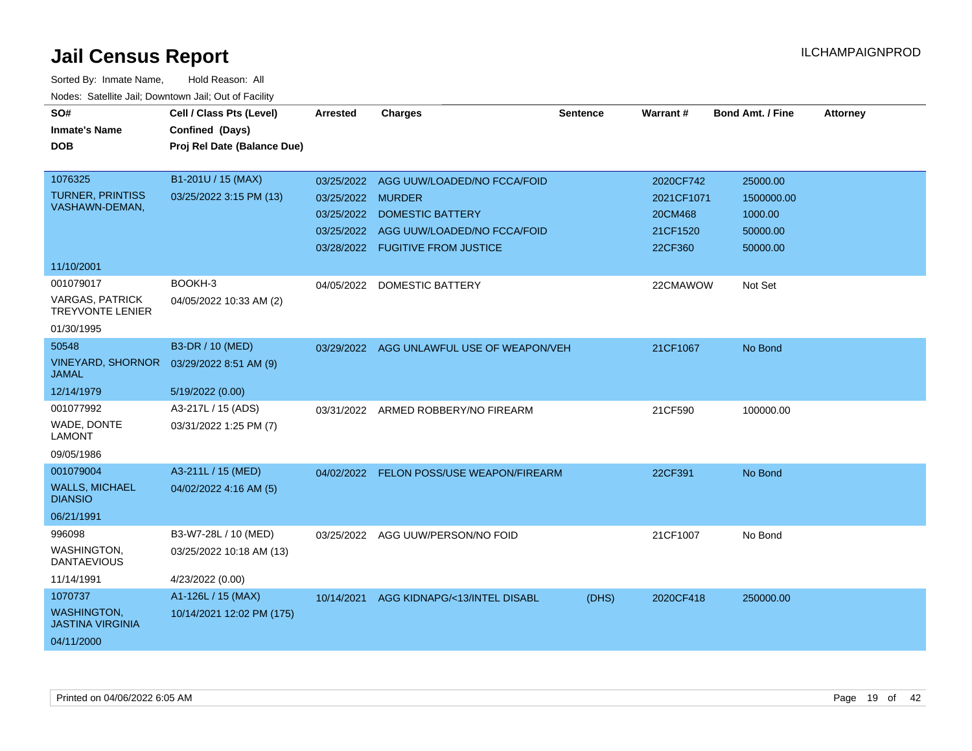| SO#<br><b>Inmate's Name</b><br><b>DOB</b>         | Cell / Class Pts (Level)<br>Confined (Days)<br>Proj Rel Date (Balance Due) | <b>Arrested</b> | <b>Charges</b>                      | <b>Sentence</b> | Warrant#   | <b>Bond Amt. / Fine</b> | <b>Attorney</b> |
|---------------------------------------------------|----------------------------------------------------------------------------|-----------------|-------------------------------------|-----------------|------------|-------------------------|-----------------|
| 1076325                                           | B1-201U / 15 (MAX)                                                         | 03/25/2022      | AGG UUW/LOADED/NO FCCA/FOID         |                 | 2020CF742  | 25000.00                |                 |
| <b>TURNER, PRINTISS</b>                           | 03/25/2022 3:15 PM (13)                                                    | 03/25/2022      | <b>MURDER</b>                       |                 | 2021CF1071 | 1500000.00              |                 |
| VASHAWN-DEMAN,                                    |                                                                            | 03/25/2022      | <b>DOMESTIC BATTERY</b>             |                 | 20CM468    | 1000.00                 |                 |
|                                                   |                                                                            | 03/25/2022      | AGG UUW/LOADED/NO FCCA/FOID         |                 | 21CF1520   | 50000.00                |                 |
|                                                   |                                                                            |                 | 03/28/2022 FUGITIVE FROM JUSTICE    |                 | 22CF360    | 50000.00                |                 |
| 11/10/2001                                        |                                                                            |                 |                                     |                 |            |                         |                 |
| 001079017                                         | BOOKH-3                                                                    | 04/05/2022      | DOMESTIC BATTERY                    |                 | 22CMAWOW   | Not Set                 |                 |
| <b>VARGAS, PATRICK</b><br><b>TREYVONTE LENIER</b> | 04/05/2022 10:33 AM (2)                                                    |                 |                                     |                 |            |                         |                 |
| 01/30/1995                                        |                                                                            |                 |                                     |                 |            |                         |                 |
| 50548                                             | B3-DR / 10 (MED)                                                           | 03/29/2022      | AGG UNLAWFUL USE OF WEAPON/VEH      |                 | 21CF1067   | No Bond                 |                 |
| <b>VINEYARD, SHORNOR</b><br><b>JAMAL</b>          | 03/29/2022 8:51 AM (9)                                                     |                 |                                     |                 |            |                         |                 |
| 12/14/1979                                        | 5/19/2022 (0.00)                                                           |                 |                                     |                 |            |                         |                 |
| 001077992                                         | A3-217L / 15 (ADS)                                                         |                 | 03/31/2022 ARMED ROBBERY/NO FIREARM |                 | 21CF590    | 100000.00               |                 |
| WADE, DONTE<br><b>LAMONT</b>                      | 03/31/2022 1:25 PM (7)                                                     |                 |                                     |                 |            |                         |                 |
| 09/05/1986                                        |                                                                            |                 |                                     |                 |            |                         |                 |
| 001079004                                         | A3-211L / 15 (MED)                                                         | 04/02/2022      | FELON POSS/USE WEAPON/FIREARM       |                 | 22CF391    | No Bond                 |                 |
| <b>WALLS, MICHAEL</b><br><b>DIANSIO</b>           | 04/02/2022 4:16 AM (5)                                                     |                 |                                     |                 |            |                         |                 |
| 06/21/1991                                        |                                                                            |                 |                                     |                 |            |                         |                 |
| 996098                                            | B3-W7-28L / 10 (MED)                                                       | 03/25/2022      | AGG UUW/PERSON/NO FOID              |                 | 21CF1007   | No Bond                 |                 |
| WASHINGTON,<br><b>DANTAEVIOUS</b>                 | 03/25/2022 10:18 AM (13)                                                   |                 |                                     |                 |            |                         |                 |
| 11/14/1991                                        | 4/23/2022 (0.00)                                                           |                 |                                     |                 |            |                         |                 |
| 1070737                                           | A1-126L / 15 (MAX)                                                         | 10/14/2021      | AGG KIDNAPG/<13/INTEL DISABL        | (DHS)           | 2020CF418  | 250000.00               |                 |
| <b>WASHINGTON,</b><br><b>JASTINA VIRGINIA</b>     | 10/14/2021 12:02 PM (175)                                                  |                 |                                     |                 |            |                         |                 |
| 04/11/2000                                        |                                                                            |                 |                                     |                 |            |                         |                 |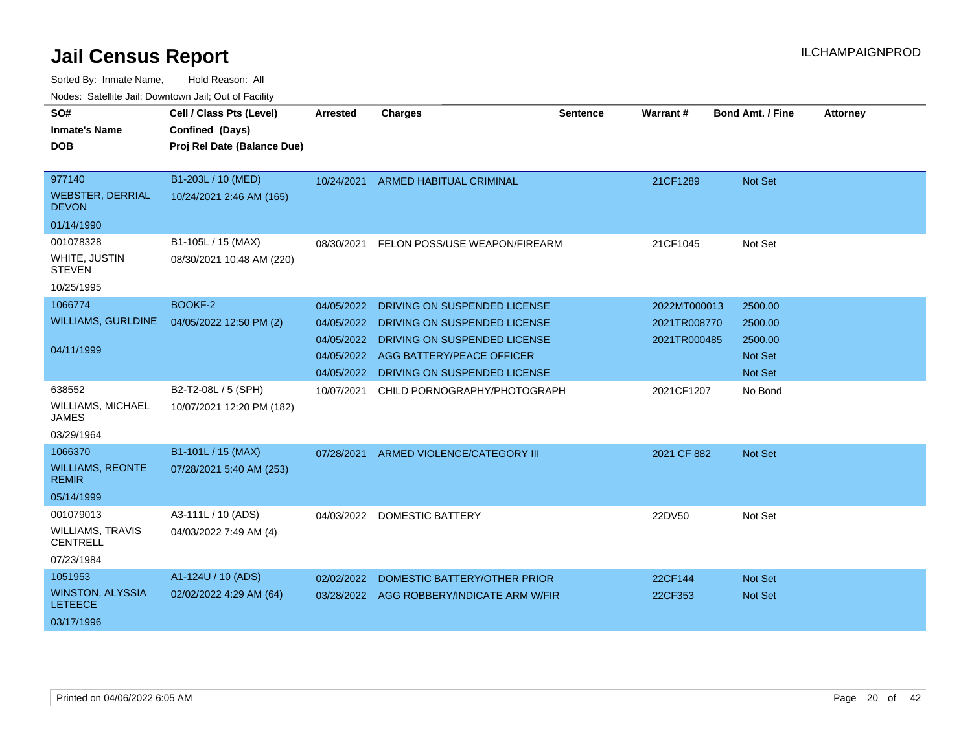| SO#<br><b>Inmate's Name</b><br>DOB                                      | Cell / Class Pts (Level)<br>Confined (Days)<br>Proj Rel Date (Balance Due) | <b>Arrested</b>                                                    | <b>Charges</b>                                                                                                                                            | <b>Sentence</b> | Warrant#                                     | <b>Bond Amt. / Fine</b>                                    | <b>Attorney</b> |
|-------------------------------------------------------------------------|----------------------------------------------------------------------------|--------------------------------------------------------------------|-----------------------------------------------------------------------------------------------------------------------------------------------------------|-----------------|----------------------------------------------|------------------------------------------------------------|-----------------|
| 977140<br><b>WEBSTER, DERRIAL</b><br><b>DEVON</b>                       | B1-203L / 10 (MED)<br>10/24/2021 2:46 AM (165)                             | 10/24/2021                                                         | <b>ARMED HABITUAL CRIMINAL</b>                                                                                                                            |                 | 21CF1289                                     | <b>Not Set</b>                                             |                 |
| 01/14/1990<br>001078328<br>WHITE, JUSTIN<br><b>STEVEN</b><br>10/25/1995 | B1-105L / 15 (MAX)<br>08/30/2021 10:48 AM (220)                            | 08/30/2021                                                         | FELON POSS/USE WEAPON/FIREARM                                                                                                                             |                 | 21CF1045                                     | Not Set                                                    |                 |
| 1066774<br><b>WILLIAMS, GURLDINE</b><br>04/11/1999                      | <b>BOOKF-2</b><br>04/05/2022 12:50 PM (2)                                  | 04/05/2022<br>04/05/2022<br>04/05/2022<br>04/05/2022<br>04/05/2022 | DRIVING ON SUSPENDED LICENSE<br>DRIVING ON SUSPENDED LICENSE<br>DRIVING ON SUSPENDED LICENSE<br>AGG BATTERY/PEACE OFFICER<br>DRIVING ON SUSPENDED LICENSE |                 | 2022MT000013<br>2021TR008770<br>2021TR000485 | 2500.00<br>2500.00<br>2500.00<br><b>Not Set</b><br>Not Set |                 |
| 638552<br><b>WILLIAMS, MICHAEL</b><br><b>JAMES</b><br>03/29/1964        | B2-T2-08L / 5 (SPH)<br>10/07/2021 12:20 PM (182)                           | 10/07/2021                                                         | CHILD PORNOGRAPHY/PHOTOGRAPH                                                                                                                              |                 | 2021CF1207                                   | No Bond                                                    |                 |
| 1066370<br><b>WILLIAMS, REONTE</b><br><b>REMIR</b><br>05/14/1999        | B1-101L / 15 (MAX)<br>07/28/2021 5:40 AM (253)                             | 07/28/2021                                                         | ARMED VIOLENCE/CATEGORY III                                                                                                                               |                 | 2021 CF 882                                  | <b>Not Set</b>                                             |                 |
| 001079013<br><b>WILLIAMS, TRAVIS</b><br><b>CENTRELL</b><br>07/23/1984   | A3-111L / 10 (ADS)<br>04/03/2022 7:49 AM (4)                               | 04/03/2022                                                         | <b>DOMESTIC BATTERY</b>                                                                                                                                   |                 | 22DV50                                       | Not Set                                                    |                 |
| 1051953<br><b>WINSTON, ALYSSIA</b><br><b>LETEECE</b><br>03/17/1996      | A1-124U / 10 (ADS)<br>02/02/2022 4:29 AM (64)                              | 02/02/2022                                                         | DOMESTIC BATTERY/OTHER PRIOR<br>03/28/2022 AGG ROBBERY/INDICATE ARM W/FIR                                                                                 |                 | 22CF144<br>22CF353                           | <b>Not Set</b><br>Not Set                                  |                 |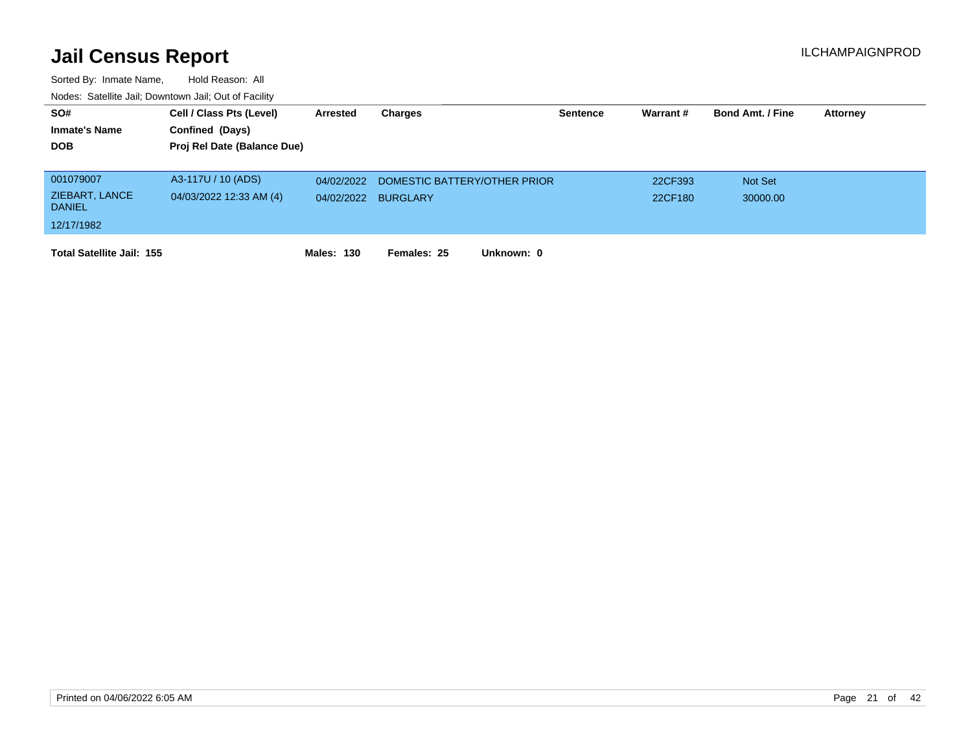| SO#<br><b>Inmate's Name</b><br><b>DOB</b> | Cell / Class Pts (Level)<br>Confined (Days)<br>Proj Rel Date (Balance Due) | Arrested          | Charges                      | <b>Sentence</b> | Warrant # | <b>Bond Amt. / Fine</b> | Attorney |
|-------------------------------------------|----------------------------------------------------------------------------|-------------------|------------------------------|-----------------|-----------|-------------------------|----------|
|                                           |                                                                            |                   |                              |                 |           |                         |          |
| 001079007                                 | A3-117U / 10 (ADS)                                                         | 04/02/2022        | DOMESTIC BATTERY/OTHER PRIOR |                 | 22CF393   | <b>Not Set</b>          |          |
| ZIEBART, LANCE<br><b>DANIEL</b>           | 04/03/2022 12:33 AM (4)                                                    | 04/02/2022        | <b>BURGLARY</b>              |                 | 22CF180   | 30000.00                |          |
| 12/17/1982                                |                                                                            |                   |                              |                 |           |                         |          |
| <b>Total Satellite Jail: 155</b>          |                                                                            | <b>Males: 130</b> | Females: 25<br>Unknown: 0    |                 |           |                         |          |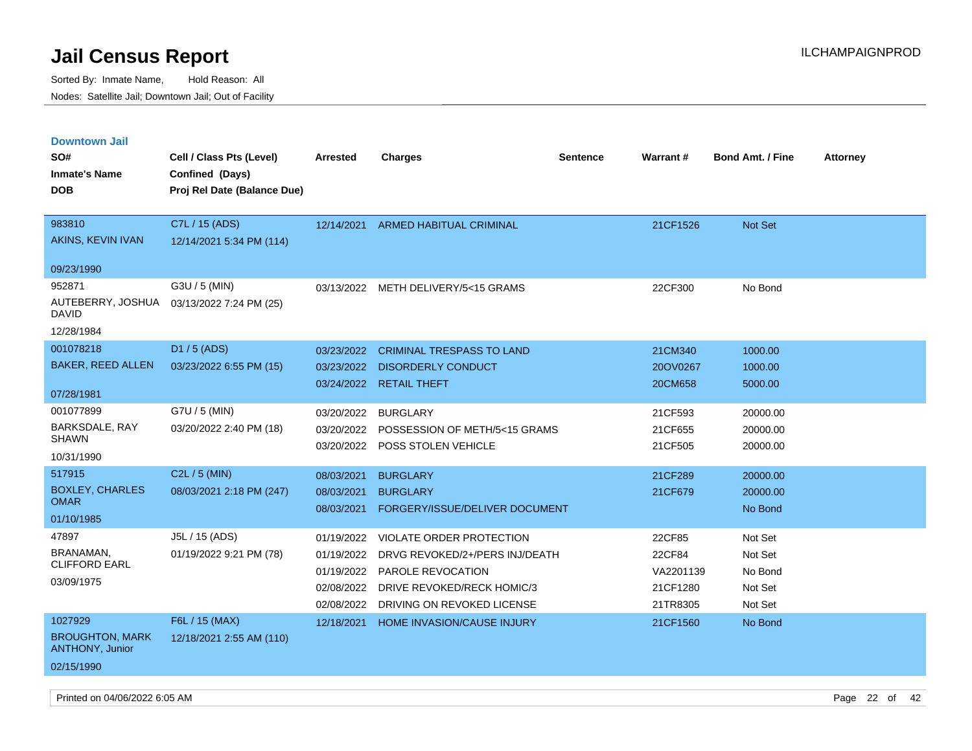| <b>Downtown Jail</b>                             |                             |            |                                     |                 |                 |                         |                 |
|--------------------------------------------------|-----------------------------|------------|-------------------------------------|-----------------|-----------------|-------------------------|-----------------|
| SO#                                              | Cell / Class Pts (Level)    | Arrested   | <b>Charges</b>                      | <b>Sentence</b> | <b>Warrant#</b> | <b>Bond Amt. / Fine</b> | <b>Attorney</b> |
| <b>Inmate's Name</b>                             | Confined (Days)             |            |                                     |                 |                 |                         |                 |
| <b>DOB</b>                                       | Proj Rel Date (Balance Due) |            |                                     |                 |                 |                         |                 |
|                                                  |                             |            |                                     |                 |                 |                         |                 |
| 983810                                           | C7L / 15 (ADS)              | 12/14/2021 | <b>ARMED HABITUAL CRIMINAL</b>      |                 | 21CF1526        | <b>Not Set</b>          |                 |
| AKINS, KEVIN IVAN                                | 12/14/2021 5:34 PM (114)    |            |                                     |                 |                 |                         |                 |
| 09/23/1990                                       |                             |            |                                     |                 |                 |                         |                 |
| 952871                                           | G3U / 5 (MIN)               |            | 03/13/2022 METH DELIVERY/5<15 GRAMS |                 | 22CF300         | No Bond                 |                 |
| AUTEBERRY, JOSHUA<br>DAVID                       | 03/13/2022 7:24 PM (25)     |            |                                     |                 |                 |                         |                 |
| 12/28/1984                                       |                             |            |                                     |                 |                 |                         |                 |
| 001078218                                        | D1 / 5 (ADS)                | 03/23/2022 | <b>CRIMINAL TRESPASS TO LAND</b>    |                 | 21CM340         | 1000.00                 |                 |
| <b>BAKER, REED ALLEN</b>                         | 03/23/2022 6:55 PM (15)     | 03/23/2022 | <b>DISORDERLY CONDUCT</b>           |                 | 20OV0267        | 1000.00                 |                 |
|                                                  |                             | 03/24/2022 | <b>RETAIL THEFT</b>                 |                 | 20CM658         | 5000.00                 |                 |
| 07/28/1981                                       |                             |            |                                     |                 |                 |                         |                 |
| 001077899                                        | G7U / 5 (MIN)               | 03/20/2022 | <b>BURGLARY</b>                     |                 | 21CF593         | 20000.00                |                 |
| BARKSDALE, RAY<br><b>SHAWN</b>                   | 03/20/2022 2:40 PM (18)     | 03/20/2022 | POSSESSION OF METH/5<15 GRAMS       |                 | 21CF655         | 20000.00                |                 |
| 10/31/1990                                       |                             | 03/20/2022 | POSS STOLEN VEHICLE                 |                 | 21CF505         | 20000.00                |                 |
| 517915                                           | $C2L / 5$ (MIN)             |            |                                     |                 |                 |                         |                 |
| <b>BOXLEY, CHARLES</b>                           |                             | 08/03/2021 | <b>BURGLARY</b>                     |                 | 21CF289         | 20000.00                |                 |
| <b>OMAR</b>                                      | 08/03/2021 2:18 PM (247)    | 08/03/2021 | <b>BURGLARY</b>                     |                 | 21CF679         | 20000.00                |                 |
| 01/10/1985                                       |                             | 08/03/2021 | FORGERY/ISSUE/DELIVER DOCUMENT      |                 |                 | No Bond                 |                 |
| 47897                                            | J5L / 15 (ADS)              | 01/19/2022 | <b>VIOLATE ORDER PROTECTION</b>     |                 | 22CF85          | Not Set                 |                 |
| <b>BRANAMAN</b>                                  | 01/19/2022 9:21 PM (78)     | 01/19/2022 | DRVG REVOKED/2+/PERS INJ/DEATH      |                 | 22CF84          | Not Set                 |                 |
| <b>CLIFFORD EARL</b>                             |                             | 01/19/2022 | PAROLE REVOCATION                   |                 | VA2201139       | No Bond                 |                 |
| 03/09/1975                                       |                             | 02/08/2022 | DRIVE REVOKED/RECK HOMIC/3          |                 | 21CF1280        | Not Set                 |                 |
|                                                  |                             | 02/08/2022 | DRIVING ON REVOKED LICENSE          |                 | 21TR8305        | Not Set                 |                 |
| 1027929                                          | F6L / 15 (MAX)              | 12/18/2021 | <b>HOME INVASION/CAUSE INJURY</b>   |                 | 21CF1560        | No Bond                 |                 |
| <b>BROUGHTON, MARK</b><br><b>ANTHONY, Junior</b> | 12/18/2021 2:55 AM (110)    |            |                                     |                 |                 |                         |                 |
| 02/15/1990                                       |                             |            |                                     |                 |                 |                         |                 |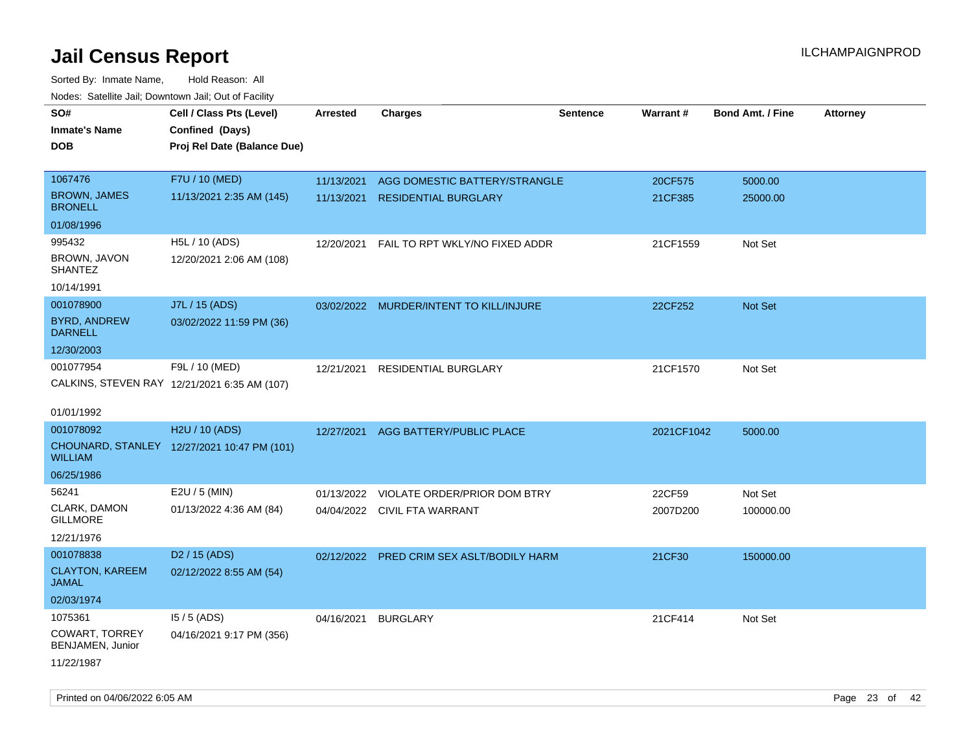| rougs. Calcing Jan, Downtown Jan, Out of Facility |                                              |                 |                                         |                 |            |                         |                 |
|---------------------------------------------------|----------------------------------------------|-----------------|-----------------------------------------|-----------------|------------|-------------------------|-----------------|
| SO#<br><b>Inmate's Name</b>                       | Cell / Class Pts (Level)<br>Confined (Days)  | <b>Arrested</b> | <b>Charges</b>                          | <b>Sentence</b> | Warrant#   | <b>Bond Amt. / Fine</b> | <b>Attorney</b> |
| <b>DOB</b>                                        | Proj Rel Date (Balance Due)                  |                 |                                         |                 |            |                         |                 |
| 1067476                                           | F7U / 10 (MED)                               | 11/13/2021      | AGG DOMESTIC BATTERY/STRANGLE           |                 | 20CF575    | 5000.00                 |                 |
| <b>BROWN, JAMES</b><br><b>BRONELL</b>             | 11/13/2021 2:35 AM (145)                     | 11/13/2021      | <b>RESIDENTIAL BURGLARY</b>             |                 | 21CF385    | 25000.00                |                 |
| 01/08/1996                                        |                                              |                 |                                         |                 |            |                         |                 |
| 995432                                            | H5L / 10 (ADS)                               | 12/20/2021      | FAIL TO RPT WKLY/NO FIXED ADDR          |                 | 21CF1559   | Not Set                 |                 |
| BROWN, JAVON<br><b>SHANTEZ</b>                    | 12/20/2021 2:06 AM (108)                     |                 |                                         |                 |            |                         |                 |
| 10/14/1991                                        |                                              |                 |                                         |                 |            |                         |                 |
| 001078900                                         | J7L / 15 (ADS)                               |                 | 03/02/2022 MURDER/INTENT TO KILL/INJURE |                 | 22CF252    | Not Set                 |                 |
| <b>BYRD, ANDREW</b><br><b>DARNELL</b>             | 03/02/2022 11:59 PM (36)                     |                 |                                         |                 |            |                         |                 |
| 12/30/2003                                        |                                              |                 |                                         |                 |            |                         |                 |
| 001077954                                         | F9L / 10 (MED)                               | 12/21/2021      | RESIDENTIAL BURGLARY                    |                 | 21CF1570   | Not Set                 |                 |
|                                                   | CALKINS, STEVEN RAY 12/21/2021 6:35 AM (107) |                 |                                         |                 |            |                         |                 |
| 01/01/1992                                        |                                              |                 |                                         |                 |            |                         |                 |
| 001078092                                         | H2U / 10 (ADS)                               | 12/27/2021      | AGG BATTERY/PUBLIC PLACE                |                 | 2021CF1042 | 5000.00                 |                 |
| <b>WILLIAM</b>                                    | CHOUNARD, STANLEY 12/27/2021 10:47 PM (101)  |                 |                                         |                 |            |                         |                 |
| 06/25/1986                                        |                                              |                 |                                         |                 |            |                         |                 |
| 56241                                             | E2U / 5 (MIN)                                | 01/13/2022      | VIOLATE ORDER/PRIOR DOM BTRY            |                 | 22CF59     | Not Set                 |                 |
| CLARK, DAMON<br><b>GILLMORE</b>                   | 01/13/2022 4:36 AM (84)                      |                 | 04/04/2022 CIVIL FTA WARRANT            |                 | 2007D200   | 100000.00               |                 |
| 12/21/1976                                        |                                              |                 |                                         |                 |            |                         |                 |
| 001078838                                         | D <sub>2</sub> / 15 (ADS)                    | 02/12/2022      | PRED CRIM SEX ASLT/BODILY HARM          |                 | 21CF30     | 150000.00               |                 |
| <b>CLAYTON, KAREEM</b><br>JAMAL                   | 02/12/2022 8:55 AM (54)                      |                 |                                         |                 |            |                         |                 |
| 02/03/1974                                        |                                              |                 |                                         |                 |            |                         |                 |
| 1075361                                           | $15/5$ (ADS)                                 | 04/16/2021      | <b>BURGLARY</b>                         |                 | 21CF414    | Not Set                 |                 |
| <b>COWART, TORREY</b><br>BENJAMEN, Junior         | 04/16/2021 9:17 PM (356)                     |                 |                                         |                 |            |                         |                 |
| 11/22/1987                                        |                                              |                 |                                         |                 |            |                         |                 |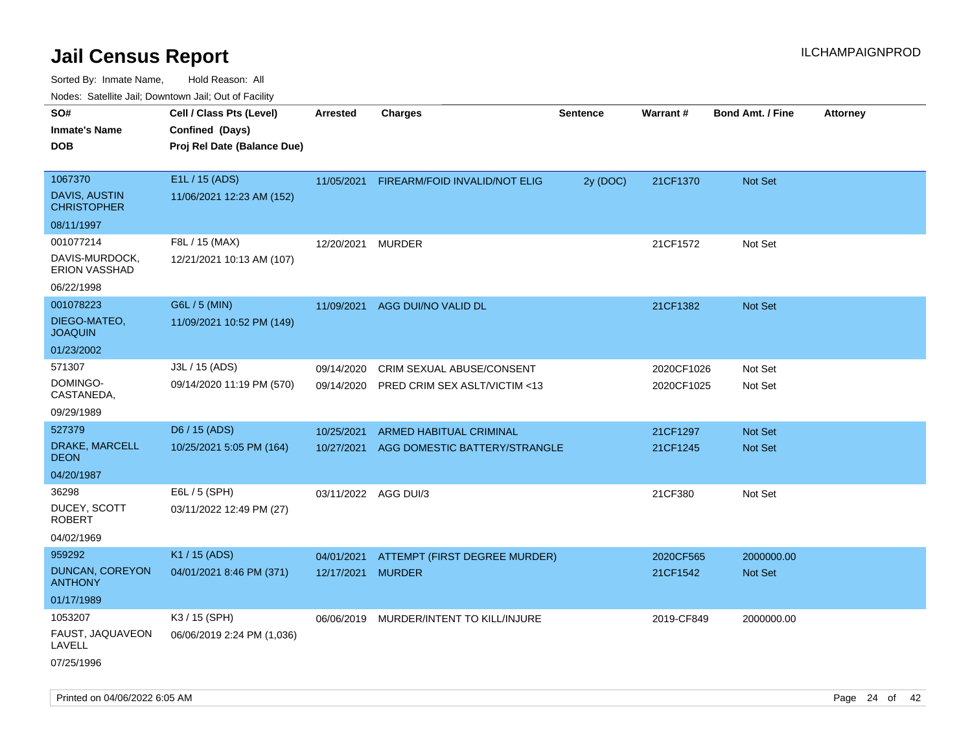| ivodes. Satellite Jali, Downtown Jali, Out of Facility |                             |                      |                               |                 |                 |                         |                 |
|--------------------------------------------------------|-----------------------------|----------------------|-------------------------------|-----------------|-----------------|-------------------------|-----------------|
| SO#                                                    | Cell / Class Pts (Level)    | Arrested             | <b>Charges</b>                | <b>Sentence</b> | <b>Warrant#</b> | <b>Bond Amt. / Fine</b> | <b>Attorney</b> |
| <b>Inmate's Name</b>                                   | Confined (Days)             |                      |                               |                 |                 |                         |                 |
| <b>DOB</b>                                             | Proj Rel Date (Balance Due) |                      |                               |                 |                 |                         |                 |
|                                                        |                             |                      |                               |                 |                 |                         |                 |
| 1067370                                                | E1L / 15 (ADS)              | 11/05/2021           | FIREARM/FOID INVALID/NOT ELIG | 2y (DOC)        | 21CF1370        | Not Set                 |                 |
| <b>DAVIS, AUSTIN</b><br>CHRISTOPHER                    | 11/06/2021 12:23 AM (152)   |                      |                               |                 |                 |                         |                 |
| 08/11/1997                                             |                             |                      |                               |                 |                 |                         |                 |
| 001077214                                              | F8L / 15 (MAX)              | 12/20/2021           | <b>MURDER</b>                 |                 | 21CF1572        | Not Set                 |                 |
| DAVIS-MURDOCK,<br><b>ERION VASSHAD</b>                 | 12/21/2021 10:13 AM (107)   |                      |                               |                 |                 |                         |                 |
| 06/22/1998                                             |                             |                      |                               |                 |                 |                         |                 |
| 001078223                                              | G6L / 5 (MIN)               | 11/09/2021           | AGG DUI/NO VALID DL           |                 | 21CF1382        | <b>Not Set</b>          |                 |
| DIEGO-MATEO,<br><b>JOAQUIN</b>                         | 11/09/2021 10:52 PM (149)   |                      |                               |                 |                 |                         |                 |
| 01/23/2002                                             |                             |                      |                               |                 |                 |                         |                 |
| 571307                                                 | J3L / 15 (ADS)              | 09/14/2020           | CRIM SEXUAL ABUSE/CONSENT     |                 | 2020CF1026      | Not Set                 |                 |
| DOMINGO-<br>CASTANEDA,                                 | 09/14/2020 11:19 PM (570)   | 09/14/2020           | PRED CRIM SEX ASLT/VICTIM <13 |                 | 2020CF1025      | Not Set                 |                 |
| 09/29/1989                                             |                             |                      |                               |                 |                 |                         |                 |
| 527379                                                 | D6 / 15 (ADS)               | 10/25/2021           | ARMED HABITUAL CRIMINAL       |                 | 21CF1297        | <b>Not Set</b>          |                 |
| <b>DRAKE, MARCELL</b><br>DEON                          | 10/25/2021 5:05 PM (164)    | 10/27/2021           | AGG DOMESTIC BATTERY/STRANGLE |                 | 21CF1245        | <b>Not Set</b>          |                 |
| 04/20/1987                                             |                             |                      |                               |                 |                 |                         |                 |
| 36298                                                  | E6L / 5 (SPH)               | 03/11/2022 AGG DUI/3 |                               |                 | 21CF380         | Not Set                 |                 |
| DUCEY, SCOTT<br>ROBERT                                 | 03/11/2022 12:49 PM (27)    |                      |                               |                 |                 |                         |                 |
| 04/02/1969                                             |                             |                      |                               |                 |                 |                         |                 |
| 959292                                                 | K1 / 15 (ADS)               | 04/01/2021           | ATTEMPT (FIRST DEGREE MURDER) |                 | 2020CF565       | 2000000.00              |                 |
| <b>DUNCAN, COREYON</b><br>ANTHONY                      | 04/01/2021 8:46 PM (371)    | 12/17/2021           | <b>MURDER</b>                 |                 | 21CF1542        | <b>Not Set</b>          |                 |
| 01/17/1989                                             |                             |                      |                               |                 |                 |                         |                 |
| 1053207                                                | K3 / 15 (SPH)               | 06/06/2019           | MURDER/INTENT TO KILL/INJURE  |                 | 2019-CF849      | 2000000.00              |                 |
| FAUST, JAQUAVEON<br>LAVELL                             | 06/06/2019 2:24 PM (1,036)  |                      |                               |                 |                 |                         |                 |
| 07/25/1996                                             |                             |                      |                               |                 |                 |                         |                 |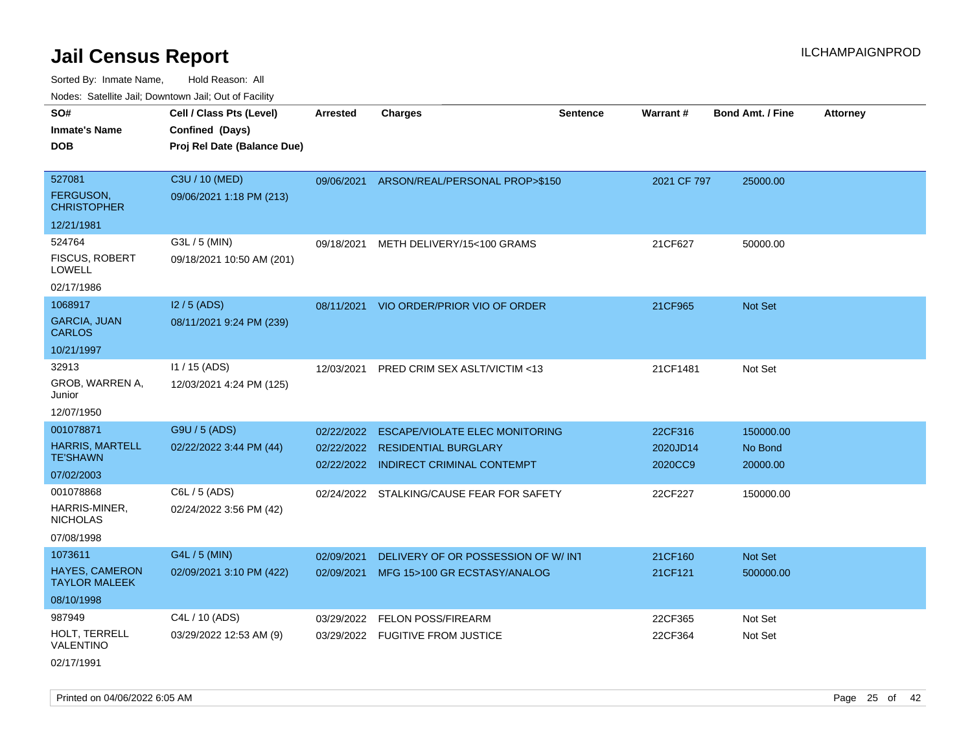| roaco. Catolino dall, Downtown dall, Out of Fability |                             |                 |                                           |                 |             |                         |                 |
|------------------------------------------------------|-----------------------------|-----------------|-------------------------------------------|-----------------|-------------|-------------------------|-----------------|
| SO#                                                  | Cell / Class Pts (Level)    | <b>Arrested</b> | <b>Charges</b>                            | <b>Sentence</b> | Warrant#    | <b>Bond Amt. / Fine</b> | <b>Attorney</b> |
| <b>Inmate's Name</b>                                 | Confined (Days)             |                 |                                           |                 |             |                         |                 |
| <b>DOB</b>                                           | Proj Rel Date (Balance Due) |                 |                                           |                 |             |                         |                 |
|                                                      |                             |                 |                                           |                 |             |                         |                 |
| 527081                                               | C3U / 10 (MED)              |                 | 09/06/2021 ARSON/REAL/PERSONAL PROP>\$150 |                 | 2021 CF 797 | 25000.00                |                 |
| <b>FERGUSON,</b><br><b>CHRISTOPHER</b>               | 09/06/2021 1:18 PM (213)    |                 |                                           |                 |             |                         |                 |
| 12/21/1981                                           |                             |                 |                                           |                 |             |                         |                 |
| 524764                                               | G3L / 5 (MIN)               | 09/18/2021      | METH DELIVERY/15<100 GRAMS                |                 | 21CF627     | 50000.00                |                 |
| <b>FISCUS, ROBERT</b><br><b>LOWELL</b>               | 09/18/2021 10:50 AM (201)   |                 |                                           |                 |             |                         |                 |
| 02/17/1986                                           |                             |                 |                                           |                 |             |                         |                 |
| 1068917                                              | $12/5$ (ADS)                |                 | 08/11/2021 VIO ORDER/PRIOR VIO OF ORDER   |                 | 21CF965     | <b>Not Set</b>          |                 |
| <b>GARCIA, JUAN</b><br><b>CARLOS</b>                 | 08/11/2021 9:24 PM (239)    |                 |                                           |                 |             |                         |                 |
| 10/21/1997                                           |                             |                 |                                           |                 |             |                         |                 |
| 32913                                                | $11/15$ (ADS)               | 12/03/2021      | PRED CRIM SEX ASLT/VICTIM <13             |                 | 21CF1481    | Not Set                 |                 |
| GROB, WARREN A,<br>Junior                            | 12/03/2021 4:24 PM (125)    |                 |                                           |                 |             |                         |                 |
| 12/07/1950                                           |                             |                 |                                           |                 |             |                         |                 |
| 001078871                                            | G9U / 5 (ADS)               | 02/22/2022      | <b>ESCAPE/VIOLATE ELEC MONITORING</b>     |                 | 22CF316     | 150000.00               |                 |
| <b>HARRIS, MARTELL</b>                               | 02/22/2022 3:44 PM (44)     |                 | 02/22/2022 RESIDENTIAL BURGLARY           |                 | 2020JD14    | No Bond                 |                 |
| <b>TE'SHAWN</b>                                      |                             |                 | 02/22/2022 INDIRECT CRIMINAL CONTEMPT     |                 | 2020CC9     | 20000.00                |                 |
| 07/02/2003                                           |                             |                 |                                           |                 |             |                         |                 |
| 001078868                                            | C6L / 5 (ADS)               |                 | 02/24/2022 STALKING/CAUSE FEAR FOR SAFETY |                 | 22CF227     | 150000.00               |                 |
| HARRIS-MINER,<br><b>NICHOLAS</b>                     | 02/24/2022 3:56 PM (42)     |                 |                                           |                 |             |                         |                 |
| 07/08/1998                                           |                             |                 |                                           |                 |             |                         |                 |
| 1073611                                              | G4L / 5 (MIN)               | 02/09/2021      | DELIVERY OF OR POSSESSION OF W/ INT       |                 | 21CF160     | Not Set                 |                 |
| HAYES, CAMERON<br><b>TAYLOR MALEEK</b>               | 02/09/2021 3:10 PM (422)    |                 | 02/09/2021 MFG 15>100 GR ECSTASY/ANALOG   |                 | 21CF121     | 500000.00               |                 |
| 08/10/1998                                           |                             |                 |                                           |                 |             |                         |                 |
| 987949                                               | C4L / 10 (ADS)              | 03/29/2022      | <b>FELON POSS/FIREARM</b>                 |                 | 22CF365     | Not Set                 |                 |
| HOLT, TERRELL<br>VALENTINO                           | 03/29/2022 12:53 AM (9)     |                 | 03/29/2022 FUGITIVE FROM JUSTICE          |                 | 22CF364     | Not Set                 |                 |
| 02/17/1991                                           |                             |                 |                                           |                 |             |                         |                 |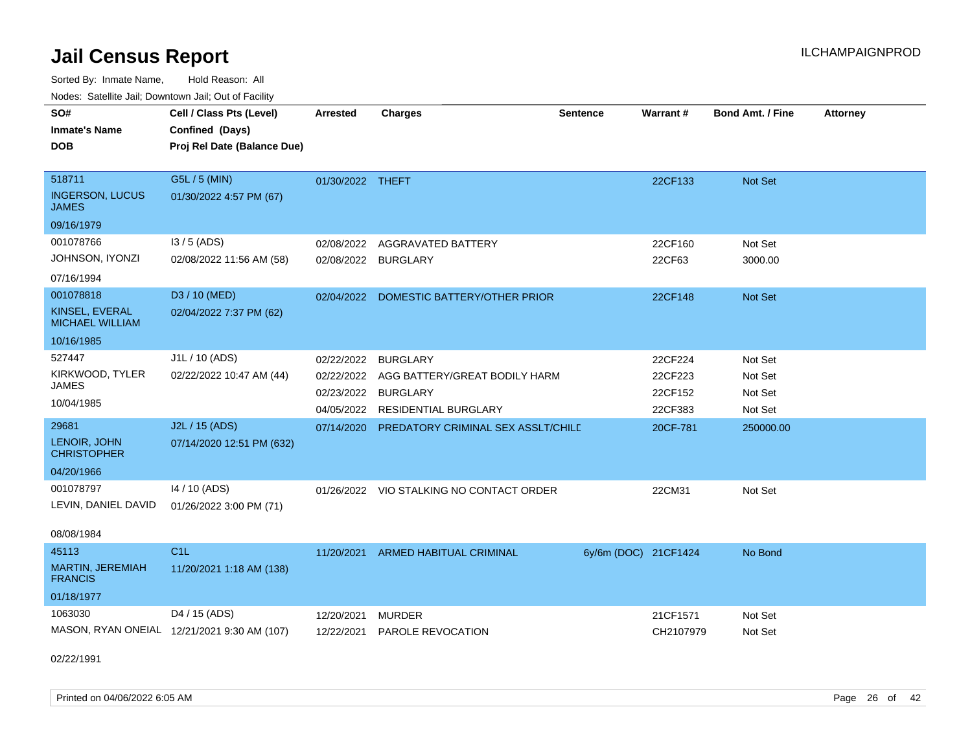Sorted By: Inmate Name, Hold Reason: All

Nodes: Satellite Jail; Downtown Jail; Out of Facility

| SO#<br><b>Inmate's Name</b><br><b>DOB</b>        | Cell / Class Pts (Level)<br>Confined (Days)<br>Proj Rel Date (Balance Due) | <b>Arrested</b>  | <b>Charges</b>                           | <b>Sentence</b>      | Warrant#  | <b>Bond Amt. / Fine</b> | <b>Attorney</b> |
|--------------------------------------------------|----------------------------------------------------------------------------|------------------|------------------------------------------|----------------------|-----------|-------------------------|-----------------|
| 518711<br><b>INGERSON, LUCUS</b><br><b>JAMES</b> | G5L / 5 (MIN)<br>01/30/2022 4:57 PM (67)                                   | 01/30/2022 THEFT |                                          |                      | 22CF133   | Not Set                 |                 |
| 09/16/1979                                       |                                                                            |                  |                                          |                      |           |                         |                 |
| 001078766                                        | $13/5$ (ADS)                                                               |                  | 02/08/2022 AGGRAVATED BATTERY            |                      | 22CF160   | Not Set                 |                 |
| JOHNSON, IYONZI                                  | 02/08/2022 11:56 AM (58)                                                   | 02/08/2022       | <b>BURGLARY</b>                          |                      | 22CF63    | 3000.00                 |                 |
| 07/16/1994                                       |                                                                            |                  |                                          |                      |           |                         |                 |
| 001078818                                        | D3 / 10 (MED)                                                              | 02/04/2022       | DOMESTIC BATTERY/OTHER PRIOR             |                      | 22CF148   | Not Set                 |                 |
| KINSEL, EVERAL<br><b>MICHAEL WILLIAM</b>         | 02/04/2022 7:37 PM (62)                                                    |                  |                                          |                      |           |                         |                 |
| 10/16/1985                                       |                                                                            |                  |                                          |                      |           |                         |                 |
| 527447                                           | J1L / 10 (ADS)                                                             | 02/22/2022       | <b>BURGLARY</b>                          |                      | 22CF224   | Not Set                 |                 |
| KIRKWOOD, TYLER                                  | 02/22/2022 10:47 AM (44)                                                   | 02/22/2022       | AGG BATTERY/GREAT BODILY HARM            |                      | 22CF223   | Not Set                 |                 |
| <b>JAMES</b>                                     |                                                                            | 02/23/2022       | <b>BURGLARY</b>                          |                      | 22CF152   | Not Set                 |                 |
| 10/04/1985                                       |                                                                            | 04/05/2022       | <b>RESIDENTIAL BURGLARY</b>              |                      | 22CF383   | Not Set                 |                 |
| 29681                                            | J2L / 15 (ADS)                                                             | 07/14/2020       | PREDATORY CRIMINAL SEX ASSLT/CHILD       |                      | 20CF-781  | 250000.00               |                 |
| LENOIR, JOHN<br><b>CHRISTOPHER</b>               | 07/14/2020 12:51 PM (632)                                                  |                  |                                          |                      |           |                         |                 |
| 04/20/1966                                       |                                                                            |                  |                                          |                      |           |                         |                 |
| 001078797                                        | 14 / 10 (ADS)                                                              |                  | 01/26/2022 VIO STALKING NO CONTACT ORDER |                      | 22CM31    | Not Set                 |                 |
| LEVIN, DANIEL DAVID                              | 01/26/2022 3:00 PM (71)                                                    |                  |                                          |                      |           |                         |                 |
| 08/08/1984                                       |                                                                            |                  |                                          |                      |           |                         |                 |
| 45113                                            | C1L                                                                        | 11/20/2021       | ARMED HABITUAL CRIMINAL                  | 6y/6m (DOC) 21CF1424 |           | No Bond                 |                 |
| MARTIN, JEREMIAH<br><b>FRANCIS</b>               | 11/20/2021 1:18 AM (138)                                                   |                  |                                          |                      |           |                         |                 |
| 01/18/1977                                       |                                                                            |                  |                                          |                      |           |                         |                 |
| 1063030                                          | D4 / 15 (ADS)                                                              | 12/20/2021       | <b>MURDER</b>                            |                      | 21CF1571  | Not Set                 |                 |
|                                                  | MASON, RYAN ONEIAL 12/21/2021 9:30 AM (107)                                | 12/22/2021       | PAROLE REVOCATION                        |                      | CH2107979 | Not Set                 |                 |

02/22/1991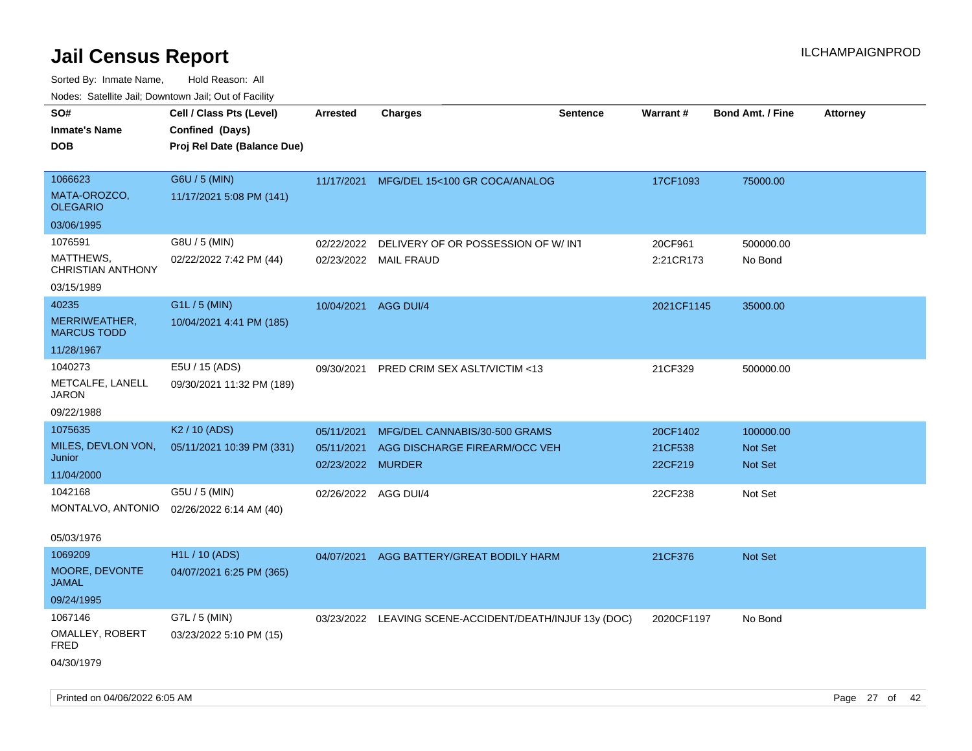| rouco. Calcillo Jali, Downtown Jali, Out of Facility |                             |                      |                                                         |                 |            |                         |                 |
|------------------------------------------------------|-----------------------------|----------------------|---------------------------------------------------------|-----------------|------------|-------------------------|-----------------|
| SO#                                                  | Cell / Class Pts (Level)    | <b>Arrested</b>      | Charges                                                 | <b>Sentence</b> | Warrant#   | <b>Bond Amt. / Fine</b> | <b>Attorney</b> |
| Inmate's Name                                        | Confined (Days)             |                      |                                                         |                 |            |                         |                 |
| DOB                                                  | Proj Rel Date (Balance Due) |                      |                                                         |                 |            |                         |                 |
|                                                      |                             |                      |                                                         |                 |            |                         |                 |
| 1066623                                              | G6U / 5 (MIN)               |                      | 11/17/2021 MFG/DEL 15<100 GR COCA/ANALOG                |                 | 17CF1093   | 75000.00                |                 |
| MATA-OROZCO,<br>OLEGARIO                             | 11/17/2021 5:08 PM (141)    |                      |                                                         |                 |            |                         |                 |
| 03/06/1995                                           |                             |                      |                                                         |                 |            |                         |                 |
| 1076591                                              | G8U / 5 (MIN)               | 02/22/2022           | DELIVERY OF OR POSSESSION OF W/INT                      |                 | 20CF961    | 500000.00               |                 |
| <b>MATTHEWS,</b><br><b>CHRISTIAN ANTHONY</b>         | 02/22/2022 7:42 PM (44)     |                      | 02/23/2022 MAIL FRAUD                                   |                 | 2:21CR173  | No Bond                 |                 |
| 03/15/1989                                           |                             |                      |                                                         |                 |            |                         |                 |
| 40235                                                | G1L / 5 (MIN)               | 10/04/2021 AGG DUI/4 |                                                         |                 | 2021CF1145 | 35000.00                |                 |
| MERRIWEATHER,<br>MARCUS TODD                         | 10/04/2021 4:41 PM (185)    |                      |                                                         |                 |            |                         |                 |
| 11/28/1967                                           |                             |                      |                                                         |                 |            |                         |                 |
| 1040273                                              | E5U / 15 (ADS)              | 09/30/2021           | PRED CRIM SEX ASLT/VICTIM <13                           |                 | 21CF329    | 500000.00               |                 |
| METCALFE, LANELL<br>JARON                            | 09/30/2021 11:32 PM (189)   |                      |                                                         |                 |            |                         |                 |
| 09/22/1988                                           |                             |                      |                                                         |                 |            |                         |                 |
| 1075635                                              | K <sub>2</sub> / 10 (ADS)   | 05/11/2021           | MFG/DEL CANNABIS/30-500 GRAMS                           |                 | 20CF1402   | 100000.00               |                 |
| MILES, DEVLON VON,                                   | 05/11/2021 10:39 PM (331)   | 05/11/2021           | AGG DISCHARGE FIREARM/OCC VEH                           |                 | 21CF538    | <b>Not Set</b>          |                 |
| Junior                                               |                             | 02/23/2022 MURDER    |                                                         |                 | 22CF219    | <b>Not Set</b>          |                 |
| 11/04/2000                                           |                             |                      |                                                         |                 |            |                         |                 |
| 1042168                                              | G5U / 5 (MIN)               | 02/26/2022 AGG DUI/4 |                                                         |                 | 22CF238    | Not Set                 |                 |
| MONTALVO, ANTONIO                                    | 02/26/2022 6:14 AM (40)     |                      |                                                         |                 |            |                         |                 |
| 05/03/1976                                           |                             |                      |                                                         |                 |            |                         |                 |
| 1069209                                              | H1L / 10 (ADS)              | 04/07/2021           | AGG BATTERY/GREAT BODILY HARM                           |                 | 21CF376    | Not Set                 |                 |
| <b>MOORE, DEVONTE</b><br>JAMAL                       | 04/07/2021 6:25 PM (365)    |                      |                                                         |                 |            |                         |                 |
| 09/24/1995                                           |                             |                      |                                                         |                 |            |                         |                 |
| 1067146                                              | G7L / 5 (MIN)               |                      | 03/23/2022 LEAVING SCENE-ACCIDENT/DEATH/INJUF 13y (DOC) |                 | 2020CF1197 | No Bond                 |                 |
| <b>OMALLEY, ROBERT</b><br>FRED                       | 03/23/2022 5:10 PM (15)     |                      |                                                         |                 |            |                         |                 |
| 04/30/1979                                           |                             |                      |                                                         |                 |            |                         |                 |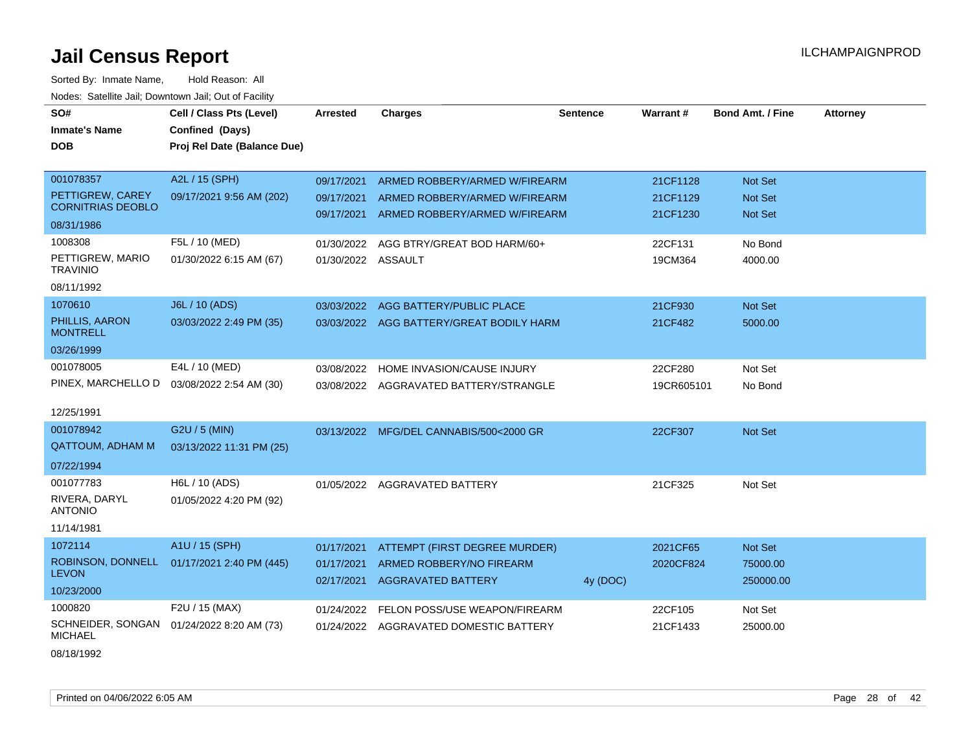| SO#                                 | Cell / Class Pts (Level)    | <b>Arrested</b>    | <b>Charges</b>                           | <b>Sentence</b> | <b>Warrant#</b> | <b>Bond Amt. / Fine</b> | <b>Attorney</b> |
|-------------------------------------|-----------------------------|--------------------|------------------------------------------|-----------------|-----------------|-------------------------|-----------------|
| <b>Inmate's Name</b>                | Confined (Days)             |                    |                                          |                 |                 |                         |                 |
| <b>DOB</b>                          | Proj Rel Date (Balance Due) |                    |                                          |                 |                 |                         |                 |
|                                     |                             |                    |                                          |                 |                 |                         |                 |
| 001078357                           | A2L / 15 (SPH)              | 09/17/2021         | ARMED ROBBERY/ARMED W/FIREARM            |                 | 21CF1128        | Not Set                 |                 |
| PETTIGREW, CAREY                    | 09/17/2021 9:56 AM (202)    | 09/17/2021         | ARMED ROBBERY/ARMED W/FIREARM            |                 | 21CF1129        | Not Set                 |                 |
| <b>CORNITRIAS DEOBLO</b>            |                             | 09/17/2021         | ARMED ROBBERY/ARMED W/FIREARM            |                 | 21CF1230        | Not Set                 |                 |
| 08/31/1986                          |                             |                    |                                          |                 |                 |                         |                 |
| 1008308                             | F5L / 10 (MED)              | 01/30/2022         | AGG BTRY/GREAT BOD HARM/60+              |                 | 22CF131         | No Bond                 |                 |
| PETTIGREW, MARIO<br><b>TRAVINIO</b> | 01/30/2022 6:15 AM (67)     | 01/30/2022 ASSAULT |                                          |                 | 19CM364         | 4000.00                 |                 |
| 08/11/1992                          |                             |                    |                                          |                 |                 |                         |                 |
| 1070610                             | J6L / 10 (ADS)              | 03/03/2022         | AGG BATTERY/PUBLIC PLACE                 |                 | 21CF930         | <b>Not Set</b>          |                 |
| PHILLIS, AARON<br><b>MONTRELL</b>   | 03/03/2022 2:49 PM (35)     |                    | 03/03/2022 AGG BATTERY/GREAT BODILY HARM |                 | 21CF482         | 5000.00                 |                 |
| 03/26/1999                          |                             |                    |                                          |                 |                 |                         |                 |
| 001078005                           | E4L / 10 (MED)              | 03/08/2022         | HOME INVASION/CAUSE INJURY               |                 | 22CF280         | Not Set                 |                 |
| PINEX, MARCHELLO D                  | 03/08/2022 2:54 AM (30)     |                    | 03/08/2022 AGGRAVATED BATTERY/STRANGLE   |                 | 19CR605101      | No Bond                 |                 |
|                                     |                             |                    |                                          |                 |                 |                         |                 |
| 12/25/1991                          |                             |                    |                                          |                 |                 |                         |                 |
| 001078942                           | G2U / 5 (MIN)               |                    | 03/13/2022 MFG/DEL CANNABIS/500<2000 GR  |                 | 22CF307         | Not Set                 |                 |
| QATTOUM, ADHAM M                    | 03/13/2022 11:31 PM (25)    |                    |                                          |                 |                 |                         |                 |
| 07/22/1994                          |                             |                    |                                          |                 |                 |                         |                 |
| 001077783                           | H6L / 10 (ADS)              |                    | 01/05/2022 AGGRAVATED BATTERY            |                 | 21CF325         | Not Set                 |                 |
| RIVERA, DARYL<br><b>ANTONIO</b>     | 01/05/2022 4:20 PM (92)     |                    |                                          |                 |                 |                         |                 |
| 11/14/1981                          |                             |                    |                                          |                 |                 |                         |                 |
| 1072114                             | A1U / 15 (SPH)              | 01/17/2021         | ATTEMPT (FIRST DEGREE MURDER)            |                 | 2021CF65        | Not Set                 |                 |
| ROBINSON, DONNELL<br><b>LEVON</b>   | 01/17/2021 2:40 PM (445)    | 01/17/2021         | ARMED ROBBERY/NO FIREARM                 |                 | 2020CF824       | 75000.00                |                 |
| 10/23/2000                          |                             | 02/17/2021         | <b>AGGRAVATED BATTERY</b>                | 4y (DOC)        |                 | 250000.00               |                 |
| 1000820                             | F2U / 15 (MAX)              | 01/24/2022         | <b>FELON POSS/USE WEAPON/FIREARM</b>     |                 | 22CF105         | Not Set                 |                 |
| SCHNEIDER, SONGAN<br><b>MICHAEL</b> | 01/24/2022 8:20 AM (73)     |                    | 01/24/2022 AGGRAVATED DOMESTIC BATTERY   |                 | 21CF1433        | 25000.00                |                 |
| 08/18/1992                          |                             |                    |                                          |                 |                 |                         |                 |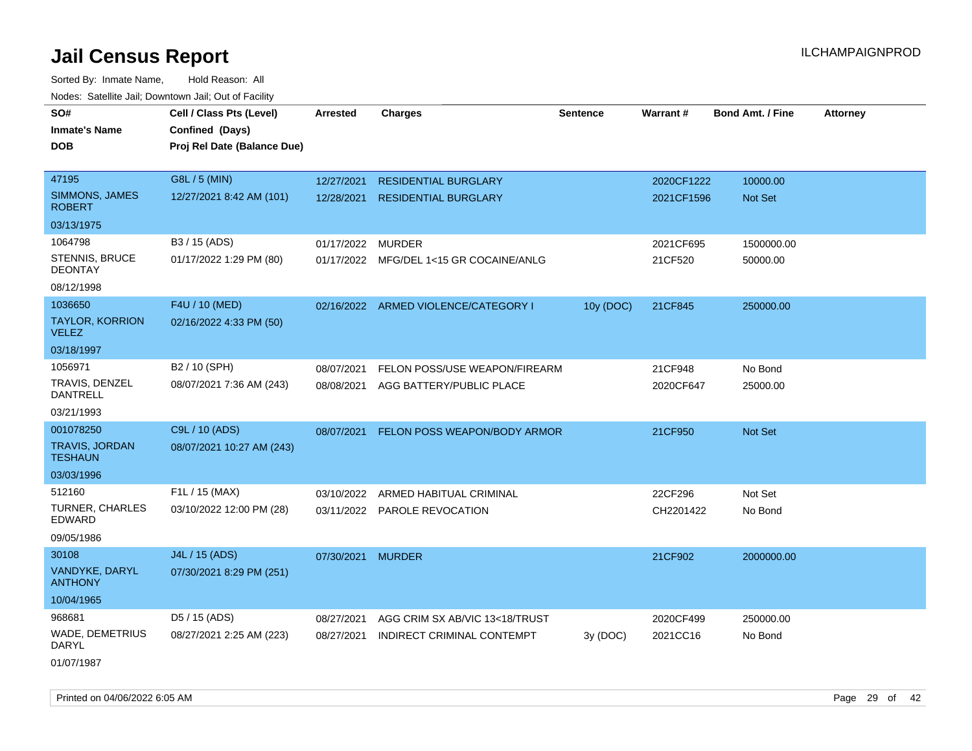| rougs. Calcing Jan, Downtown Jan, Out of Facinty |                                                                            |                   |                                         |                 |            |                         |                 |
|--------------------------------------------------|----------------------------------------------------------------------------|-------------------|-----------------------------------------|-----------------|------------|-------------------------|-----------------|
| SO#<br><b>Inmate's Name</b><br><b>DOB</b>        | Cell / Class Pts (Level)<br>Confined (Days)<br>Proj Rel Date (Balance Due) | <b>Arrested</b>   | <b>Charges</b>                          | <b>Sentence</b> | Warrant#   | <b>Bond Amt. / Fine</b> | <b>Attorney</b> |
|                                                  |                                                                            |                   |                                         |                 |            |                         |                 |
| 47195                                            | G8L / 5 (MIN)                                                              | 12/27/2021        | <b>RESIDENTIAL BURGLARY</b>             |                 | 2020CF1222 | 10000.00                |                 |
| <b>SIMMONS, JAMES</b><br><b>ROBERT</b>           | 12/27/2021 8:42 AM (101)                                                   | 12/28/2021        | <b>RESIDENTIAL BURGLARY</b>             |                 | 2021CF1596 | Not Set                 |                 |
| 03/13/1975                                       |                                                                            |                   |                                         |                 |            |                         |                 |
| 1064798                                          | B3 / 15 (ADS)                                                              | 01/17/2022        | <b>MURDER</b>                           |                 | 2021CF695  | 1500000.00              |                 |
| STENNIS, BRUCE<br><b>DEONTAY</b>                 | 01/17/2022 1:29 PM (80)                                                    |                   | 01/17/2022 MFG/DEL 1<15 GR COCAINE/ANLG |                 | 21CF520    | 50000.00                |                 |
| 08/12/1998                                       |                                                                            |                   |                                         |                 |            |                         |                 |
| 1036650                                          | F4U / 10 (MED)                                                             |                   | 02/16/2022 ARMED VIOLENCE/CATEGORY I    | 10y (DOC)       | 21CF845    | 250000.00               |                 |
| TAYLOR, KORRION<br><b>VELEZ</b>                  | 02/16/2022 4:33 PM (50)                                                    |                   |                                         |                 |            |                         |                 |
| 03/18/1997                                       |                                                                            |                   |                                         |                 |            |                         |                 |
| 1056971                                          | B2 / 10 (SPH)                                                              | 08/07/2021        | FELON POSS/USE WEAPON/FIREARM           |                 | 21CF948    | No Bond                 |                 |
| TRAVIS, DENZEL<br><b>DANTRELL</b>                | 08/07/2021 7:36 AM (243)                                                   |                   | 08/08/2021 AGG BATTERY/PUBLIC PLACE     |                 | 2020CF647  | 25000.00                |                 |
| 03/21/1993                                       |                                                                            |                   |                                         |                 |            |                         |                 |
| 001078250                                        | C9L / 10 (ADS)                                                             |                   | 08/07/2021 FELON POSS WEAPON/BODY ARMOR |                 | 21CF950    | Not Set                 |                 |
| <b>TRAVIS, JORDAN</b><br><b>TESHAUN</b>          | 08/07/2021 10:27 AM (243)                                                  |                   |                                         |                 |            |                         |                 |
| 03/03/1996                                       |                                                                            |                   |                                         |                 |            |                         |                 |
| 512160                                           | F1L / 15 (MAX)                                                             | 03/10/2022        | ARMED HABITUAL CRIMINAL                 |                 | 22CF296    | Not Set                 |                 |
| <b>TURNER, CHARLES</b><br><b>EDWARD</b>          | 03/10/2022 12:00 PM (28)                                                   |                   | 03/11/2022 PAROLE REVOCATION            |                 | CH2201422  | No Bond                 |                 |
| 09/05/1986                                       |                                                                            |                   |                                         |                 |            |                         |                 |
| 30108                                            | J4L / 15 (ADS)                                                             | 07/30/2021 MURDER |                                         |                 | 21CF902    | 2000000.00              |                 |
| VANDYKE, DARYL<br><b>ANTHONY</b>                 | 07/30/2021 8:29 PM (251)                                                   |                   |                                         |                 |            |                         |                 |
| 10/04/1965                                       |                                                                            |                   |                                         |                 |            |                         |                 |
| 968681                                           | D5 / 15 (ADS)                                                              | 08/27/2021        | AGG CRIM SX AB/VIC 13<18/TRUST          |                 | 2020CF499  | 250000.00               |                 |
| <b>WADE, DEMETRIUS</b><br>DARYL                  | 08/27/2021 2:25 AM (223)                                                   | 08/27/2021        | INDIRECT CRIMINAL CONTEMPT              | 3y (DOC)        | 2021CC16   | No Bond                 |                 |
| 01/07/1987                                       |                                                                            |                   |                                         |                 |            |                         |                 |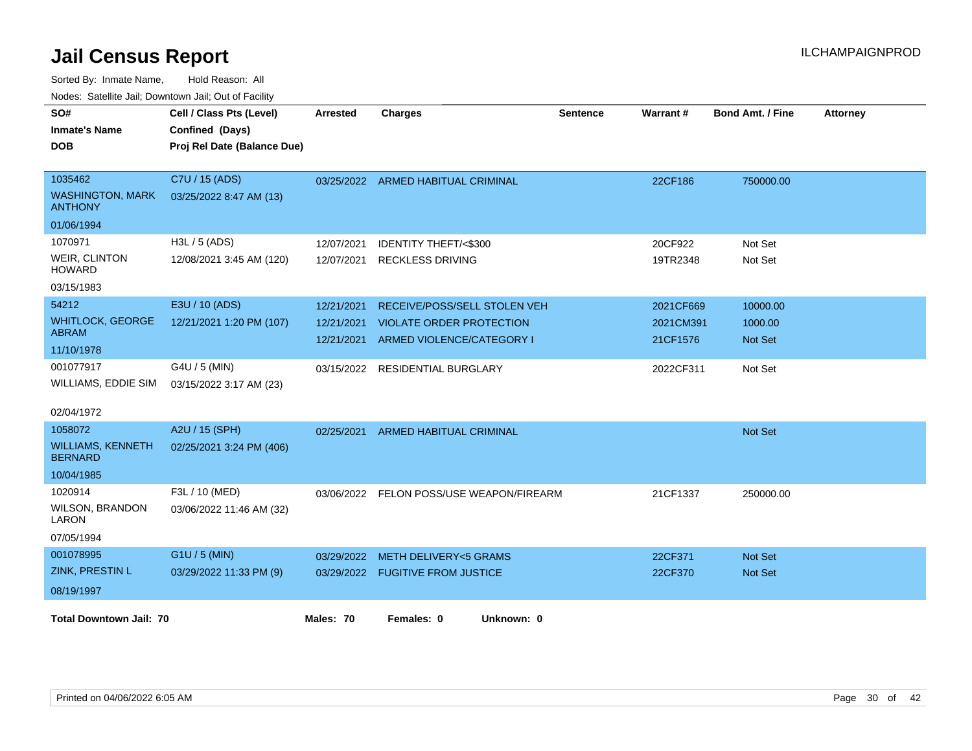| <u>Houcs.</u> Outchne Juli, Downtown Juli, Out of Facility<br>SO# | Cell / Class Pts (Level)    | <b>Arrested</b> | <b>Charges</b>                           | <b>Sentence</b> | Warrant#  | <b>Bond Amt. / Fine</b> | <b>Attorney</b> |
|-------------------------------------------------------------------|-----------------------------|-----------------|------------------------------------------|-----------------|-----------|-------------------------|-----------------|
| <b>Inmate's Name</b>                                              | Confined (Days)             |                 |                                          |                 |           |                         |                 |
| <b>DOB</b>                                                        | Proj Rel Date (Balance Due) |                 |                                          |                 |           |                         |                 |
|                                                                   |                             |                 |                                          |                 |           |                         |                 |
| 1035462                                                           | C7U / 15 (ADS)              |                 | 03/25/2022 ARMED HABITUAL CRIMINAL       |                 | 22CF186   | 750000.00               |                 |
| <b>WASHINGTON, MARK</b><br><b>ANTHONY</b>                         | 03/25/2022 8:47 AM (13)     |                 |                                          |                 |           |                         |                 |
| 01/06/1994                                                        |                             |                 |                                          |                 |           |                         |                 |
| 1070971                                                           | H3L / 5 (ADS)               | 12/07/2021      | <b>IDENTITY THEFT/&lt;\$300</b>          |                 | 20CF922   | Not Set                 |                 |
| <b>WEIR, CLINTON</b><br><b>HOWARD</b>                             | 12/08/2021 3:45 AM (120)    | 12/07/2021      | <b>RECKLESS DRIVING</b>                  |                 | 19TR2348  | Not Set                 |                 |
| 03/15/1983                                                        |                             |                 |                                          |                 |           |                         |                 |
| 54212                                                             | E3U / 10 (ADS)              | 12/21/2021      | RECEIVE/POSS/SELL STOLEN VEH             |                 | 2021CF669 | 10000.00                |                 |
| <b>WHITLOCK, GEORGE</b>                                           | 12/21/2021 1:20 PM (107)    | 12/21/2021      | <b>VIOLATE ORDER PROTECTION</b>          |                 | 2021CM391 | 1000.00                 |                 |
| <b>ABRAM</b>                                                      |                             | 12/21/2021      | ARMED VIOLENCE/CATEGORY I                |                 | 21CF1576  | Not Set                 |                 |
| 11/10/1978                                                        |                             |                 |                                          |                 |           |                         |                 |
| 001077917                                                         | G4U / 5 (MIN)               |                 | 03/15/2022 RESIDENTIAL BURGLARY          |                 | 2022CF311 | Not Set                 |                 |
| WILLIAMS, EDDIE SIM                                               | 03/15/2022 3:17 AM (23)     |                 |                                          |                 |           |                         |                 |
| 02/04/1972                                                        |                             |                 |                                          |                 |           |                         |                 |
| 1058072                                                           | A2U / 15 (SPH)              | 02/25/2021      | <b>ARMED HABITUAL CRIMINAL</b>           |                 |           | Not Set                 |                 |
| <b>WILLIAMS, KENNETH</b><br><b>BERNARD</b>                        | 02/25/2021 3:24 PM (406)    |                 |                                          |                 |           |                         |                 |
| 10/04/1985                                                        |                             |                 |                                          |                 |           |                         |                 |
| 1020914                                                           | F3L / 10 (MED)              |                 | 03/06/2022 FELON POSS/USE WEAPON/FIREARM |                 | 21CF1337  | 250000.00               |                 |
| <b>WILSON, BRANDON</b><br>LARON                                   | 03/06/2022 11:46 AM (32)    |                 |                                          |                 |           |                         |                 |
| 07/05/1994                                                        |                             |                 |                                          |                 |           |                         |                 |
| 001078995                                                         | G1U / 5 (MIN)               | 03/29/2022      | <b>METH DELIVERY&lt;5 GRAMS</b>          |                 | 22CF371   | <b>Not Set</b>          |                 |
| <b>ZINK, PRESTIN L</b>                                            | 03/29/2022 11:33 PM (9)     |                 | 03/29/2022 FUGITIVE FROM JUSTICE         |                 | 22CF370   | <b>Not Set</b>          |                 |
| 08/19/1997                                                        |                             |                 |                                          |                 |           |                         |                 |
|                                                                   |                             | Males: 70       | Unknown: 0                               |                 |           |                         |                 |
| <b>Total Downtown Jail: 70</b>                                    |                             |                 | Females: 0                               |                 |           |                         |                 |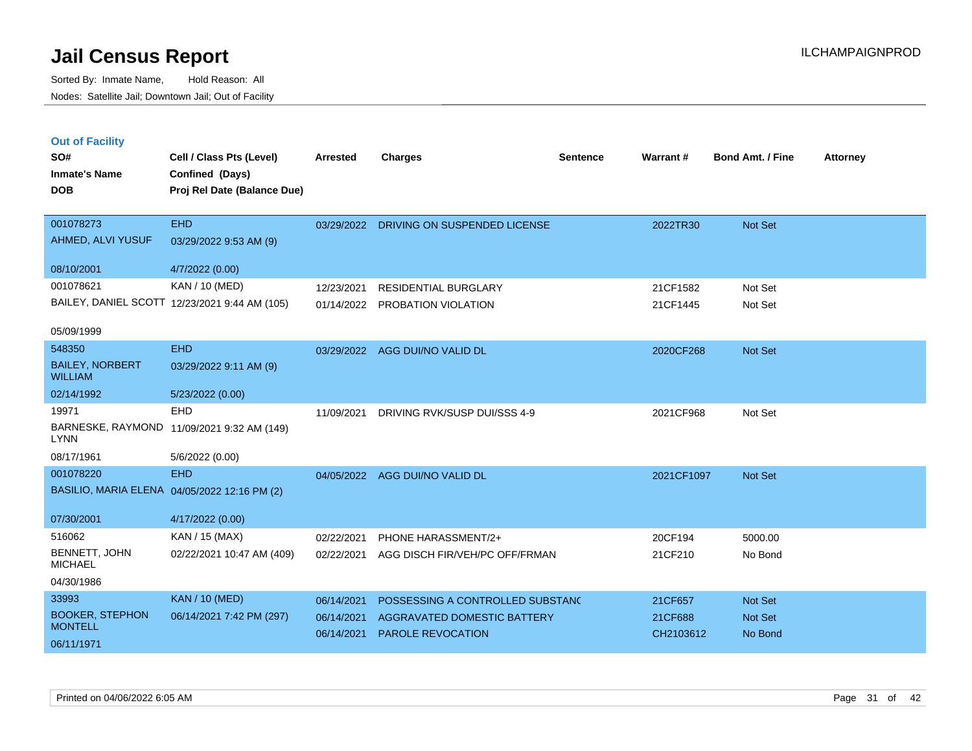Sorted By: Inmate Name, Hold Reason: All Nodes: Satellite Jail; Downtown Jail; Out of Facility

| <b>Out of Facility</b><br>SO#<br><b>Inmate's Name</b><br><b>DOB</b> | Cell / Class Pts (Level)<br>Confined (Days)<br>Proj Rel Date (Balance Due) | <b>Arrested</b> | <b>Charges</b>                     | <b>Sentence</b> | Warrant#   | <b>Bond Amt. / Fine</b> | <b>Attorney</b> |
|---------------------------------------------------------------------|----------------------------------------------------------------------------|-----------------|------------------------------------|-----------------|------------|-------------------------|-----------------|
| 001078273                                                           | <b>EHD</b>                                                                 | 03/29/2022      | DRIVING ON SUSPENDED LICENSE       |                 | 2022TR30   | Not Set                 |                 |
| AHMED, ALVI YUSUF                                                   | 03/29/2022 9:53 AM (9)                                                     |                 |                                    |                 |            |                         |                 |
| 08/10/2001                                                          | 4/7/2022 (0.00)                                                            |                 |                                    |                 |            |                         |                 |
| 001078621                                                           | KAN / 10 (MED)                                                             | 12/23/2021      | <b>RESIDENTIAL BURGLARY</b>        |                 | 21CF1582   | Not Set                 |                 |
|                                                                     | BAILEY, DANIEL SCOTT 12/23/2021 9:44 AM (105)                              | 01/14/2022      | PROBATION VIOLATION                |                 | 21CF1445   | Not Set                 |                 |
| 05/09/1999                                                          |                                                                            |                 |                                    |                 |            |                         |                 |
| 548350                                                              | <b>EHD</b>                                                                 | 03/29/2022      | AGG DUI/NO VALID DL                |                 | 2020CF268  | Not Set                 |                 |
| <b>BAILEY, NORBERT</b><br><b>WILLIAM</b>                            | 03/29/2022 9:11 AM (9)                                                     |                 |                                    |                 |            |                         |                 |
| 02/14/1992                                                          | 5/23/2022 (0.00)                                                           |                 |                                    |                 |            |                         |                 |
| 19971                                                               | EHD                                                                        | 11/09/2021      | DRIVING RVK/SUSP DUI/SSS 4-9       |                 | 2021CF968  | Not Set                 |                 |
| <b>LYNN</b>                                                         | BARNESKE, RAYMOND 11/09/2021 9:32 AM (149)                                 |                 |                                    |                 |            |                         |                 |
| 08/17/1961                                                          | 5/6/2022 (0.00)                                                            |                 |                                    |                 |            |                         |                 |
| 001078220                                                           | <b>EHD</b>                                                                 | 04/05/2022      | AGG DUI/NO VALID DL                |                 | 2021CF1097 | Not Set                 |                 |
|                                                                     | BASILIO, MARIA ELENA 04/05/2022 12:16 PM (2)                               |                 |                                    |                 |            |                         |                 |
| 07/30/2001                                                          | 4/17/2022 (0.00)                                                           |                 |                                    |                 |            |                         |                 |
| 516062                                                              | KAN / 15 (MAX)                                                             | 02/22/2021      | PHONE HARASSMENT/2+                |                 | 20CF194    | 5000.00                 |                 |
| BENNETT, JOHN<br><b>MICHAEL</b>                                     | 02/22/2021 10:47 AM (409)                                                  | 02/22/2021      | AGG DISCH FIR/VEH/PC OFF/FRMAN     |                 | 21CF210    | No Bond                 |                 |
| 04/30/1986                                                          |                                                                            |                 |                                    |                 |            |                         |                 |
| 33993                                                               | <b>KAN / 10 (MED)</b>                                                      | 06/14/2021      | POSSESSING A CONTROLLED SUBSTAND   |                 | 21CF657    | Not Set                 |                 |
| <b>BOOKER, STEPHON</b>                                              | 06/14/2021 7:42 PM (297)                                                   | 06/14/2021      | <b>AGGRAVATED DOMESTIC BATTERY</b> |                 | 21CF688    | Not Set                 |                 |
| <b>MONTELL</b>                                                      |                                                                            | 06/14/2021      | <b>PAROLE REVOCATION</b>           |                 | CH2103612  | No Bond                 |                 |

06/11/1971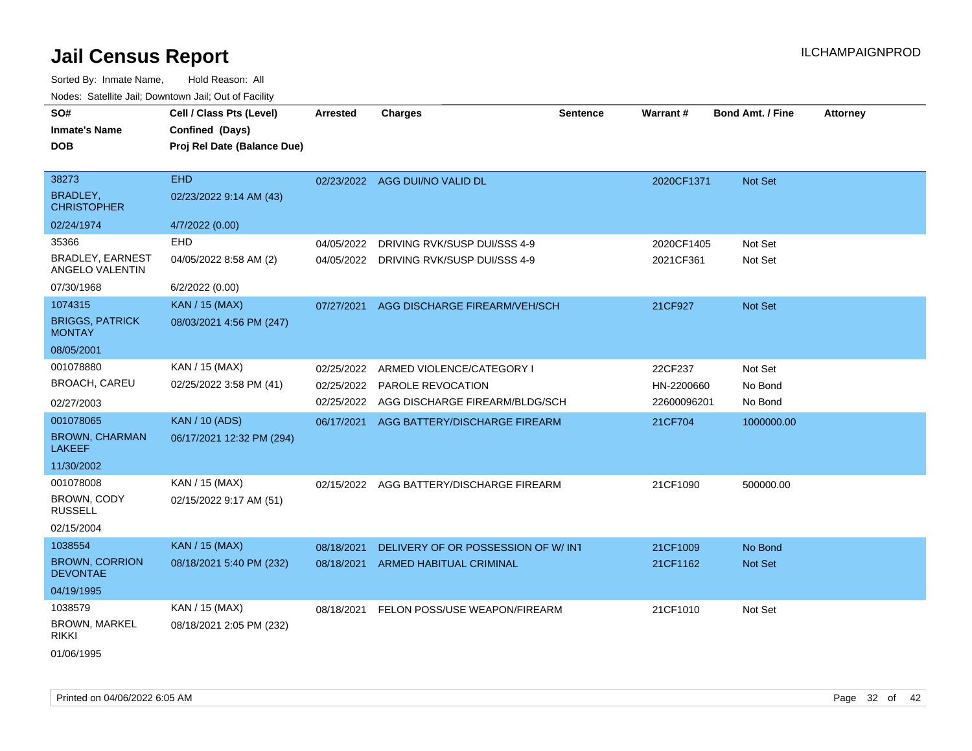| SO#<br><b>Inmate's Name</b><br><b>DOB</b>                         | Cell / Class Pts (Level)<br>Confined (Days)<br>Proj Rel Date (Balance Due) | <b>Arrested</b>          | <b>Charges</b>                                                                              | <b>Sentence</b> | Warrant#                             | <b>Bond Amt. / Fine</b>       | <b>Attorney</b> |
|-------------------------------------------------------------------|----------------------------------------------------------------------------|--------------------------|---------------------------------------------------------------------------------------------|-----------------|--------------------------------------|-------------------------------|-----------------|
| 38273<br>BRADLEY,<br><b>CHRISTOPHER</b>                           | <b>EHD</b><br>02/23/2022 9:14 AM (43)                                      |                          | 02/23/2022 AGG DUI/NO VALID DL                                                              |                 | 2020CF1371                           | Not Set                       |                 |
| 02/24/1974                                                        | 4/7/2022 (0.00)                                                            |                          |                                                                                             |                 |                                      |                               |                 |
| 35366<br><b>BRADLEY, EARNEST</b><br>ANGELO VALENTIN<br>07/30/1968 | <b>EHD</b><br>04/05/2022 8:58 AM (2)                                       | 04/05/2022               | DRIVING RVK/SUSP DUI/SSS 4-9<br>04/05/2022 DRIVING RVK/SUSP DUI/SSS 4-9                     |                 | 2020CF1405<br>2021CF361              | Not Set<br>Not Set            |                 |
| 1074315                                                           | 6/2/2022 (0.00)<br>KAN / 15 (MAX)                                          |                          |                                                                                             |                 |                                      |                               |                 |
| <b>BRIGGS, PATRICK</b><br><b>MONTAY</b>                           | 08/03/2021 4:56 PM (247)                                                   | 07/27/2021               | AGG DISCHARGE FIREARM/VEH/SCH                                                               |                 | 21CF927                              | Not Set                       |                 |
| 08/05/2001                                                        |                                                                            |                          |                                                                                             |                 |                                      |                               |                 |
| 001078880<br>BROACH, CAREU<br>02/27/2003                          | KAN / 15 (MAX)<br>02/25/2022 3:58 PM (41)                                  | 02/25/2022<br>02/25/2022 | ARMED VIOLENCE/CATEGORY I<br>02/25/2022 PAROLE REVOCATION<br>AGG DISCHARGE FIREARM/BLDG/SCH |                 | 22CF237<br>HN-2200660<br>22600096201 | Not Set<br>No Bond<br>No Bond |                 |
| 001078065<br><b>BROWN, CHARMAN</b><br><b>LAKEEF</b><br>11/30/2002 | <b>KAN / 10 (ADS)</b><br>06/17/2021 12:32 PM (294)                         | 06/17/2021               | AGG BATTERY/DISCHARGE FIREARM                                                               |                 | 21CF704                              | 1000000.00                    |                 |
| 001078008<br>BROWN, CODY<br><b>RUSSELL</b><br>02/15/2004          | KAN / 15 (MAX)<br>02/15/2022 9:17 AM (51)                                  |                          | 02/15/2022 AGG BATTERY/DISCHARGE FIREARM                                                    |                 | 21CF1090                             | 500000.00                     |                 |
| 1038554<br><b>BROWN, CORRION</b><br><b>DEVONTAE</b><br>04/19/1995 | KAN / 15 (MAX)<br>08/18/2021 5:40 PM (232)                                 | 08/18/2021<br>08/18/2021 | DELIVERY OF OR POSSESSION OF W/ INT<br>ARMED HABITUAL CRIMINAL                              |                 | 21CF1009<br>21CF1162                 | No Bond<br>Not Set            |                 |
| 1038579<br><b>BROWN, MARKEL</b><br><b>RIKKI</b><br>01/06/1995     | KAN / 15 (MAX)<br>08/18/2021 2:05 PM (232)                                 | 08/18/2021               | FELON POSS/USE WEAPON/FIREARM                                                               |                 | 21CF1010                             | Not Set                       |                 |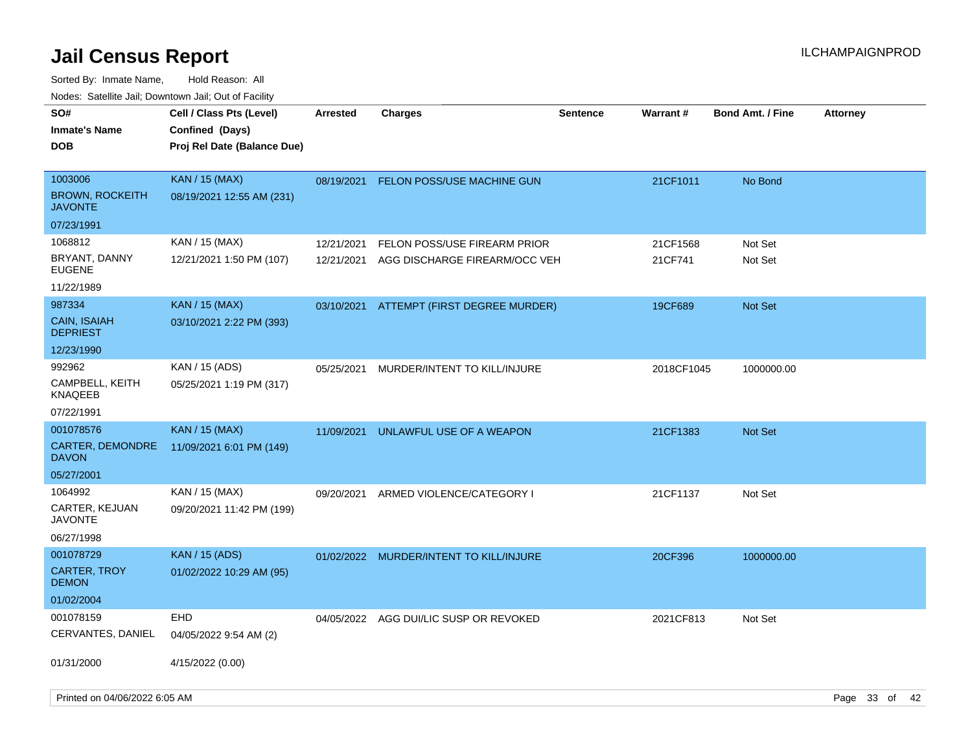| roaco. Catolino dall, Downtown dall, Out of Fability |                                                                            |            |                                          |                 |                 |                         |                 |
|------------------------------------------------------|----------------------------------------------------------------------------|------------|------------------------------------------|-----------------|-----------------|-------------------------|-----------------|
| SO#<br><b>Inmate's Name</b><br><b>DOB</b>            | Cell / Class Pts (Level)<br>Confined (Days)<br>Proj Rel Date (Balance Due) | Arrested   | <b>Charges</b>                           | <b>Sentence</b> | <b>Warrant#</b> | <b>Bond Amt. / Fine</b> | <b>Attorney</b> |
| 1003006<br><b>BROWN, ROCKEITH</b><br><b>JAVONTE</b>  | <b>KAN / 15 (MAX)</b><br>08/19/2021 12:55 AM (231)                         | 08/19/2021 | <b>FELON POSS/USE MACHINE GUN</b>        |                 | 21CF1011        | No Bond                 |                 |
| 07/23/1991                                           |                                                                            |            |                                          |                 |                 |                         |                 |
| 1068812                                              | KAN / 15 (MAX)                                                             | 12/21/2021 | FELON POSS/USE FIREARM PRIOR             |                 | 21CF1568        | Not Set                 |                 |
| BRYANT, DANNY<br><b>EUGENE</b>                       | 12/21/2021 1:50 PM (107)                                                   | 12/21/2021 | AGG DISCHARGE FIREARM/OCC VEH            |                 | 21CF741         | Not Set                 |                 |
| 11/22/1989                                           |                                                                            |            |                                          |                 |                 |                         |                 |
| 987334                                               | <b>KAN / 15 (MAX)</b>                                                      |            | 03/10/2021 ATTEMPT (FIRST DEGREE MURDER) |                 | 19CF689         | Not Set                 |                 |
| CAIN, ISAIAH<br><b>DEPRIEST</b>                      | 03/10/2021 2:22 PM (393)                                                   |            |                                          |                 |                 |                         |                 |
| 12/23/1990                                           |                                                                            |            |                                          |                 |                 |                         |                 |
| 992962                                               | KAN / 15 (ADS)                                                             | 05/25/2021 | MURDER/INTENT TO KILL/INJURE             |                 | 2018CF1045      | 1000000.00              |                 |
| CAMPBELL, KEITH<br>KNAQEEB                           | 05/25/2021 1:19 PM (317)                                                   |            |                                          |                 |                 |                         |                 |
| 07/22/1991                                           |                                                                            |            |                                          |                 |                 |                         |                 |
| 001078576                                            | KAN / 15 (MAX)                                                             | 11/09/2021 | UNLAWFUL USE OF A WEAPON                 |                 | 21CF1383        | <b>Not Set</b>          |                 |
| CARTER, DEMONDRE<br><b>DAVON</b>                     | 11/09/2021 6:01 PM (149)                                                   |            |                                          |                 |                 |                         |                 |
| 05/27/2001                                           |                                                                            |            |                                          |                 |                 |                         |                 |
| 1064992                                              | KAN / 15 (MAX)                                                             | 09/20/2021 | ARMED VIOLENCE/CATEGORY I                |                 | 21CF1137        | Not Set                 |                 |
| <b>CARTER, KEJUAN</b><br><b>JAVONTE</b>              | 09/20/2021 11:42 PM (199)                                                  |            |                                          |                 |                 |                         |                 |
| 06/27/1998                                           |                                                                            |            |                                          |                 |                 |                         |                 |
| 001078729                                            | <b>KAN / 15 (ADS)</b>                                                      |            | 01/02/2022 MURDER/INTENT TO KILL/INJURE  |                 | 20CF396         | 1000000.00              |                 |
| <b>CARTER, TROY</b><br><b>DEMON</b>                  | 01/02/2022 10:29 AM (95)                                                   |            |                                          |                 |                 |                         |                 |
| 01/02/2004                                           |                                                                            |            |                                          |                 |                 |                         |                 |
| 001078159                                            | EHD                                                                        |            | 04/05/2022 AGG DUI/LIC SUSP OR REVOKED   |                 | 2021CF813       | Not Set                 |                 |
| CERVANTES, DANIEL                                    | 04/05/2022 9:54 AM (2)                                                     |            |                                          |                 |                 |                         |                 |
| 01/31/2000                                           | 4/15/2022 (0.00)                                                           |            |                                          |                 |                 |                         |                 |
|                                                      |                                                                            |            |                                          |                 |                 |                         |                 |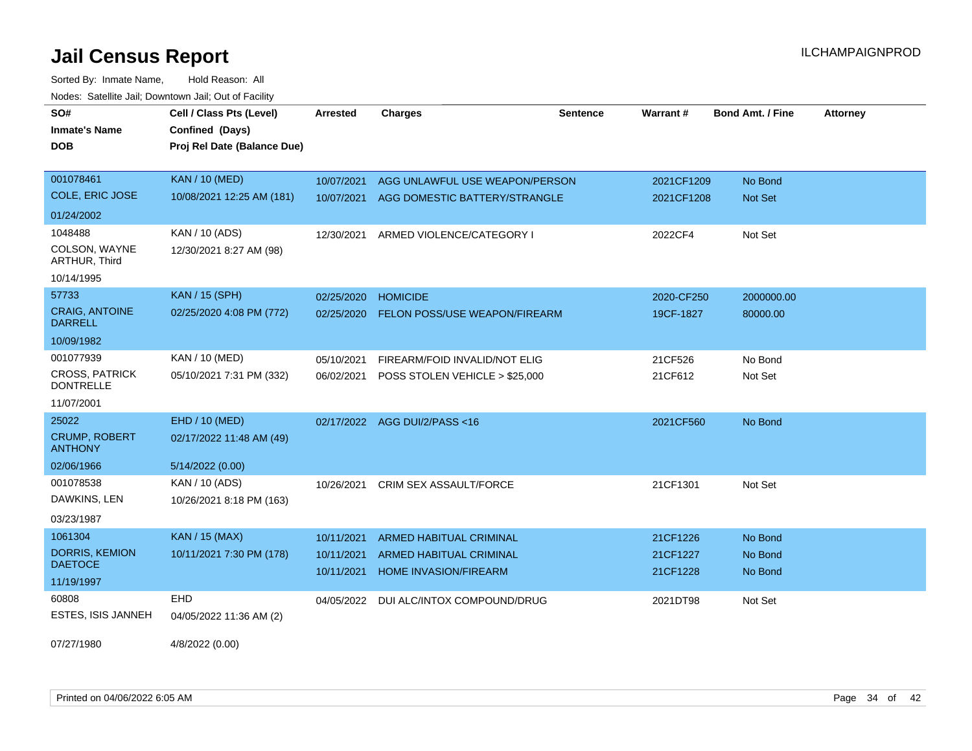| SO#                                       | Cell / Class Pts (Level)    | <b>Arrested</b> | <b>Charges</b>                       | <b>Sentence</b> | <b>Warrant#</b> | <b>Bond Amt. / Fine</b> | <b>Attorney</b> |
|-------------------------------------------|-----------------------------|-----------------|--------------------------------------|-----------------|-----------------|-------------------------|-----------------|
| <b>Inmate's Name</b>                      | Confined (Days)             |                 |                                      |                 |                 |                         |                 |
| <b>DOB</b>                                | Proj Rel Date (Balance Due) |                 |                                      |                 |                 |                         |                 |
|                                           |                             |                 |                                      |                 |                 |                         |                 |
| 001078461                                 | <b>KAN / 10 (MED)</b>       | 10/07/2021      | AGG UNLAWFUL USE WEAPON/PERSON       |                 | 2021CF1209      | No Bond                 |                 |
| COLE, ERIC JOSE                           | 10/08/2021 12:25 AM (181)   | 10/07/2021      | AGG DOMESTIC BATTERY/STRANGLE        |                 | 2021CF1208      | <b>Not Set</b>          |                 |
| 01/24/2002                                |                             |                 |                                      |                 |                 |                         |                 |
| 1048488                                   | KAN / 10 (ADS)              | 12/30/2021      | ARMED VIOLENCE/CATEGORY I            |                 | 2022CF4         | Not Set                 |                 |
| COLSON, WAYNE<br>ARTHUR, Third            | 12/30/2021 8:27 AM (98)     |                 |                                      |                 |                 |                         |                 |
| 10/14/1995                                |                             |                 |                                      |                 |                 |                         |                 |
| 57733                                     | <b>KAN / 15 (SPH)</b>       | 02/25/2020      | <b>HOMICIDE</b>                      |                 | 2020-CF250      | 2000000.00              |                 |
| <b>CRAIG, ANTOINE</b><br><b>DARRELL</b>   | 02/25/2020 4:08 PM (772)    | 02/25/2020      | <b>FELON POSS/USE WEAPON/FIREARM</b> |                 | 19CF-1827       | 80000.00                |                 |
| 10/09/1982                                |                             |                 |                                      |                 |                 |                         |                 |
| 001077939                                 | KAN / 10 (MED)              | 05/10/2021      | FIREARM/FOID INVALID/NOT ELIG        |                 | 21CF526         | No Bond                 |                 |
| <b>CROSS, PATRICK</b><br><b>DONTRELLE</b> | 05/10/2021 7:31 PM (332)    | 06/02/2021      | POSS STOLEN VEHICLE > \$25,000       |                 | 21CF612         | Not Set                 |                 |
| 11/07/2001                                |                             |                 |                                      |                 |                 |                         |                 |
| 25022                                     | EHD / 10 (MED)              |                 | 02/17/2022 AGG DUI/2/PASS<16         |                 | 2021CF560       | No Bond                 |                 |
| <b>CRUMP, ROBERT</b><br><b>ANTHONY</b>    | 02/17/2022 11:48 AM (49)    |                 |                                      |                 |                 |                         |                 |
| 02/06/1966                                | 5/14/2022 (0.00)            |                 |                                      |                 |                 |                         |                 |
| 001078538                                 | KAN / 10 (ADS)              | 10/26/2021      | <b>CRIM SEX ASSAULT/FORCE</b>        |                 | 21CF1301        | Not Set                 |                 |
| DAWKINS, LEN                              | 10/26/2021 8:18 PM (163)    |                 |                                      |                 |                 |                         |                 |
| 03/23/1987                                |                             |                 |                                      |                 |                 |                         |                 |
| 1061304                                   | <b>KAN / 15 (MAX)</b>       | 10/11/2021      | <b>ARMED HABITUAL CRIMINAL</b>       |                 | 21CF1226        | No Bond                 |                 |
| DORRIS, KEMION                            | 10/11/2021 7:30 PM (178)    | 10/11/2021      | <b>ARMED HABITUAL CRIMINAL</b>       |                 | 21CF1227        | No Bond                 |                 |
| <b>DAETOCE</b>                            |                             | 10/11/2021      | HOME INVASION/FIREARM                |                 | 21CF1228        | No Bond                 |                 |
| 11/19/1997                                |                             |                 |                                      |                 |                 |                         |                 |
| 60808                                     | EHD                         | 04/05/2022      | DUI ALC/INTOX COMPOUND/DRUG          |                 | 2021DT98        | Not Set                 |                 |
| ESTES, ISIS JANNEH                        | 04/05/2022 11:36 AM (2)     |                 |                                      |                 |                 |                         |                 |
| 07/27/1980                                | 4/8/2022 (0.00)             |                 |                                      |                 |                 |                         |                 |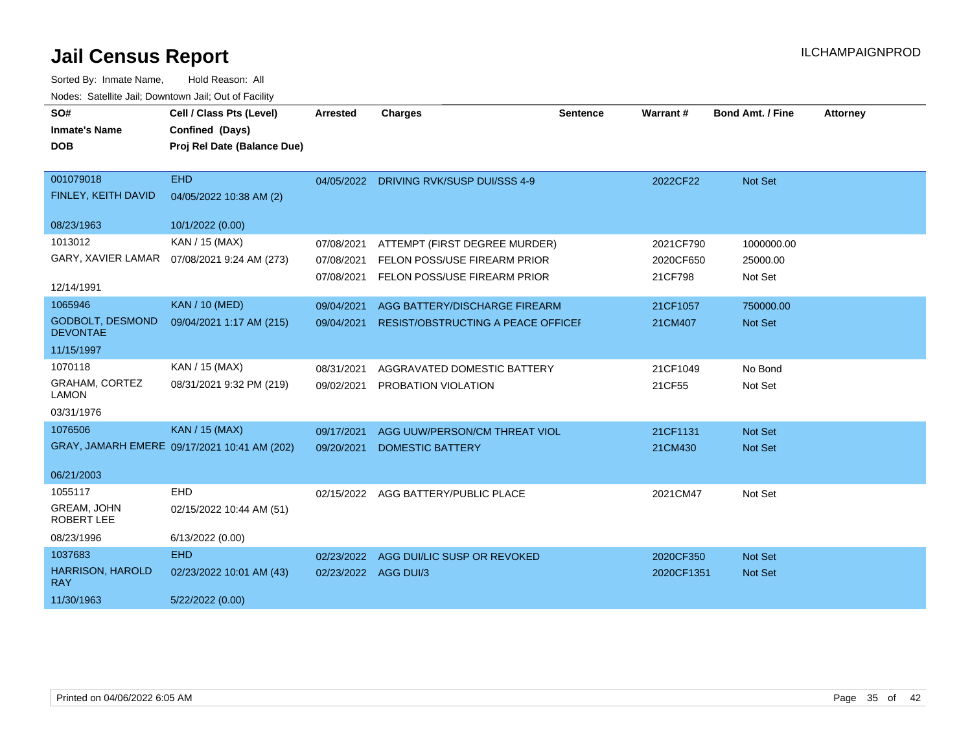| SO#<br><b>Inmate's Name</b><br><b>DOB</b>   | Cell / Class Pts (Level)<br>Confined (Days)<br>Proj Rel Date (Balance Due) | <b>Arrested</b>                        | <b>Charges</b>                                                                                | <b>Sentence</b> | Warrant#                          | <b>Bond Amt. / Fine</b>           | <b>Attorney</b> |
|---------------------------------------------|----------------------------------------------------------------------------|----------------------------------------|-----------------------------------------------------------------------------------------------|-----------------|-----------------------------------|-----------------------------------|-----------------|
| 001079018<br>FINLEY, KEITH DAVID            | <b>EHD</b><br>04/05/2022 10:38 AM (2)                                      |                                        | 04/05/2022 DRIVING RVK/SUSP DUI/SSS 4-9                                                       |                 | 2022CF22                          | Not Set                           |                 |
| 08/23/1963                                  | 10/1/2022 (0.00)                                                           |                                        |                                                                                               |                 |                                   |                                   |                 |
| 1013012<br>GARY, XAVIER LAMAR<br>12/14/1991 | KAN / 15 (MAX)<br>07/08/2021 9:24 AM (273)                                 | 07/08/2021<br>07/08/2021<br>07/08/2021 | ATTEMPT (FIRST DEGREE MURDER)<br>FELON POSS/USE FIREARM PRIOR<br>FELON POSS/USE FIREARM PRIOR |                 | 2021CF790<br>2020CF650<br>21CF798 | 1000000.00<br>25000.00<br>Not Set |                 |
| 1065946                                     | <b>KAN / 10 (MED)</b>                                                      | 09/04/2021                             | AGG BATTERY/DISCHARGE FIREARM                                                                 |                 | 21CF1057                          | 750000.00                         |                 |
| <b>GODBOLT, DESMOND</b><br><b>DEVONTAE</b>  | 09/04/2021 1:17 AM (215)                                                   | 09/04/2021                             | RESIST/OBSTRUCTING A PEACE OFFICEI                                                            |                 | 21CM407                           | Not Set                           |                 |
| 11/15/1997                                  |                                                                            |                                        |                                                                                               |                 |                                   |                                   |                 |
| 1070118                                     | KAN / 15 (MAX)                                                             | 08/31/2021                             | AGGRAVATED DOMESTIC BATTERY                                                                   |                 | 21CF1049                          | No Bond                           |                 |
| GRAHAM, CORTEZ<br><b>LAMON</b>              | 08/31/2021 9:32 PM (219)                                                   | 09/02/2021                             | PROBATION VIOLATION                                                                           |                 | 21CF55                            | Not Set                           |                 |
| 03/31/1976                                  |                                                                            |                                        |                                                                                               |                 |                                   |                                   |                 |
| 1076506                                     | <b>KAN / 15 (MAX)</b>                                                      | 09/17/2021                             | AGG UUW/PERSON/CM THREAT VIOL                                                                 |                 | 21CF1131                          | <b>Not Set</b>                    |                 |
|                                             | GRAY, JAMARH EMERE 09/17/2021 10:41 AM (202)                               | 09/20/2021                             | <b>DOMESTIC BATTERY</b>                                                                       |                 | 21CM430                           | <b>Not Set</b>                    |                 |
| 06/21/2003                                  |                                                                            |                                        |                                                                                               |                 |                                   |                                   |                 |
| 1055117                                     | EHD                                                                        |                                        | 02/15/2022 AGG BATTERY/PUBLIC PLACE                                                           |                 | 2021CM47                          | Not Set                           |                 |
| GREAM, JOHN<br><b>ROBERT LEE</b>            | 02/15/2022 10:44 AM (51)                                                   |                                        |                                                                                               |                 |                                   |                                   |                 |
| 08/23/1996                                  | 6/13/2022 (0.00)                                                           |                                        |                                                                                               |                 |                                   |                                   |                 |
| 1037683                                     | <b>EHD</b>                                                                 |                                        | 02/23/2022 AGG DUI/LIC SUSP OR REVOKED                                                        |                 | 2020CF350                         | Not Set                           |                 |
| <b>HARRISON, HAROLD</b><br><b>RAY</b>       | 02/23/2022 10:01 AM (43)                                                   | 02/23/2022 AGG DUI/3                   |                                                                                               |                 | 2020CF1351                        | Not Set                           |                 |
| 11/30/1963                                  | 5/22/2022 (0.00)                                                           |                                        |                                                                                               |                 |                                   |                                   |                 |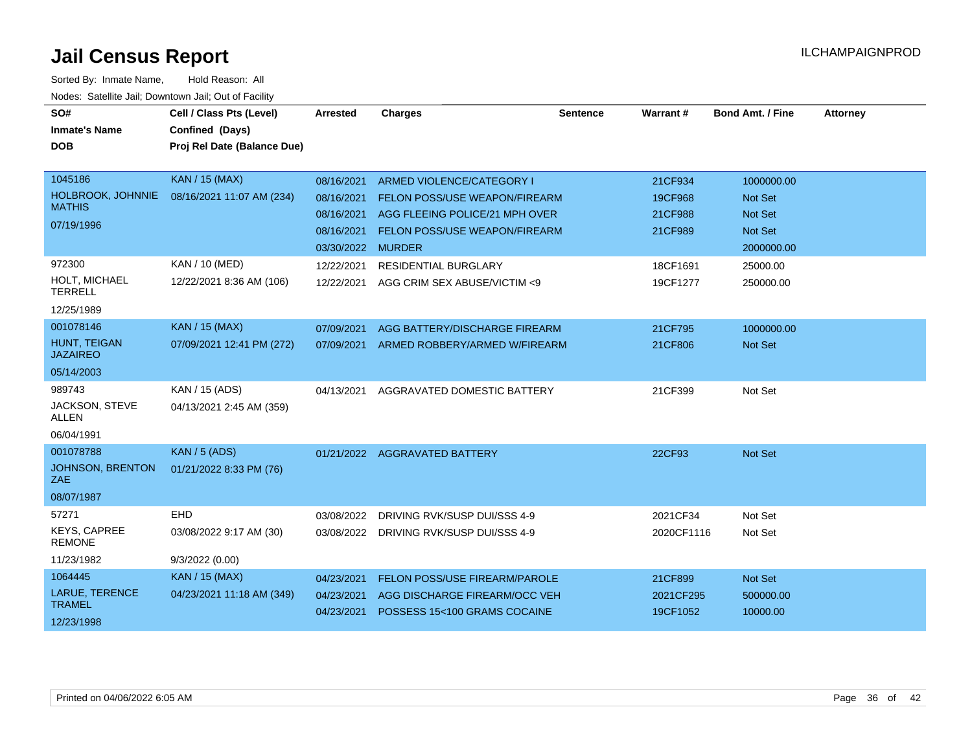| SO#<br><b>Inmate's Name</b><br><b>DOB</b>                   | Cell / Class Pts (Level)<br>Confined (Days)<br>Proj Rel Date (Balance Due) | <b>Arrested</b>                                                           | <b>Charges</b>                                                                                                                       | <b>Sentence</b> | Warrant#                                 | <b>Bond Amt. / Fine</b>                                                 | <b>Attorney</b> |
|-------------------------------------------------------------|----------------------------------------------------------------------------|---------------------------------------------------------------------------|--------------------------------------------------------------------------------------------------------------------------------------|-----------------|------------------------------------------|-------------------------------------------------------------------------|-----------------|
| 1045186<br>HOLBROOK, JOHNNIE<br><b>MATHIS</b><br>07/19/1996 | <b>KAN / 15 (MAX)</b><br>08/16/2021 11:07 AM (234)                         | 08/16/2021<br>08/16/2021<br>08/16/2021<br>08/16/2021<br>03/30/2022 MURDER | ARMED VIOLENCE/CATEGORY I<br>FELON POSS/USE WEAPON/FIREARM<br>AGG FLEEING POLICE/21 MPH OVER<br><b>FELON POSS/USE WEAPON/FIREARM</b> |                 | 21CF934<br>19CF968<br>21CF988<br>21CF989 | 1000000.00<br>Not Set<br><b>Not Set</b><br><b>Not Set</b><br>2000000.00 |                 |
| 972300<br>HOLT, MICHAEL<br><b>TERRELL</b><br>12/25/1989     | KAN / 10 (MED)<br>12/22/2021 8:36 AM (106)                                 | 12/22/2021<br>12/22/2021                                                  | <b>RESIDENTIAL BURGLARY</b><br>AGG CRIM SEX ABUSE/VICTIM <9                                                                          |                 | 18CF1691<br>19CF1277                     | 25000.00<br>250000.00                                                   |                 |
| 001078146<br>HUNT, TEIGAN<br><b>JAZAIREO</b><br>05/14/2003  | <b>KAN / 15 (MAX)</b><br>07/09/2021 12:41 PM (272)                         | 07/09/2021<br>07/09/2021                                                  | AGG BATTERY/DISCHARGE FIREARM<br>ARMED ROBBERY/ARMED W/FIREARM                                                                       |                 | 21CF795<br>21CF806                       | 1000000.00<br><b>Not Set</b>                                            |                 |
| 989743<br>JACKSON, STEVE<br><b>ALLEN</b><br>06/04/1991      | KAN / 15 (ADS)<br>04/13/2021 2:45 AM (359)                                 | 04/13/2021                                                                | AGGRAVATED DOMESTIC BATTERY                                                                                                          |                 | 21CF399                                  | Not Set                                                                 |                 |
| 001078788<br>JOHNSON, BRENTON<br>ZAE<br>08/07/1987          | <b>KAN / 5 (ADS)</b><br>01/21/2022 8:33 PM (76)                            |                                                                           | 01/21/2022 AGGRAVATED BATTERY                                                                                                        |                 | 22CF93                                   | Not Set                                                                 |                 |
| 57271<br><b>KEYS, CAPREE</b><br><b>REMONE</b><br>11/23/1982 | EHD<br>03/08/2022 9:17 AM (30)<br>9/3/2022(0.00)                           | 03/08/2022                                                                | DRIVING RVK/SUSP DUI/SSS 4-9<br>03/08/2022 DRIVING RVK/SUSP DUI/SSS 4-9                                                              |                 | 2021CF34<br>2020CF1116                   | Not Set<br>Not Set                                                      |                 |
| 1064445<br>LARUE, TERENCE<br><b>TRAMEL</b><br>12/23/1998    | <b>KAN / 15 (MAX)</b><br>04/23/2021 11:18 AM (349)                         | 04/23/2021<br>04/23/2021<br>04/23/2021                                    | FELON POSS/USE FIREARM/PAROLE<br>AGG DISCHARGE FIREARM/OCC VEH<br>POSSESS 15<100 GRAMS COCAINE                                       |                 | 21CF899<br>2021CF295<br>19CF1052         | Not Set<br>500000.00<br>10000.00                                        |                 |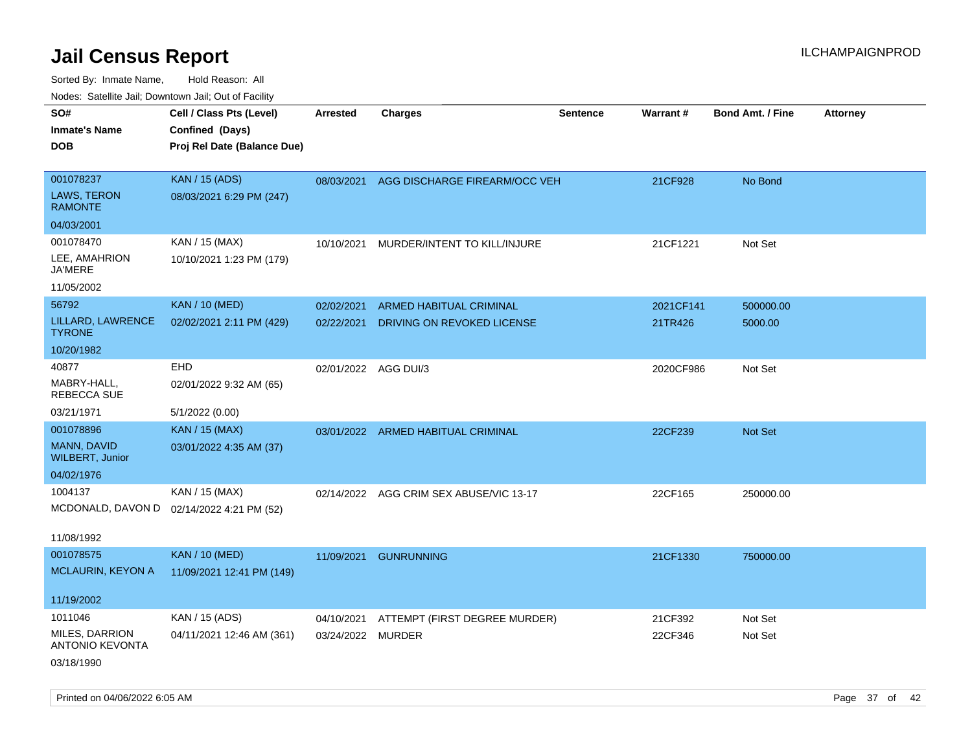| roaco. Catolino dall, Downtown dall, Out of Fability |                                           |                      |                                          |                 |                 |                         |                 |
|------------------------------------------------------|-------------------------------------------|----------------------|------------------------------------------|-----------------|-----------------|-------------------------|-----------------|
| SO#                                                  | Cell / Class Pts (Level)                  | Arrested             | Charges                                  | <b>Sentence</b> | <b>Warrant#</b> | <b>Bond Amt. / Fine</b> | <b>Attorney</b> |
| <b>Inmate's Name</b>                                 | Confined (Days)                           |                      |                                          |                 |                 |                         |                 |
| <b>DOB</b>                                           | Proj Rel Date (Balance Due)               |                      |                                          |                 |                 |                         |                 |
|                                                      |                                           |                      |                                          |                 |                 |                         |                 |
| 001078237                                            | <b>KAN / 15 (ADS)</b>                     |                      | 08/03/2021 AGG DISCHARGE FIREARM/OCC VEH |                 | 21CF928         | No Bond                 |                 |
| <b>LAWS, TERON</b><br><b>RAMONTE</b>                 | 08/03/2021 6:29 PM (247)                  |                      |                                          |                 |                 |                         |                 |
| 04/03/2001                                           |                                           |                      |                                          |                 |                 |                         |                 |
| 001078470                                            | KAN / 15 (MAX)                            | 10/10/2021           | MURDER/INTENT TO KILL/INJURE             |                 | 21CF1221        | Not Set                 |                 |
| LEE, AMAHRION<br><b>JA'MERE</b>                      | 10/10/2021 1:23 PM (179)                  |                      |                                          |                 |                 |                         |                 |
| 11/05/2002                                           |                                           |                      |                                          |                 |                 |                         |                 |
| 56792                                                | <b>KAN / 10 (MED)</b>                     | 02/02/2021           | <b>ARMED HABITUAL CRIMINAL</b>           |                 | 2021CF141       | 500000.00               |                 |
| LILLARD, LAWRENCE<br><b>TYRONE</b>                   | 02/02/2021 2:11 PM (429)                  | 02/22/2021           | DRIVING ON REVOKED LICENSE               |                 | 21TR426         | 5000.00                 |                 |
| 10/20/1982                                           |                                           |                      |                                          |                 |                 |                         |                 |
| 40877                                                | <b>EHD</b>                                | 02/01/2022 AGG DUI/3 |                                          |                 | 2020CF986       | Not Set                 |                 |
| MABRY-HALL,<br>REBECCA SUE                           | 02/01/2022 9:32 AM (65)                   |                      |                                          |                 |                 |                         |                 |
| 03/21/1971                                           | 5/1/2022 (0.00)                           |                      |                                          |                 |                 |                         |                 |
| 001078896                                            | <b>KAN / 15 (MAX)</b>                     |                      | 03/01/2022 ARMED HABITUAL CRIMINAL       |                 | 22CF239         | <b>Not Set</b>          |                 |
| <b>MANN, DAVID</b><br><b>WILBERT, Junior</b>         | 03/01/2022 4:35 AM (37)                   |                      |                                          |                 |                 |                         |                 |
| 04/02/1976                                           |                                           |                      |                                          |                 |                 |                         |                 |
| 1004137                                              | KAN / 15 (MAX)                            |                      | 02/14/2022 AGG CRIM SEX ABUSE/VIC 13-17  |                 | 22CF165         | 250000.00               |                 |
|                                                      | MCDONALD, DAVON D 02/14/2022 4:21 PM (52) |                      |                                          |                 |                 |                         |                 |
|                                                      |                                           |                      |                                          |                 |                 |                         |                 |
| 11/08/1992                                           |                                           |                      |                                          |                 |                 |                         |                 |
| 001078575                                            | <b>KAN / 10 (MED)</b>                     | 11/09/2021           | <b>GUNRUNNING</b>                        |                 | 21CF1330        | 750000.00               |                 |
| MCLAURIN, KEYON A                                    | 11/09/2021 12:41 PM (149)                 |                      |                                          |                 |                 |                         |                 |
| 11/19/2002                                           |                                           |                      |                                          |                 |                 |                         |                 |
| 1011046                                              | KAN / 15 (ADS)                            | 04/10/2021           | ATTEMPT (FIRST DEGREE MURDER)            |                 | 21CF392         | Not Set                 |                 |
| MILES, DARRION<br><b>ANTONIO KEVONTA</b>             | 04/11/2021 12:46 AM (361)                 | 03/24/2022 MURDER    |                                          |                 | 22CF346         | Not Set                 |                 |
| 03/18/1990                                           |                                           |                      |                                          |                 |                 |                         |                 |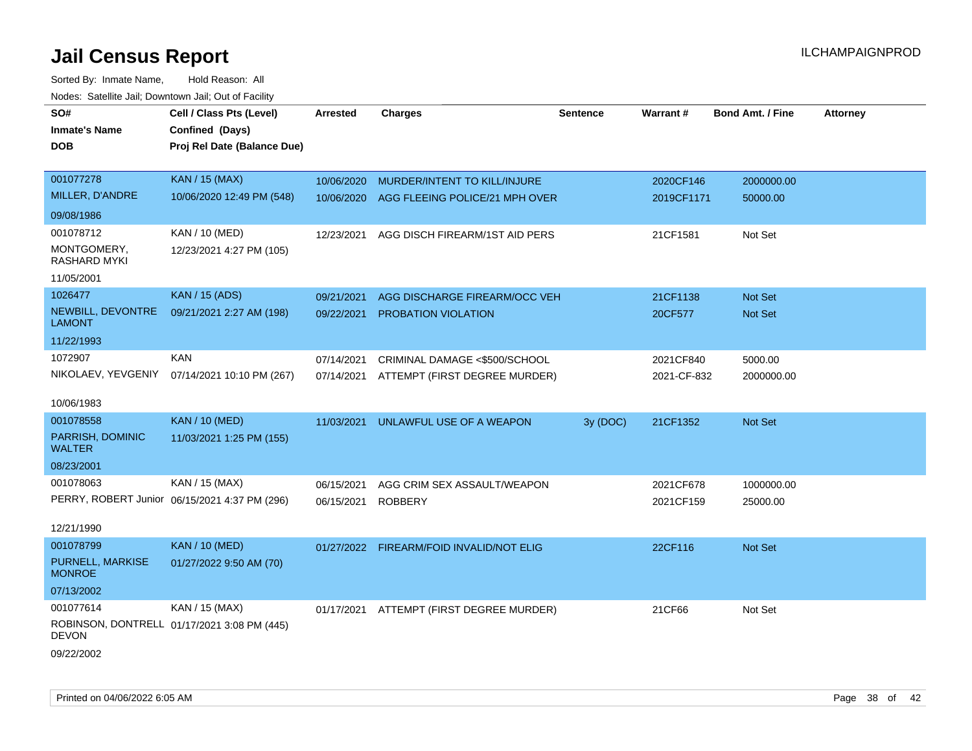| roaco. Calcinio dan, Downtown dan, Out or Fabilit |                                               |                 |                                          |          |             |                         |                 |
|---------------------------------------------------|-----------------------------------------------|-----------------|------------------------------------------|----------|-------------|-------------------------|-----------------|
| SO#<br><b>Inmate's Name</b>                       | Cell / Class Pts (Level)<br>Confined (Days)   | <b>Arrested</b> | <b>Charges</b>                           | Sentence | Warrant#    | <b>Bond Amt. / Fine</b> | <b>Attorney</b> |
| <b>DOB</b>                                        | Proj Rel Date (Balance Due)                   |                 |                                          |          |             |                         |                 |
| 001077278                                         | <b>KAN / 15 (MAX)</b>                         | 10/06/2020      | MURDER/INTENT TO KILL/INJURE             |          | 2020CF146   | 2000000.00              |                 |
| MILLER, D'ANDRE                                   | 10/06/2020 12:49 PM (548)                     | 10/06/2020      | AGG FLEEING POLICE/21 MPH OVER           |          | 2019CF1171  | 50000.00                |                 |
| 09/08/1986                                        |                                               |                 |                                          |          |             |                         |                 |
| 001078712                                         | <b>KAN / 10 (MED)</b>                         | 12/23/2021      | AGG DISCH FIREARM/1ST AID PERS           |          | 21CF1581    | Not Set                 |                 |
| MONTGOMERY,<br><b>RASHARD MYKI</b>                | 12/23/2021 4:27 PM (105)                      |                 |                                          |          |             |                         |                 |
| 11/05/2001                                        |                                               |                 |                                          |          |             |                         |                 |
| 1026477                                           | <b>KAN / 15 (ADS)</b>                         | 09/21/2021      | AGG DISCHARGE FIREARM/OCC VEH            |          | 21CF1138    | <b>Not Set</b>          |                 |
| NEWBILL, DEVONTRE<br><b>LAMONT</b>                | 09/21/2021 2:27 AM (198)                      | 09/22/2021      | PROBATION VIOLATION                      |          | 20CF577     | Not Set                 |                 |
| 11/22/1993                                        |                                               |                 |                                          |          |             |                         |                 |
| 1072907                                           | <b>KAN</b>                                    | 07/14/2021      | CRIMINAL DAMAGE <\$500/SCHOOL            |          | 2021CF840   | 5000.00                 |                 |
| NIKOLAEV, YEVGENIY                                | 07/14/2021 10:10 PM (267)                     | 07/14/2021      | ATTEMPT (FIRST DEGREE MURDER)            |          | 2021-CF-832 | 2000000.00              |                 |
| 10/06/1983                                        |                                               |                 |                                          |          |             |                         |                 |
| 001078558                                         | <b>KAN / 10 (MED)</b>                         | 11/03/2021      | UNLAWFUL USE OF A WEAPON                 | 3y (DOC) | 21CF1352    | Not Set                 |                 |
| PARRISH, DOMINIC<br><b>WALTER</b>                 | 11/03/2021 1:25 PM (155)                      |                 |                                          |          |             |                         |                 |
| 08/23/2001                                        |                                               |                 |                                          |          |             |                         |                 |
| 001078063                                         | KAN / 15 (MAX)                                | 06/15/2021      | AGG CRIM SEX ASSAULT/WEAPON              |          | 2021CF678   | 1000000.00              |                 |
|                                                   | PERRY, ROBERT Junior 06/15/2021 4:37 PM (296) | 06/15/2021      | <b>ROBBERY</b>                           |          | 2021CF159   | 25000.00                |                 |
| 12/21/1990                                        |                                               |                 |                                          |          |             |                         |                 |
| 001078799                                         | <b>KAN / 10 (MED)</b>                         |                 | 01/27/2022 FIREARM/FOID INVALID/NOT ELIG |          | 22CF116     | Not Set                 |                 |
| PURNELL, MARKISE<br><b>MONROE</b>                 | 01/27/2022 9:50 AM (70)                       |                 |                                          |          |             |                         |                 |
| 07/13/2002                                        |                                               |                 |                                          |          |             |                         |                 |
| 001077614                                         | KAN / 15 (MAX)                                | 01/17/2021      | ATTEMPT (FIRST DEGREE MURDER)            |          | 21CF66      | Not Set                 |                 |
| <b>DEVON</b>                                      | ROBINSON, DONTRELL 01/17/2021 3:08 PM (445)   |                 |                                          |          |             |                         |                 |
| 09/22/2002                                        |                                               |                 |                                          |          |             |                         |                 |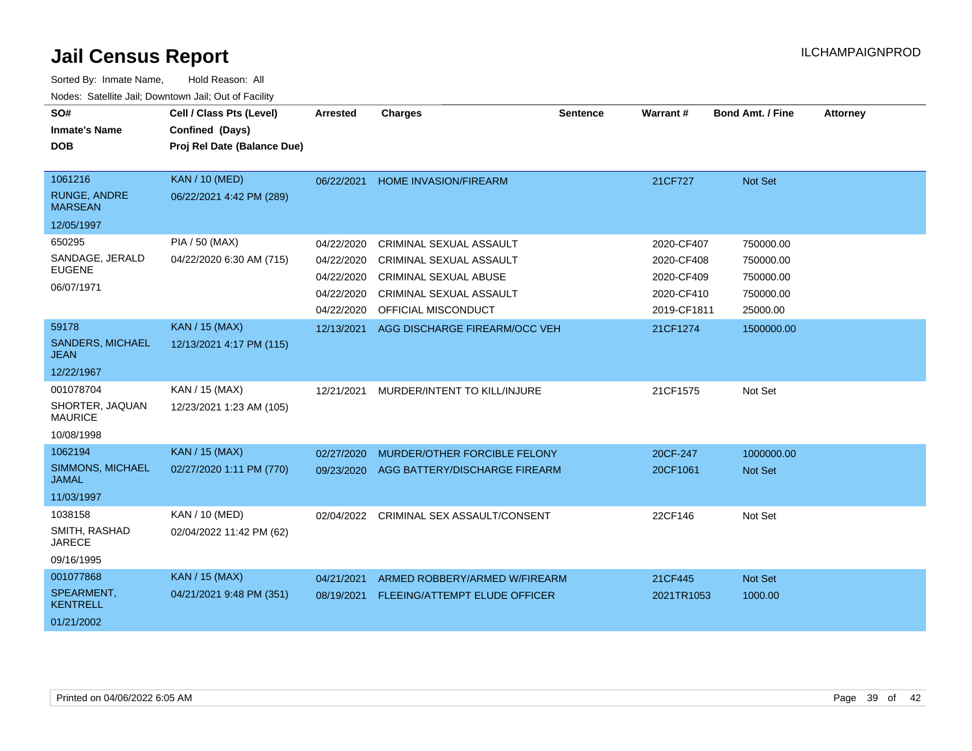| SO#<br><b>Inmate's Name</b><br><b>DOB</b> | Cell / Class Pts (Level)<br>Confined (Days)<br>Proj Rel Date (Balance Due) | <b>Arrested</b> | <b>Charges</b>                       | <b>Sentence</b> | Warrant#    | <b>Bond Amt. / Fine</b> | <b>Attorney</b> |
|-------------------------------------------|----------------------------------------------------------------------------|-----------------|--------------------------------------|-----------------|-------------|-------------------------|-----------------|
|                                           |                                                                            |                 |                                      |                 |             |                         |                 |
| 1061216                                   | <b>KAN / 10 (MED)</b>                                                      | 06/22/2021      | <b>HOME INVASION/FIREARM</b>         |                 | 21CF727     | Not Set                 |                 |
| <b>RUNGE, ANDRE</b><br><b>MARSEAN</b>     | 06/22/2021 4:42 PM (289)                                                   |                 |                                      |                 |             |                         |                 |
| 12/05/1997                                |                                                                            |                 |                                      |                 |             |                         |                 |
| 650295                                    | PIA / 50 (MAX)                                                             | 04/22/2020      | CRIMINAL SEXUAL ASSAULT              |                 | 2020-CF407  | 750000.00               |                 |
| SANDAGE, JERALD                           | 04/22/2020 6:30 AM (715)                                                   | 04/22/2020      | <b>CRIMINAL SEXUAL ASSAULT</b>       |                 | 2020-CF408  | 750000.00               |                 |
| <b>EUGENE</b>                             |                                                                            | 04/22/2020      | <b>CRIMINAL SEXUAL ABUSE</b>         |                 | 2020-CF409  | 750000.00               |                 |
| 06/07/1971                                |                                                                            | 04/22/2020      | CRIMINAL SEXUAL ASSAULT              |                 | 2020-CF410  | 750000.00               |                 |
|                                           |                                                                            | 04/22/2020      | OFFICIAL MISCONDUCT                  |                 | 2019-CF1811 | 25000.00                |                 |
| 59178                                     | <b>KAN / 15 (MAX)</b>                                                      | 12/13/2021      | AGG DISCHARGE FIREARM/OCC VEH        |                 | 21CF1274    | 1500000.00              |                 |
| <b>SANDERS, MICHAEL</b><br>JEAN           | 12/13/2021 4:17 PM (115)                                                   |                 |                                      |                 |             |                         |                 |
| 12/22/1967                                |                                                                            |                 |                                      |                 |             |                         |                 |
| 001078704                                 | KAN / 15 (MAX)                                                             | 12/21/2021      | MURDER/INTENT TO KILL/INJURE         |                 | 21CF1575    | Not Set                 |                 |
| SHORTER, JAQUAN<br><b>MAURICE</b>         | 12/23/2021 1:23 AM (105)                                                   |                 |                                      |                 |             |                         |                 |
| 10/08/1998                                |                                                                            |                 |                                      |                 |             |                         |                 |
| 1062194                                   | <b>KAN / 15 (MAX)</b>                                                      | 02/27/2020      | MURDER/OTHER FORCIBLE FELONY         |                 | 20CF-247    | 1000000.00              |                 |
| SIMMONS, MICHAEL<br><b>JAMAL</b>          | 02/27/2020 1:11 PM (770)                                                   | 09/23/2020      | AGG BATTERY/DISCHARGE FIREARM        |                 | 20CF1061    | <b>Not Set</b>          |                 |
| 11/03/1997                                |                                                                            |                 |                                      |                 |             |                         |                 |
| 1038158                                   | KAN / 10 (MED)                                                             | 02/04/2022      | CRIMINAL SEX ASSAULT/CONSENT         |                 | 22CF146     | Not Set                 |                 |
| SMITH, RASHAD<br><b>JARECE</b>            | 02/04/2022 11:42 PM (62)                                                   |                 |                                      |                 |             |                         |                 |
| 09/16/1995                                |                                                                            |                 |                                      |                 |             |                         |                 |
| 001077868                                 | <b>KAN / 15 (MAX)</b>                                                      | 04/21/2021      | ARMED ROBBERY/ARMED W/FIREARM        |                 | 21CF445     | Not Set                 |                 |
| SPEARMENT,<br><b>KENTRELL</b>             | 04/21/2021 9:48 PM (351)                                                   | 08/19/2021      | <b>FLEEING/ATTEMPT ELUDE OFFICER</b> |                 | 2021TR1053  | 1000.00                 |                 |
| 01/21/2002                                |                                                                            |                 |                                      |                 |             |                         |                 |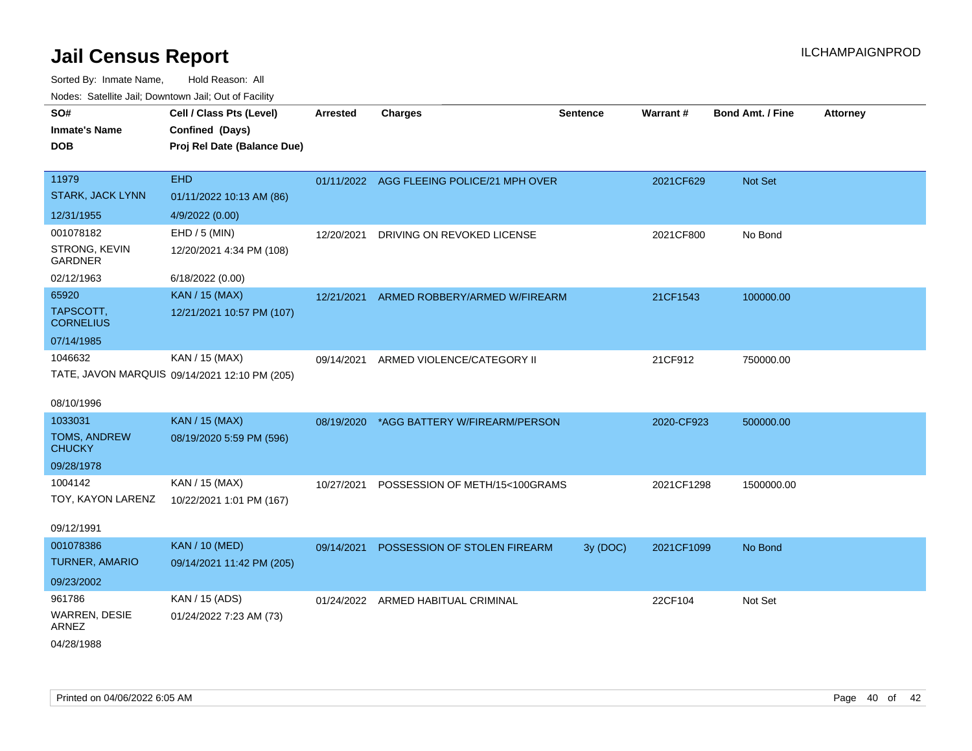| ivodes. Satellite Jali, Downtown Jali, Out of Facility |                                               |                 |                                           |                 |            |                         |                 |
|--------------------------------------------------------|-----------------------------------------------|-----------------|-------------------------------------------|-----------------|------------|-------------------------|-----------------|
| SO#                                                    | Cell / Class Pts (Level)                      | <b>Arrested</b> | <b>Charges</b>                            | <b>Sentence</b> | Warrant#   | <b>Bond Amt. / Fine</b> | <b>Attorney</b> |
| <b>Inmate's Name</b>                                   | Confined (Days)                               |                 |                                           |                 |            |                         |                 |
| <b>DOB</b>                                             | Proj Rel Date (Balance Due)                   |                 |                                           |                 |            |                         |                 |
|                                                        |                                               |                 |                                           |                 |            |                         |                 |
| 11979                                                  | <b>EHD</b>                                    |                 | 01/11/2022 AGG FLEEING POLICE/21 MPH OVER |                 | 2021CF629  | <b>Not Set</b>          |                 |
| <b>STARK, JACK LYNN</b>                                | 01/11/2022 10:13 AM (86)                      |                 |                                           |                 |            |                         |                 |
| 12/31/1955                                             | 4/9/2022 (0.00)                               |                 |                                           |                 |            |                         |                 |
| 001078182                                              | EHD / 5 (MIN)                                 | 12/20/2021      | DRIVING ON REVOKED LICENSE                |                 | 2021CF800  | No Bond                 |                 |
| STRONG, KEVIN<br><b>GARDNER</b>                        | 12/20/2021 4:34 PM (108)                      |                 |                                           |                 |            |                         |                 |
| 02/12/1963                                             | 6/18/2022 (0.00)                              |                 |                                           |                 |            |                         |                 |
| 65920                                                  | KAN / 15 (MAX)                                | 12/21/2021      | ARMED ROBBERY/ARMED W/FIREARM             |                 | 21CF1543   | 100000.00               |                 |
| TAPSCOTT,<br><b>CORNELIUS</b>                          | 12/21/2021 10:57 PM (107)                     |                 |                                           |                 |            |                         |                 |
| 07/14/1985                                             |                                               |                 |                                           |                 |            |                         |                 |
| 1046632                                                | KAN / 15 (MAX)                                | 09/14/2021      | ARMED VIOLENCE/CATEGORY II                |                 | 21CF912    | 750000.00               |                 |
|                                                        | TATE, JAVON MARQUIS 09/14/2021 12:10 PM (205) |                 |                                           |                 |            |                         |                 |
|                                                        |                                               |                 |                                           |                 |            |                         |                 |
| 08/10/1996                                             |                                               |                 |                                           |                 |            |                         |                 |
| 1033031                                                | <b>KAN / 15 (MAX)</b>                         |                 | 08/19/2020 *AGG BATTERY W/FIREARM/PERSON  |                 | 2020-CF923 | 500000.00               |                 |
| TOMS, ANDREW<br><b>CHUCKY</b>                          | 08/19/2020 5:59 PM (596)                      |                 |                                           |                 |            |                         |                 |
| 09/28/1978                                             |                                               |                 |                                           |                 |            |                         |                 |
| 1004142                                                | KAN / 15 (MAX)                                | 10/27/2021      | POSSESSION OF METH/15<100GRAMS            |                 | 2021CF1298 | 1500000.00              |                 |
| TOY, KAYON LARENZ                                      | 10/22/2021 1:01 PM (167)                      |                 |                                           |                 |            |                         |                 |
| 09/12/1991                                             |                                               |                 |                                           |                 |            |                         |                 |
| 001078386                                              | <b>KAN / 10 (MED)</b>                         | 09/14/2021      | POSSESSION OF STOLEN FIREARM              | 3y (DOC)        | 2021CF1099 | No Bond                 |                 |
| <b>TURNER, AMARIO</b>                                  | 09/14/2021 11:42 PM (205)                     |                 |                                           |                 |            |                         |                 |
| 09/23/2002                                             |                                               |                 |                                           |                 |            |                         |                 |
| 961786                                                 | KAN / 15 (ADS)                                |                 | 01/24/2022 ARMED HABITUAL CRIMINAL        |                 | 22CF104    | Not Set                 |                 |
| WARREN, DESIE<br><b>ARNEZ</b>                          | 01/24/2022 7:23 AM (73)                       |                 |                                           |                 |            |                         |                 |
| 04/28/1988                                             |                                               |                 |                                           |                 |            |                         |                 |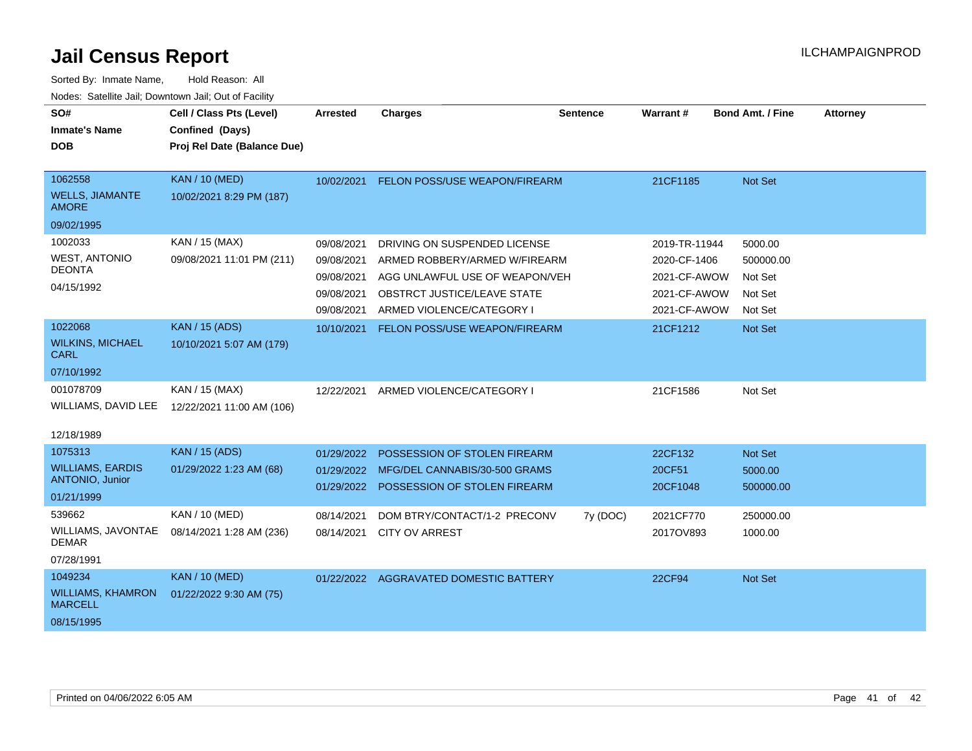| SO#                                               | Cell / Class Pts (Level)    | Arrested   | Charges                                | <b>Sentence</b> | Warrant#      | <b>Bond Amt. / Fine</b> | <b>Attorney</b> |
|---------------------------------------------------|-----------------------------|------------|----------------------------------------|-----------------|---------------|-------------------------|-----------------|
| <b>Inmate's Name</b>                              | Confined (Days)             |            |                                        |                 |               |                         |                 |
| <b>DOB</b>                                        | Proj Rel Date (Balance Due) |            |                                        |                 |               |                         |                 |
|                                                   |                             |            |                                        |                 |               |                         |                 |
| 1062558                                           | <b>KAN / 10 (MED)</b>       | 10/02/2021 | FELON POSS/USE WEAPON/FIREARM          |                 | 21CF1185      | Not Set                 |                 |
| <b>WELLS, JIAMANTE</b><br><b>AMORE</b>            | 10/02/2021 8:29 PM (187)    |            |                                        |                 |               |                         |                 |
| 09/02/1995                                        |                             |            |                                        |                 |               |                         |                 |
| 1002033                                           | KAN / 15 (MAX)              | 09/08/2021 | DRIVING ON SUSPENDED LICENSE           |                 | 2019-TR-11944 | 5000.00                 |                 |
| <b>WEST, ANTONIO</b>                              | 09/08/2021 11:01 PM (211)   | 09/08/2021 | ARMED ROBBERY/ARMED W/FIREARM          |                 | 2020-CF-1406  | 500000.00               |                 |
| <b>DEONTA</b>                                     |                             | 09/08/2021 | AGG UNLAWFUL USE OF WEAPON/VEH         |                 | 2021-CF-AWOW  | Not Set                 |                 |
| 04/15/1992                                        |                             | 09/08/2021 | <b>OBSTRCT JUSTICE/LEAVE STATE</b>     |                 | 2021-CF-AWOW  | Not Set                 |                 |
|                                                   |                             | 09/08/2021 | ARMED VIOLENCE/CATEGORY I              |                 | 2021-CF-AWOW  | Not Set                 |                 |
| 1022068                                           | <b>KAN / 15 (ADS)</b>       | 10/10/2021 | FELON POSS/USE WEAPON/FIREARM          |                 | 21CF1212      | <b>Not Set</b>          |                 |
| <b>WILKINS, MICHAEL</b><br><b>CARL</b>            | 10/10/2021 5:07 AM (179)    |            |                                        |                 |               |                         |                 |
| 07/10/1992                                        |                             |            |                                        |                 |               |                         |                 |
| 001078709                                         | KAN / 15 (MAX)              | 12/22/2021 | ARMED VIOLENCE/CATEGORY I              |                 | 21CF1586      | Not Set                 |                 |
| WILLIAMS, DAVID LEE                               | 12/22/2021 11:00 AM (106)   |            |                                        |                 |               |                         |                 |
|                                                   |                             |            |                                        |                 |               |                         |                 |
| 12/18/1989                                        |                             |            |                                        |                 |               |                         |                 |
| 1075313                                           | <b>KAN / 15 (ADS)</b>       | 01/29/2022 | POSSESSION OF STOLEN FIREARM           |                 | 22CF132       | Not Set                 |                 |
| <b>WILLIAMS, EARDIS</b><br><b>ANTONIO, Junior</b> | 01/29/2022 1:23 AM (68)     | 01/29/2022 | MFG/DEL CANNABIS/30-500 GRAMS          |                 | 20CF51        | 5000.00                 |                 |
| 01/21/1999                                        |                             | 01/29/2022 | POSSESSION OF STOLEN FIREARM           |                 | 20CF1048      | 500000.00               |                 |
| 539662                                            | KAN / 10 (MED)              | 08/14/2021 | DOM BTRY/CONTACT/1-2 PRECONV           |                 | 2021CF770     | 250000.00               |                 |
| WILLIAMS, JAVONTAE                                | 08/14/2021 1:28 AM (236)    | 08/14/2021 | <b>CITY OV ARREST</b>                  | 7y (DOC)        | 2017OV893     | 1000.00                 |                 |
| <b>DEMAR</b>                                      |                             |            |                                        |                 |               |                         |                 |
| 07/28/1991                                        |                             |            |                                        |                 |               |                         |                 |
| 1049234                                           | <b>KAN / 10 (MED)</b>       |            | 01/22/2022 AGGRAVATED DOMESTIC BATTERY |                 | 22CF94        | Not Set                 |                 |
| <b>WILLIAMS, KHAMRON</b><br><b>MARCELL</b>        | 01/22/2022 9:30 AM (75)     |            |                                        |                 |               |                         |                 |
| 08/15/1995                                        |                             |            |                                        |                 |               |                         |                 |